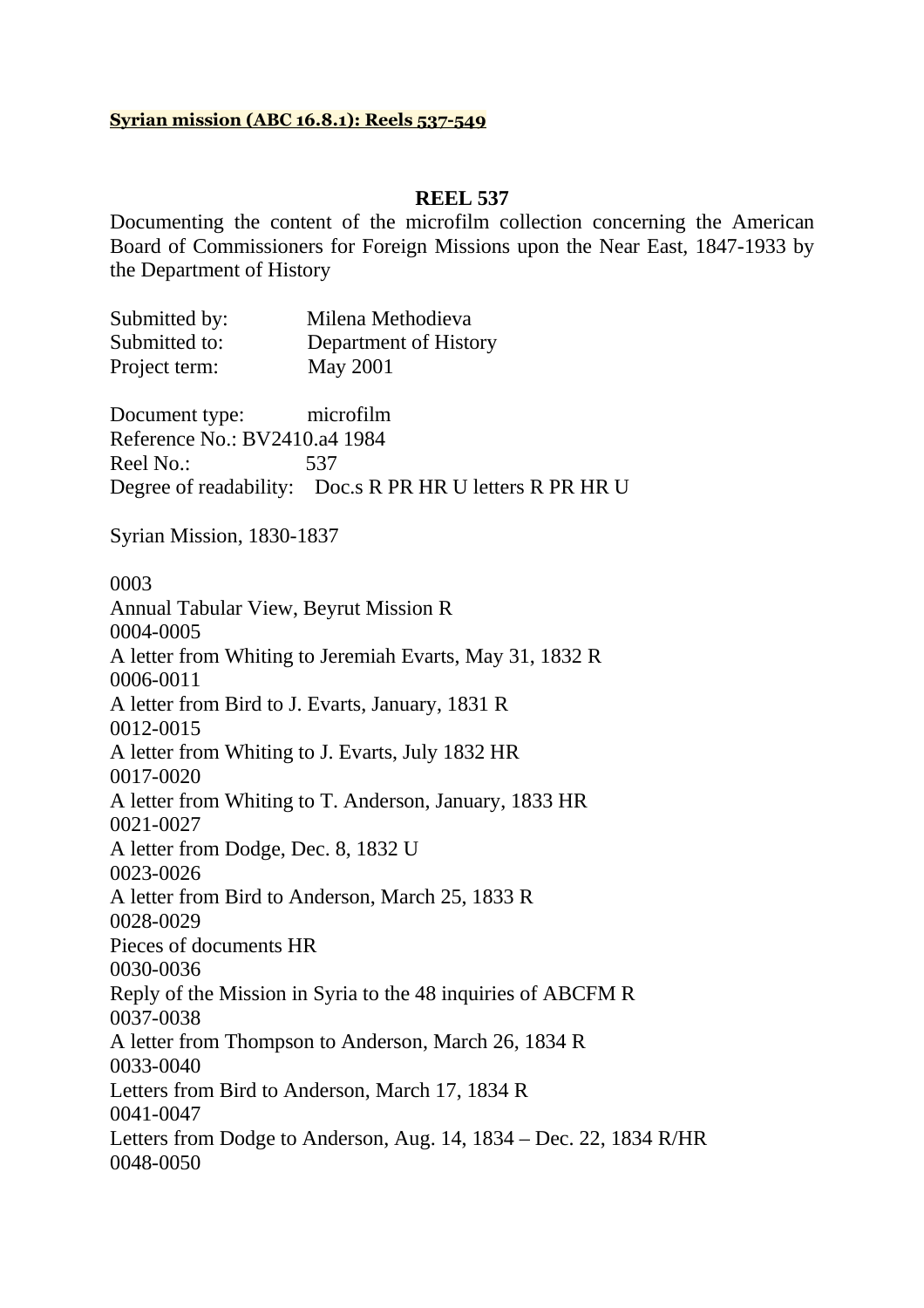# **Syrian mission (ABC 16.8.1): Reels 537-549**

# **REEL 537**

Documenting the content of the microfilm collection concerning the American Board of Commissioners for Foreign Missions upon the Near East, 1847-1933 by the Department of History

Submitted by: Milena Methodieva Submitted to: Department of History Project term: May 2001

Document type: microfilm Reference No.: BV2410.a4 1984 Reel No.: 537 Degree of readability: Doc.s R PR HR U letters R PR HR U

Syrian Mission, 1830-1837

0003 Annual Tabular View, Beyrut Mission R 0004-0005 A letter from Whiting to Jeremiah Evarts, May 31, 1832 R 0006-0011 A letter from Bird to J. Evarts, January, 1831 R 0012-0015 A letter from Whiting to J. Evarts, July 1832 HR 0017-0020 A letter from Whiting to T. Anderson, January, 1833 HR 0021-0027 A letter from Dodge, Dec. 8, 1832 U 0023-0026 A letter from Bird to Anderson, March 25, 1833 R 0028-0029 Pieces of documents HR 0030-0036 Reply of the Mission in Syria to the 48 inquiries of ABCFM R 0037-0038 A letter from Thompson to Anderson, March 26, 1834 R 0033-0040 Letters from Bird to Anderson, March 17, 1834 R 0041-0047 Letters from Dodge to Anderson, Aug. 14, 1834 – Dec. 22, 1834 R/HR 0048-0050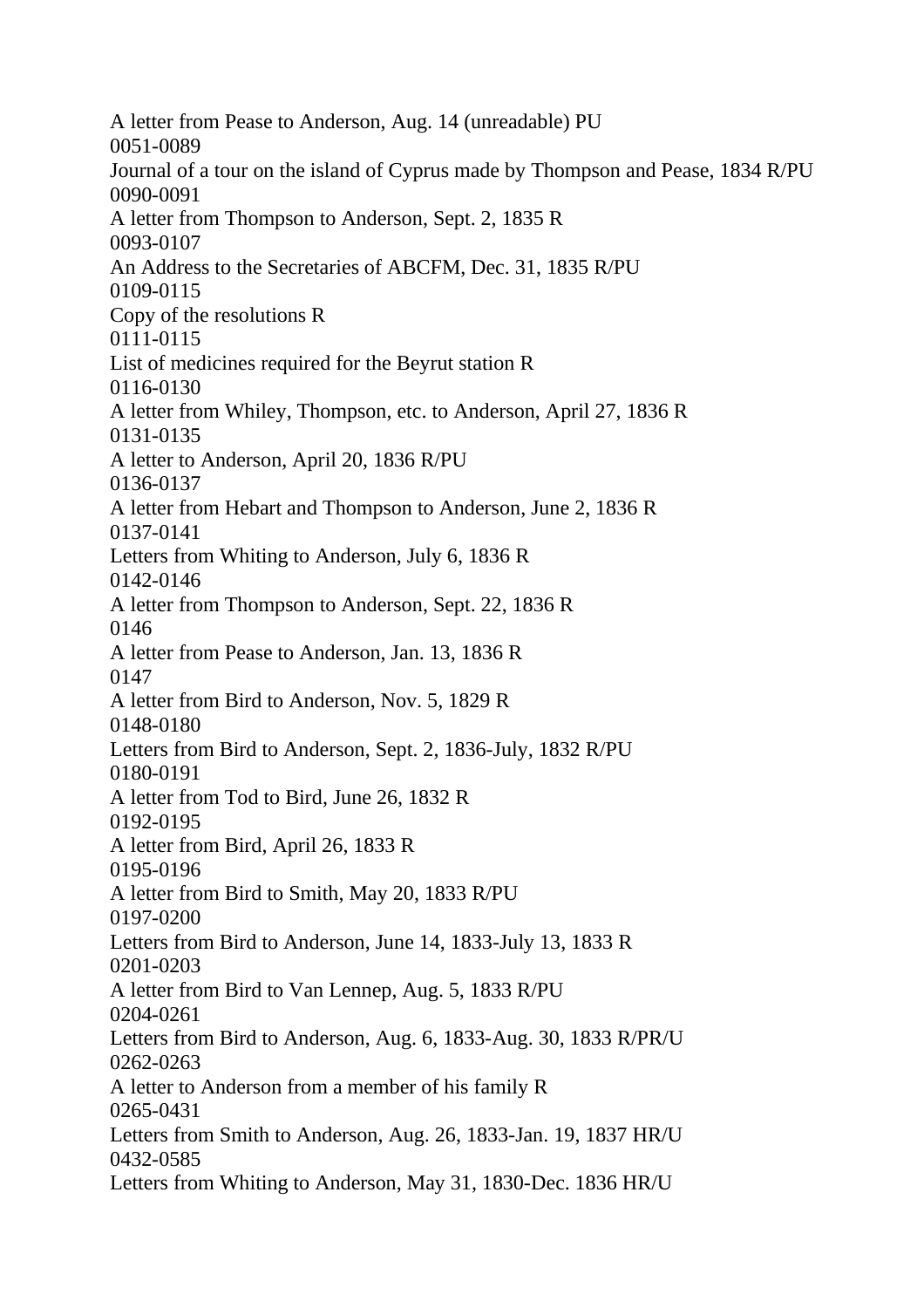A letter from Pease to Anderson, Aug. 14 (unreadable) PU 0051-0089 Journal of a tour on the island of Cyprus made by Thompson and Pease, 1834 R/PU 0090-0091 A letter from Thompson to Anderson, Sept. 2, 1835 R 0093-0107 An Address to the Secretaries of ABCFM, Dec. 31, 1835 R/PU 0109-0115 Copy of the resolutions R 0111-0115 List of medicines required for the Beyrut station R 0116-0130 A letter from Whiley, Thompson, etc. to Anderson, April 27, 1836 R 0131-0135 A letter to Anderson, April 20, 1836 R/PU 0136-0137 A letter from Hebart and Thompson to Anderson, June 2, 1836 R 0137-0141 Letters from Whiting to Anderson, July 6, 1836 R 0142-0146 A letter from Thompson to Anderson, Sept. 22, 1836 R 0146 A letter from Pease to Anderson, Jan. 13, 1836 R 0147 A letter from Bird to Anderson, Nov. 5, 1829 R 0148-0180 Letters from Bird to Anderson, Sept. 2, 1836-July, 1832 R/PU 0180-0191 A letter from Tod to Bird, June 26, 1832 R 0192-0195 A letter from Bird, April 26, 1833 R 0195-0196 A letter from Bird to Smith, May 20, 1833 R/PU 0197-0200 Letters from Bird to Anderson, June 14, 1833-July 13, 1833 R 0201-0203 A letter from Bird to Van Lennep, Aug. 5, 1833 R/PU 0204-0261 Letters from Bird to Anderson, Aug. 6, 1833-Aug. 30, 1833 R/PR/U 0262-0263 A letter to Anderson from a member of his family R 0265-0431 Letters from Smith to Anderson, Aug. 26, 1833-Jan. 19, 1837 HR/U 0432-0585 Letters from Whiting to Anderson, May 31, 1830-Dec. 1836 HR/U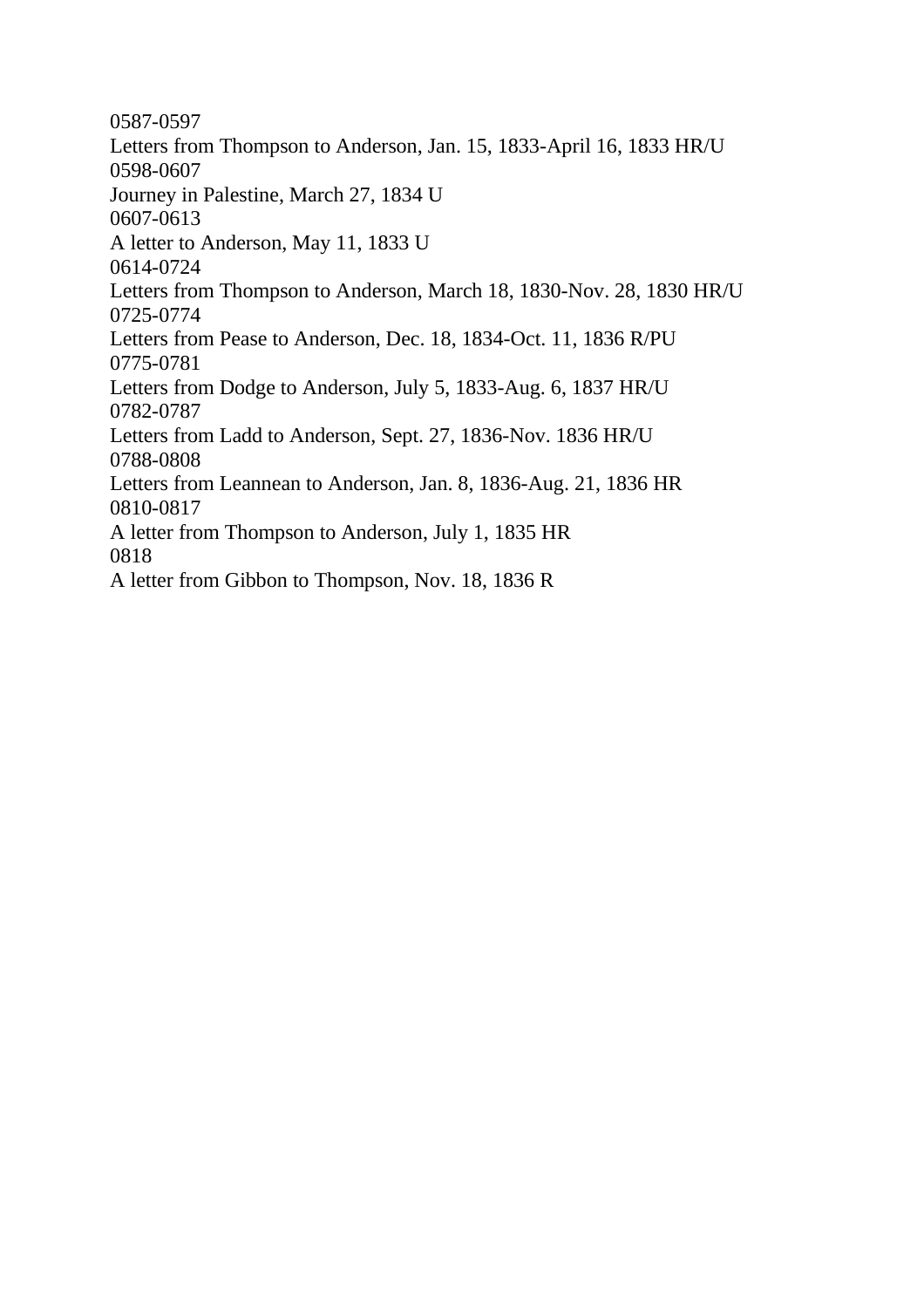0587-0597 Letters from Thompson to Anderson, Jan. 15, 1833-April 16, 1833 HR/U 0598-0607 Journey in Palestine, March 27, 1834 U 0607-0613 A letter to Anderson, May 11, 1833 U 0614-0724 Letters from Thompson to Anderson, March 18, 1830-Nov. 28, 1830 HR/U 0725-0774 Letters from Pease to Anderson, Dec. 18, 1834-Oct. 11, 1836 R/PU 0775-0781 Letters from Dodge to Anderson, July 5, 1833-Aug. 6, 1837 HR/U 0782-0787 Letters from Ladd to Anderson, Sept. 27, 1836-Nov. 1836 HR/U 0788-0808 Letters from Leannean to Anderson, Jan. 8, 1836-Aug. 21, 1836 HR 0810-0817 A letter from Thompson to Anderson, July 1, 1835 HR 0818 A letter from Gibbon to Thompson, Nov. 18, 1836 R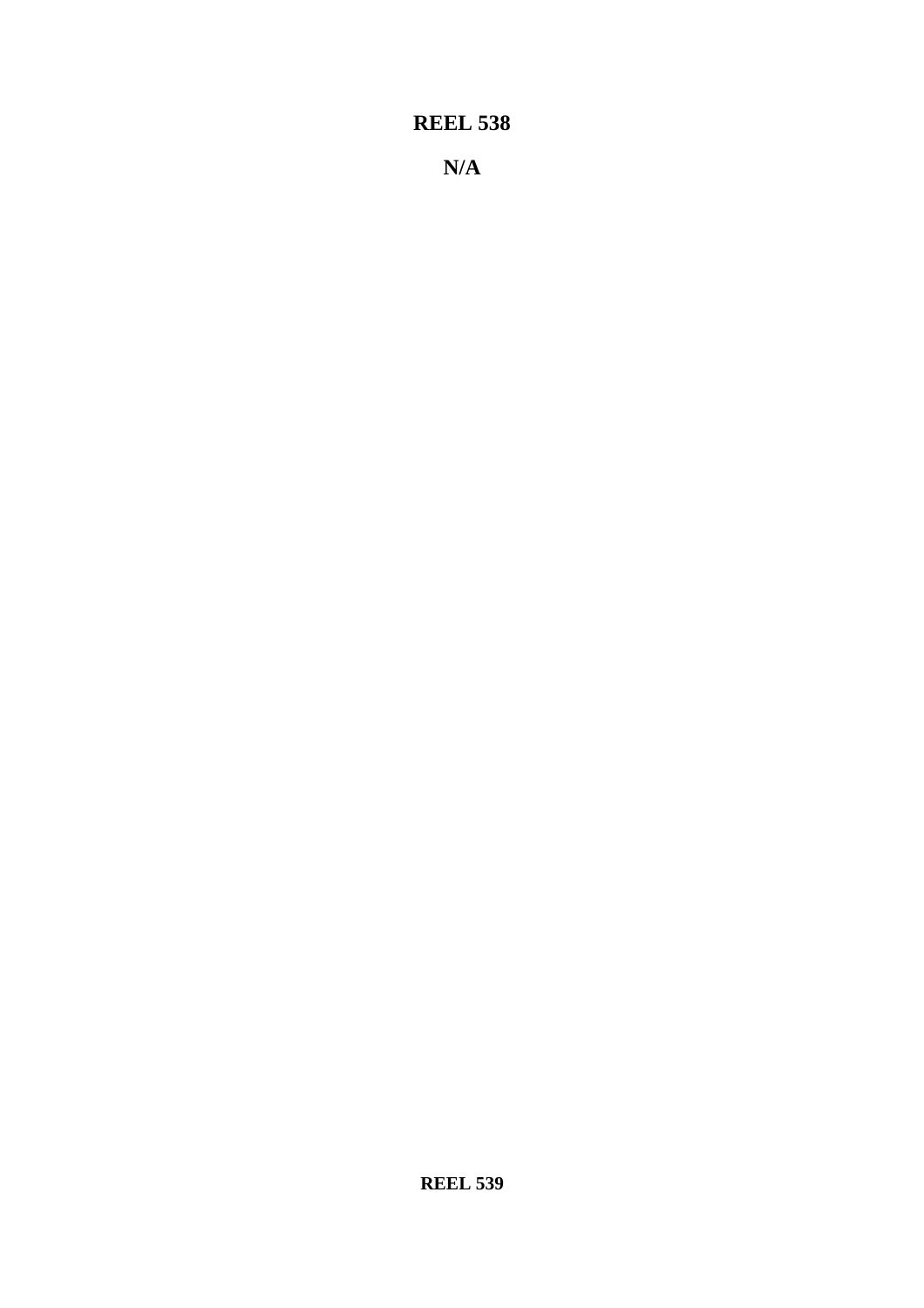**N/A**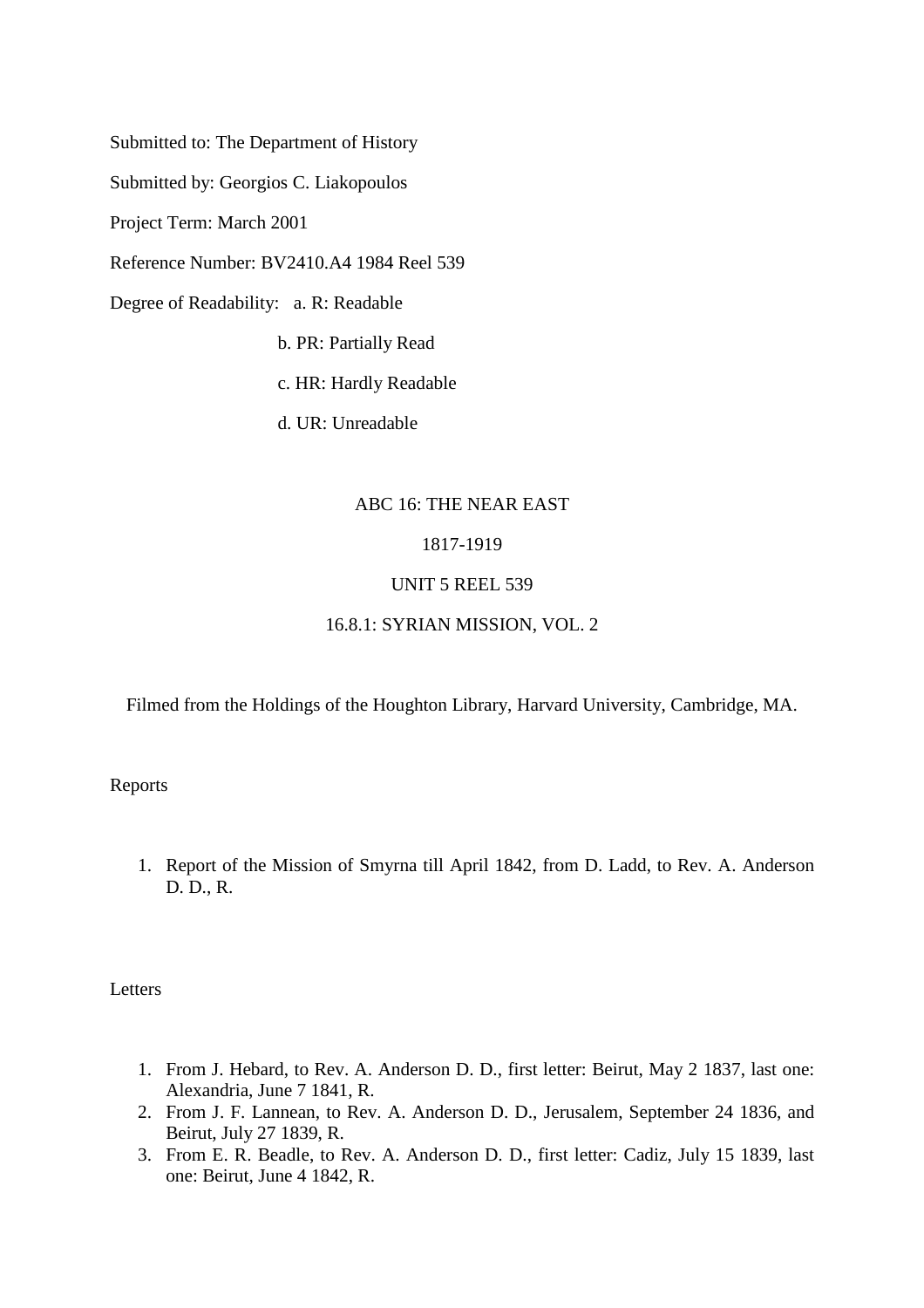Submitted to: The Department of History

Submitted by: Georgios C. Liakopoulos

Project Term: March 2001

Reference Number: BV2410.A4 1984 Reel 539

Degree of Readability: a. R: Readable

b. PR: Partially Read

c. HR: Hardly Readable

d. UR: Unreadable

## ABC 16: THE NEAR EAST

# 1817-1919

## UNIT 5 REEL 539

## 16.8.1: SYRIAN MISSION, VOL. 2

Filmed from the Holdings of the Houghton Library, Harvard University, Cambridge, MA.

### Reports

1. Report of the Mission of Smyrna till April 1842, from D. Ladd, to Rev. A. Anderson D. D., R.

**Letters** 

- 1. From J. Hebard, to Rev. A. Anderson D. D., first letter: Beirut, May 2 1837, last one: Alexandria, June 7 1841, R.
- 2. From J. F. Lannean, to Rev. A. Anderson D. D., Jerusalem, September 24 1836, and Beirut, July 27 1839, R.
- 3. From E. R. Beadle, to Rev. A. Anderson D. D., first letter: Cadiz, July 15 1839, last one: Beirut, June 4 1842, R.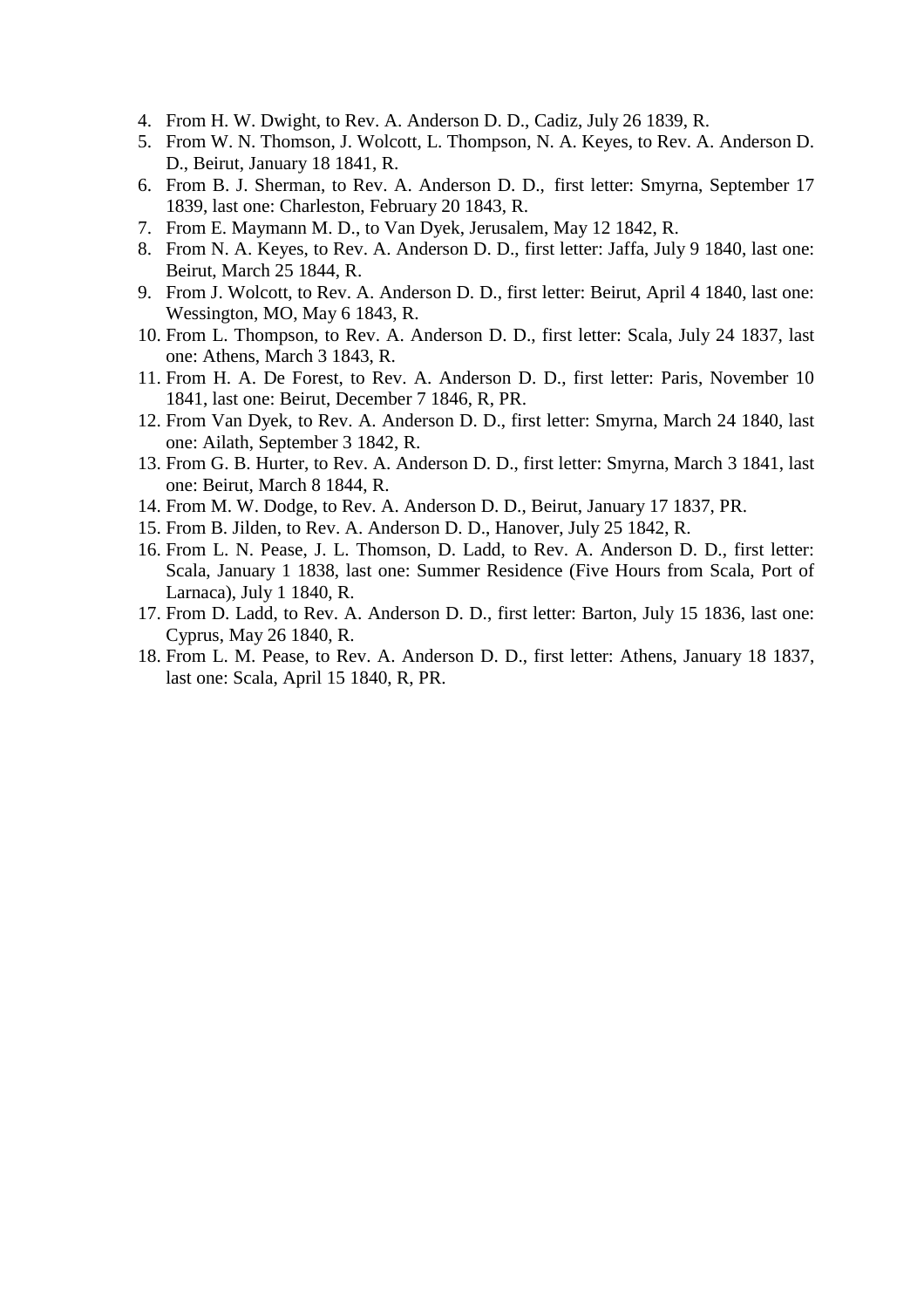- 4. From H. W. Dwight, to Rev. A. Anderson D. D., Cadiz, July 26 1839, R.
- 5. From W. N. Thomson, J. Wolcott, L. Thompson, N. A. Keyes, to Rev. A. Anderson D. D., Beirut, January 18 1841, R.
- 6. From B. J. Sherman, to Rev. A. Anderson D. D., first letter: Smyrna, September 17 1839, last one: Charleston, February 20 1843, R.
- 7. From E. Maymann M. D., to Van Dyek, Jerusalem, May 12 1842, R.
- 8. From N. A. Keyes, to Rev. A. Anderson D. D., first letter: Jaffa, July 9 1840, last one: Beirut, March 25 1844, R.
- 9. From J. Wolcott, to Rev. A. Anderson D. D., first letter: Beirut, April 4 1840, last one: Wessington, MO, May 6 1843, R.
- 10. From L. Thompson, to Rev. A. Anderson D. D., first letter: Scala, July 24 1837, last one: Athens, March 3 1843, R.
- 11. From H. A. De Forest, to Rev. A. Anderson D. D., first letter: Paris, November 10 1841, last one: Beirut, December 7 1846, R, PR.
- 12. From Van Dyek, to Rev. A. Anderson D. D., first letter: Smyrna, March 24 1840, last one: Ailath, September 3 1842, R.
- 13. From G. B. Hurter, to Rev. A. Anderson D. D., first letter: Smyrna, March 3 1841, last one: Beirut, March 8 1844, R.
- 14. From M. W. Dodge, to Rev. A. Anderson D. D., Beirut, January 17 1837, PR.
- 15. From B. Jilden, to Rev. A. Anderson D. D., Hanover, July 25 1842, R.
- 16. From L. N. Pease, J. L. Thomson, D. Ladd, to Rev. A. Anderson D. D., first letter: Scala, January 1 1838, last one: Summer Residence (Five Hours from Scala, Port of Larnaca), July 1 1840, R.
- 17. From D. Ladd, to Rev. A. Anderson D. D., first letter: Barton, July 15 1836, last one: Cyprus, May 26 1840, R.
- 18. From L. M. Pease, to Rev. A. Anderson D. D., first letter: Athens, January 18 1837, last one: Scala, April 15 1840, R, PR.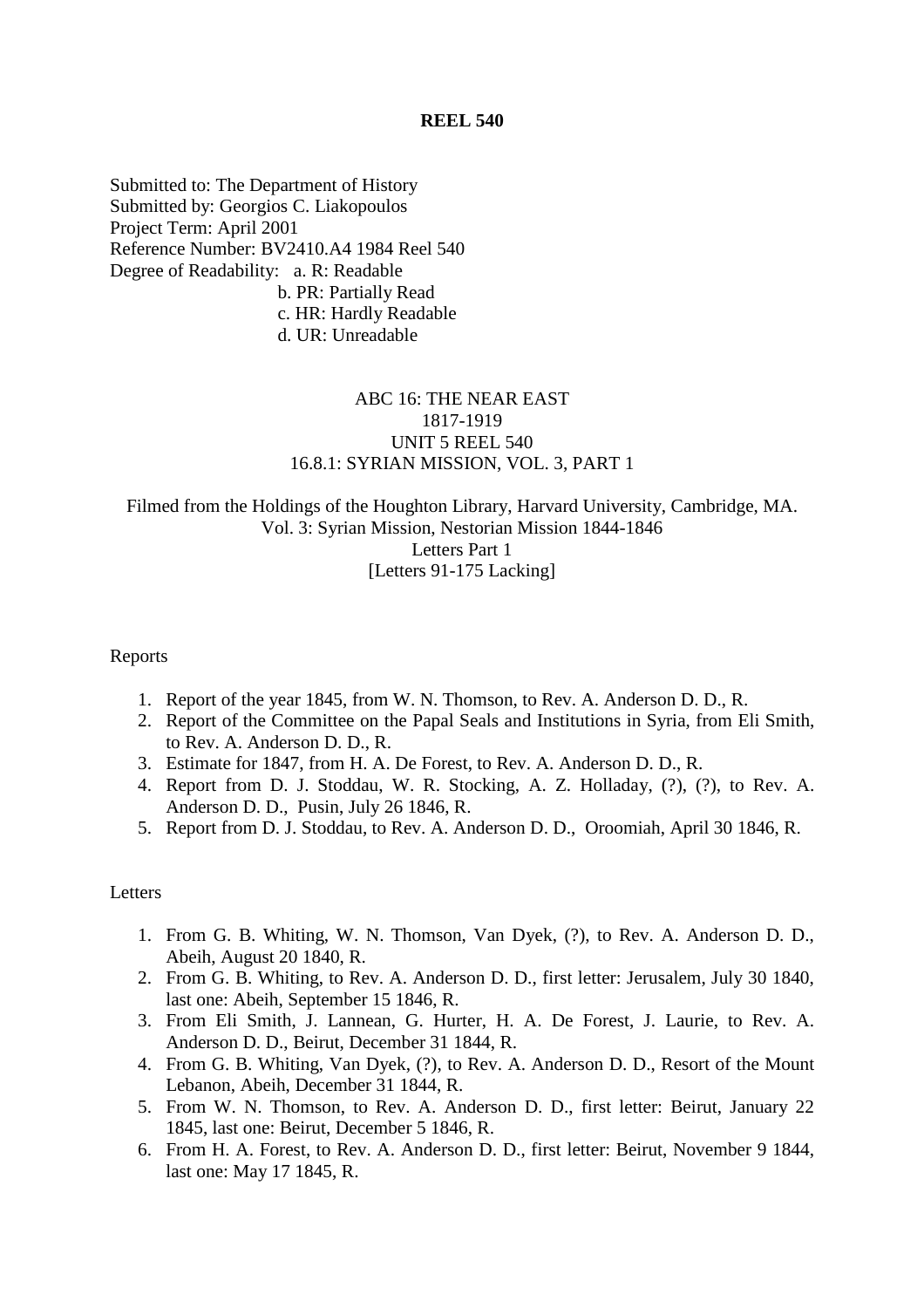Submitted to: The Department of History Submitted by: Georgios C. Liakopoulos Project Term: April 2001 Reference Number: BV2410.A4 1984 Reel 540 Degree of Readability: a. R: Readable b. PR: Partially Read c. HR: Hardly Readable d. UR: Unreadable

# ABC 16: THE NEAR EAST 1817-1919 UNIT 5 REEL 540 16.8.1: SYRIAN MISSION, VOL. 3, PART 1

# Filmed from the Holdings of the Houghton Library, Harvard University, Cambridge, MA. Vol. 3: Syrian Mission, Nestorian Mission 1844-1846 Letters Part 1 [Letters 91-175 Lacking]

# Reports

- 1. Report of the year 1845, from W. N. Thomson, to Rev. A. Anderson D. D., R.
- 2. Report of the Committee on the Papal Seals and Institutions in Syria, from Eli Smith, to Rev. A. Anderson D. D., R.
- 3. Estimate for 1847, from H. A. De Forest, to Rev. A. Anderson D. D., R.
- 4. Report from D. J. Stoddau, W. R. Stocking, A. Z. Holladay, (?), (?), to Rev. A. Anderson D. D., Pusin, July 26 1846, R.
- 5. Report from D. J. Stoddau, to Rev. A. Anderson D. D., Oroomiah, April 30 1846, R.

#### **Letters**

- 1. From G. B. Whiting, W. N. Thomson, Van Dyek, (?), to Rev. A. Anderson D. D., Abeih, August 20 1840, R.
- 2. From G. B. Whiting, to Rev. A. Anderson D. D., first letter: Jerusalem, July 30 1840, last one: Abeih, September 15 1846, R.
- 3. From Eli Smith, J. Lannean, G. Hurter, H. A. De Forest, J. Laurie, to Rev. A. Anderson D. D., Beirut, December 31 1844, R.
- 4. From G. B. Whiting, Van Dyek, (?), to Rev. A. Anderson D. D., Resort of the Mount Lebanon, Abeih, December 31 1844, R.
- 5. From W. N. Thomson, to Rev. A. Anderson D. D., first letter: Beirut, January 22 1845, last one: Beirut, December 5 1846, R.
- 6. From H. A. Forest, to Rev. A. Anderson D. D., first letter: Beirut, November 9 1844, last one: May 17 1845, R.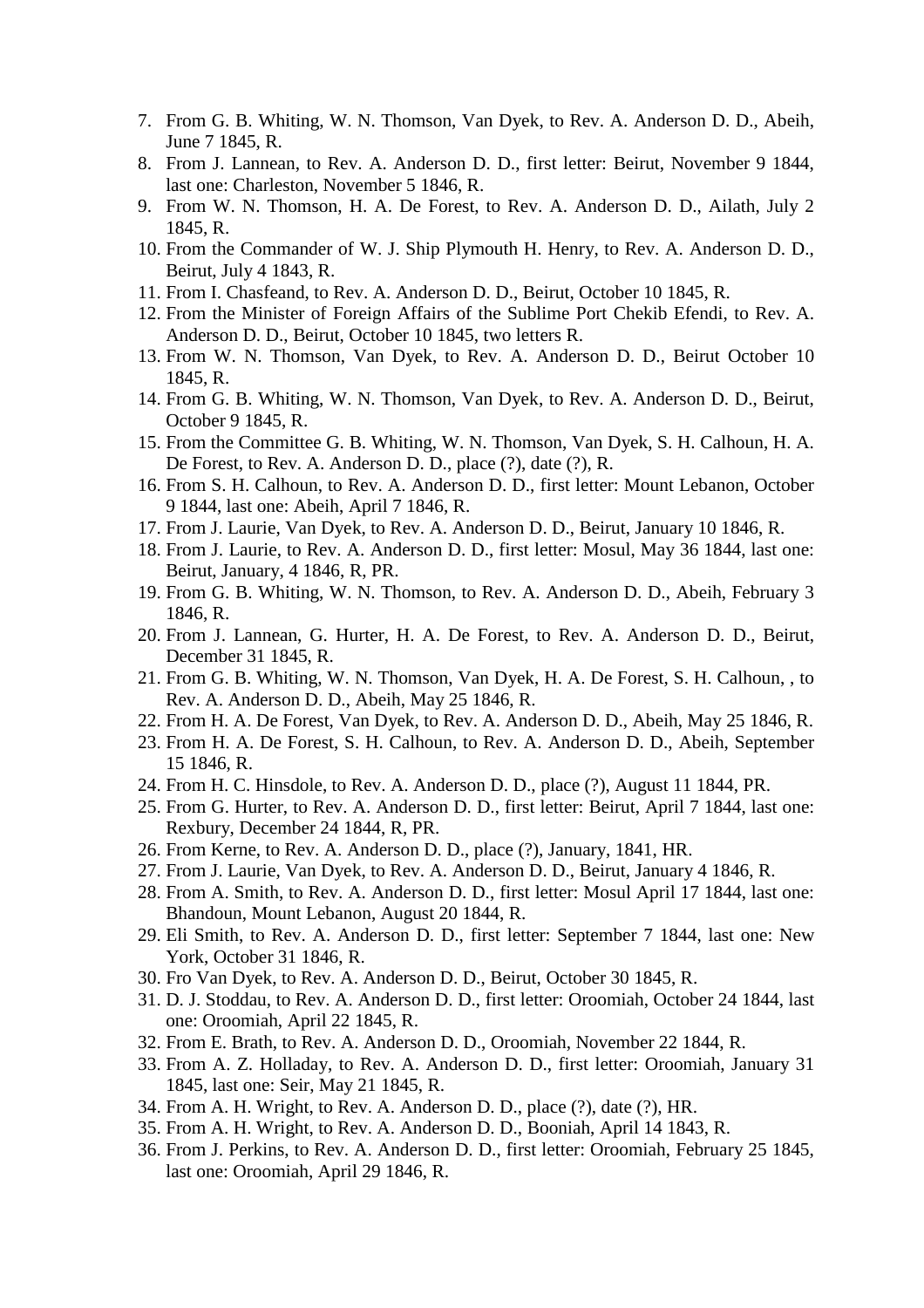- 7. From G. B. Whiting, W. N. Thomson, Van Dyek, to Rev. A. Anderson D. D., Abeih, June 7 1845, R.
- 8. From J. Lannean, to Rev. A. Anderson D. D., first letter: Beirut, November 9 1844, last one: Charleston, November 5 1846, R.
- 9. From W. N. Thomson, H. A. De Forest, to Rev. A. Anderson D. D., Ailath, July 2 1845, R.
- 10. From the Commander of W. J. Ship Plymouth H. Henry, to Rev. A. Anderson D. D., Beirut, July 4 1843, R.
- 11. From I. Chasfeand, to Rev. A. Anderson D. D., Beirut, October 10 1845, R.
- 12. From the Minister of Foreign Affairs of the Sublime Port Chekib Efendi, to Rev. A. Anderson D. D., Beirut, October 10 1845, two letters R.
- 13. From W. N. Thomson, Van Dyek, to Rev. A. Anderson D. D., Beirut October 10 1845, R.
- 14. From G. B. Whiting, W. N. Thomson, Van Dyek, to Rev. A. Anderson D. D., Beirut, October 9 1845, R.
- 15. From the Committee G. B. Whiting, W. N. Thomson, Van Dyek, S. H. Calhoun, H. A. De Forest, to Rev. A. Anderson D. D., place (?), date (?), R.
- 16. From S. H. Calhoun, to Rev. A. Anderson D. D., first letter: Mount Lebanon, October 9 1844, last one: Abeih, April 7 1846, R.
- 17. From J. Laurie, Van Dyek, to Rev. A. Anderson D. D., Beirut, January 10 1846, R.
- 18. From J. Laurie, to Rev. A. Anderson D. D., first letter: Mosul, May 36 1844, last one: Beirut, January, 4 1846, R, PR.
- 19. From G. B. Whiting, W. N. Thomson, to Rev. A. Anderson D. D., Abeih, February 3 1846, R.
- 20. From J. Lannean, G. Hurter, H. A. De Forest, to Rev. A. Anderson D. D., Beirut, December 31 1845, R.
- 21. From G. B. Whiting, W. N. Thomson, Van Dyek, H. A. De Forest, S. H. Calhoun, , to Rev. A. Anderson D. D., Abeih, May 25 1846, R.
- 22. From H. A. De Forest, Van Dyek, to Rev. A. Anderson D. D., Abeih, May 25 1846, R.
- 23. From H. A. De Forest, S. H. Calhoun, to Rev. A. Anderson D. D., Abeih, September 15 1846, R.
- 24. From H. C. Hinsdole, to Rev. A. Anderson D. D., place (?), August 11 1844, PR.
- 25. From G. Hurter, to Rev. A. Anderson D. D., first letter: Beirut, April 7 1844, last one: Rexbury, December 24 1844, R, PR.
- 26. From Kerne, to Rev. A. Anderson D. D., place (?), January, 1841, HR.
- 27. From J. Laurie, Van Dyek, to Rev. A. Anderson D. D., Beirut, January 4 1846, R.
- 28. From A. Smith, to Rev. A. Anderson D. D., first letter: Mosul April 17 1844, last one: Bhandoun, Mount Lebanon, August 20 1844, R.
- 29. Eli Smith, to Rev. A. Anderson D. D., first letter: September 7 1844, last one: New York, October 31 1846, R.
- 30. Fro Van Dyek, to Rev. A. Anderson D. D., Beirut, October 30 1845, R.
- 31. D. J. Stoddau, to Rev. A. Anderson D. D., first letter: Oroomiah, October 24 1844, last one: Oroomiah, April 22 1845, R.
- 32. From E. Brath, to Rev. A. Anderson D. D., Oroomiah, November 22 1844, R.
- 33. From A. Z. Holladay, to Rev. A. Anderson D. D., first letter: Oroomiah, January 31 1845, last one: Seir, May 21 1845, R.
- 34. From A. H. Wright, to Rev. A. Anderson D. D., place (?), date (?), HR.
- 35. From A. H. Wright, to Rev. A. Anderson D. D., Booniah, April 14 1843, R.
- 36. From J. Perkins, to Rev. A. Anderson D. D., first letter: Oroomiah, February 25 1845, last one: Oroomiah, April 29 1846, R.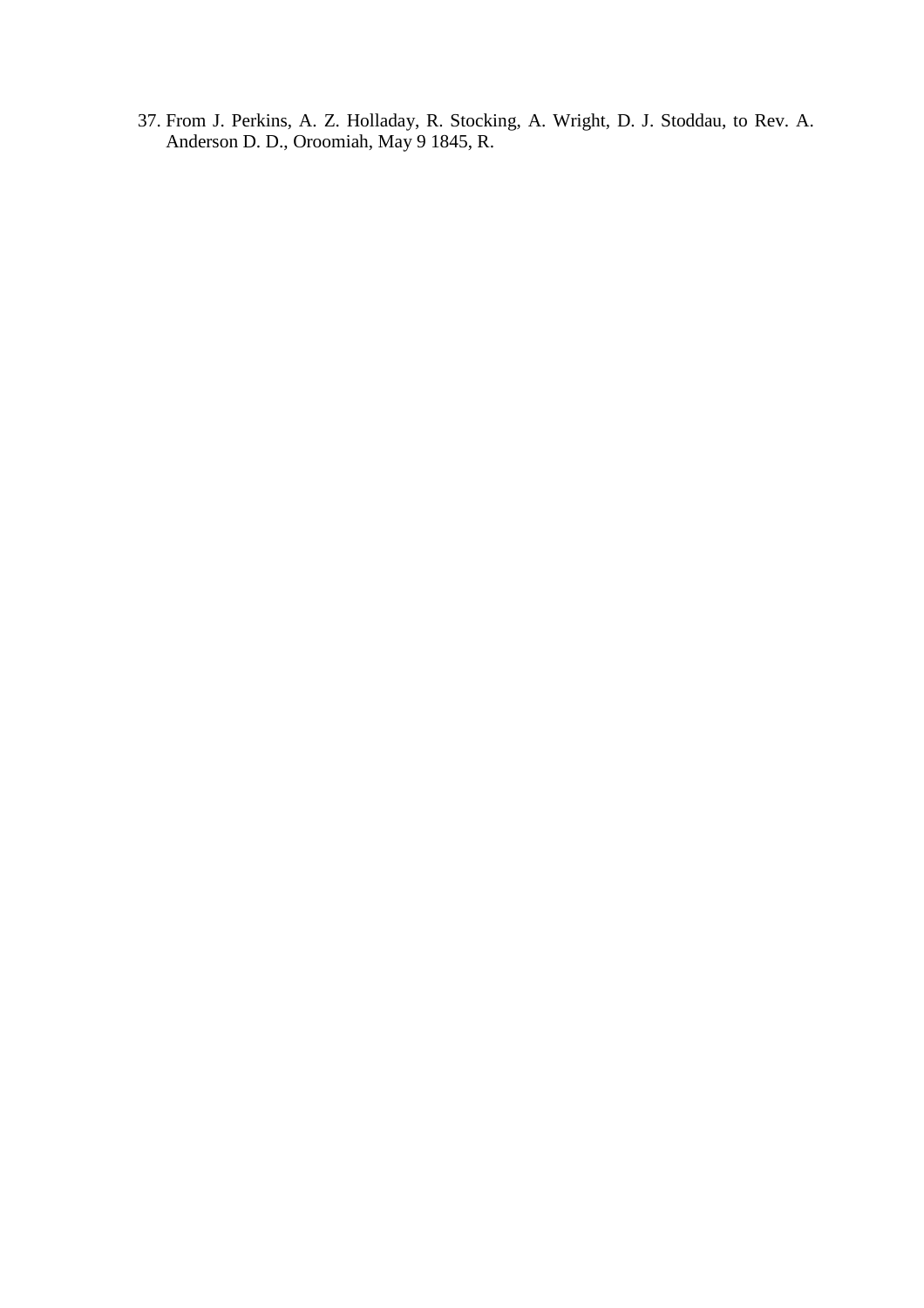37. From J. Perkins, A. Z. Holladay, R. Stocking, A. Wright, D. J. Stoddau, to Rev. A. Anderson D. D., Oroomiah, May 9 1845, R.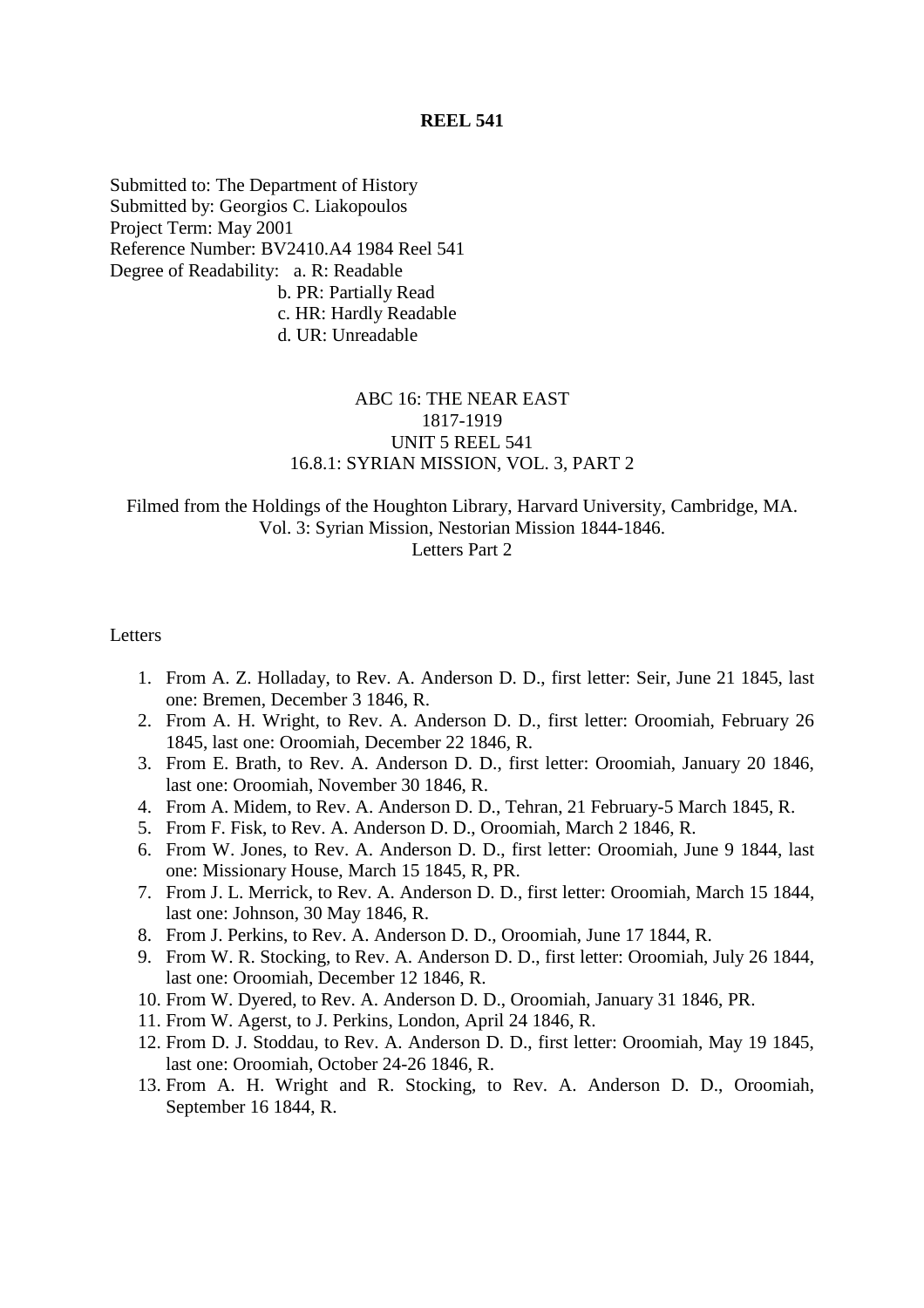Submitted to: The Department of History Submitted by: Georgios C. Liakopoulos Project Term: May 2001 Reference Number: BV2410.A4 1984 Reel 541 Degree of Readability: a. R: Readable b. PR: Partially Read c. HR: Hardly Readable d. UR: Unreadable

# ABC 16: THE NEAR EAST 1817-1919 UNIT 5 REEL 541 16.8.1: SYRIAN MISSION, VOL. 3, PART 2

## Filmed from the Holdings of the Houghton Library, Harvard University, Cambridge, MA. Vol. 3: Syrian Mission, Nestorian Mission 1844-1846. Letters Part 2

#### Letters

- 1. From A. Z. Holladay, to Rev. A. Anderson D. D., first letter: Seir, June 21 1845, last one: Bremen, December 3 1846, R.
- 2. From A. H. Wright, to Rev. A. Anderson D. D., first letter: Oroomiah, February 26 1845, last one: Oroomiah, December 22 1846, R.
- 3. From E. Brath, to Rev. A. Anderson D. D., first letter: Oroomiah, January 20 1846, last one: Oroomiah, November 30 1846, R.
- 4. From A. Midem, to Rev. A. Anderson D. D., Tehran, 21 February-5 March 1845, R.
- 5. From F. Fisk, to Rev. A. Anderson D. D., Oroomiah, March 2 1846, R.
- 6. From W. Jones, to Rev. A. Anderson D. D., first letter: Oroomiah, June 9 1844, last one: Missionary House, March 15 1845, R, PR.
- 7. From J. L. Merrick, to Rev. A. Anderson D. D., first letter: Oroomiah, March 15 1844, last one: Johnson, 30 May 1846, R.
- 8. From J. Perkins, to Rev. A. Anderson D. D., Oroomiah, June 17 1844, R.
- 9. From W. R. Stocking, to Rev. A. Anderson D. D., first letter: Oroomiah, July 26 1844, last one: Oroomiah, December 12 1846, R.
- 10. From W. Dyered, to Rev. A. Anderson D. D., Oroomiah, January 31 1846, PR.
- 11. From W. Agerst, to J. Perkins, London, April 24 1846, R.
- 12. From D. J. Stoddau, to Rev. A. Anderson D. D., first letter: Oroomiah, May 19 1845, last one: Oroomiah, October 24-26 1846, R.
- 13. From A. H. Wright and R. Stocking, to Rev. A. Anderson D. D., Oroomiah, September 16 1844, R.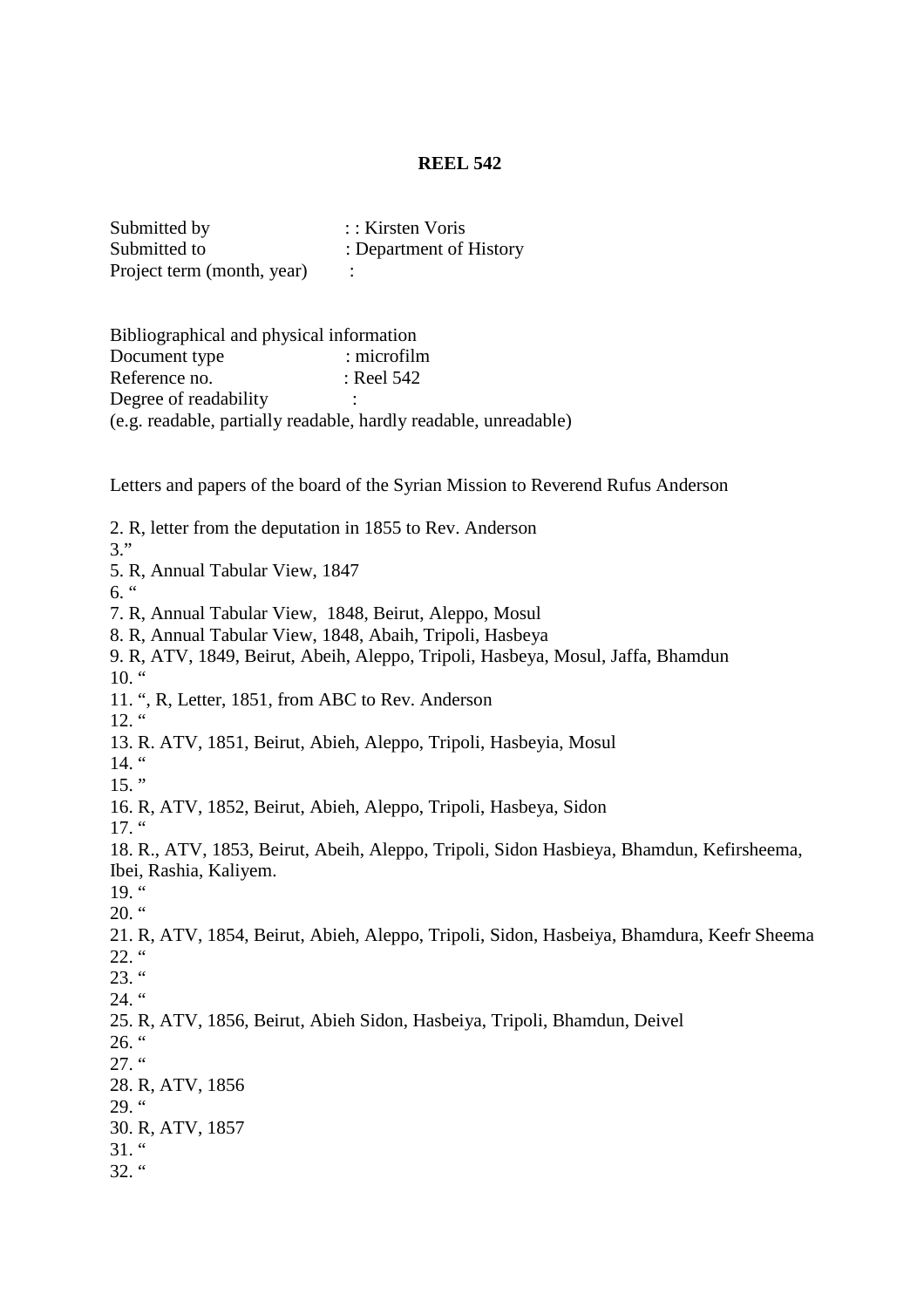| Submitted by               | :: Kirsten Voris        |
|----------------------------|-------------------------|
| Submitted to               | : Department of History |
| Project term (month, year) |                         |

Bibliographical and physical information Document type : microfilm Reference no. : Reel 542 Degree of readability (e.g. readable, partially readable, hardly readable, unreadable)

Letters and papers of the board of the Syrian Mission to Reverend Rufus Anderson

2. R, letter from the deputation in 1855 to Rev. Anderson 3." 5. R, Annual Tabular View, 1847  $6.$  " 7. R, Annual Tabular View, 1848, Beirut, Aleppo, Mosul 8. R, Annual Tabular View, 1848, Abaih, Tripoli, Hasbeya 9. R, ATV, 1849, Beirut, Abeih, Aleppo, Tripoli, Hasbeya, Mosul, Jaffa, Bhamdun  $10.$  " 11. ", R, Letter, 1851, from ABC to Rev. Anderson  $12.$  " 13. R. ATV, 1851, Beirut, Abieh, Aleppo, Tripoli, Hasbeyia, Mosul  $14.$  "  $15.$  " 16. R, ATV, 1852, Beirut, Abieh, Aleppo, Tripoli, Hasbeya, Sidon 17. " 18. R., ATV, 1853, Beirut, Abeih, Aleppo, Tripoli, Sidon Hasbieya, Bhamdun, Kefirsheema, Ibei, Rashia, Kaliyem.  $19.$  "  $20.$  " 21. R, ATV, 1854, Beirut, Abieh, Aleppo, Tripoli, Sidon, Hasbeiya, Bhamdura, Keefr Sheema 22. "  $23.$  "  $24.$  " 25. R, ATV, 1856, Beirut, Abieh Sidon, Hasbeiya, Tripoli, Bhamdun, Deivel  $26.$  "  $27.$  " 28. R, ATV, 1856 29.  $\degree$ 30. R, ATV, 1857  $31.$  "  $32.$  "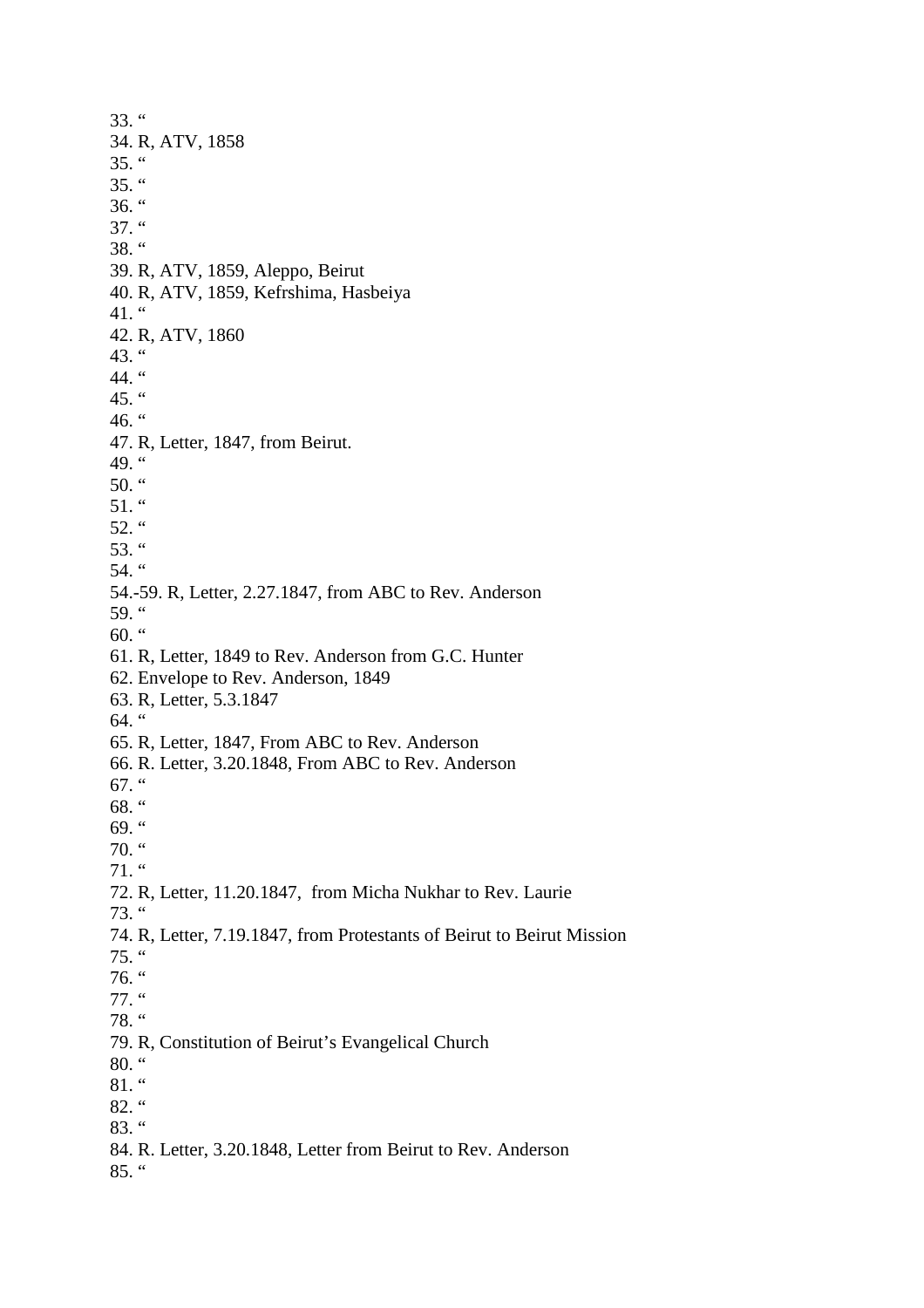33. " 34. R, ATV, 1858  $35.$  "  $35.$  "  $36.$  "  $37.$  "  $38.$  " 39. R, ATV, 1859, Aleppo, Beirut 40. R, ATV, 1859, Kefrshima, Hasbeiya 41.  $\lq$ 42. R, ATV, 1860 43.  $\degree$ 44. " 45. " 46.  $\degree$ 47. R, Letter, 1847, from Beirut. 49. " 50.  $\degree$  $51.$  " 52.  $\degree$ 53. " 54. " 54.-59. R, Letter, 2.27.1847, from ABC to Rev. Anderson 59.  $\degree$ 60.  $\degree$ 61. R, Letter, 1849 to Rev. Anderson from G.C. Hunter 62. Envelope to Rev. Anderson, 1849 63. R, Letter, 5.3.1847 64. " 65. R, Letter, 1847, From ABC to Rev. Anderson 66. R. Letter, 3.20.1848, From ABC to Rev. Anderson 67.  $\degree$ 68. " 69.  $\degree$  $70.$  " 71. " 72. R, Letter, 11.20.1847, from Micha Nukhar to Rev. Laurie 73. " 74. R, Letter, 7.19.1847, from Protestants of Beirut to Beirut Mission 75. " 76. " 77. " 78. " 79. R, Constitution of Beirut's Evangelical Church 80. "  $81.$  "  $82.$  " 83. " 84. R. Letter, 3.20.1848, Letter from Beirut to Rev. Anderson 85. "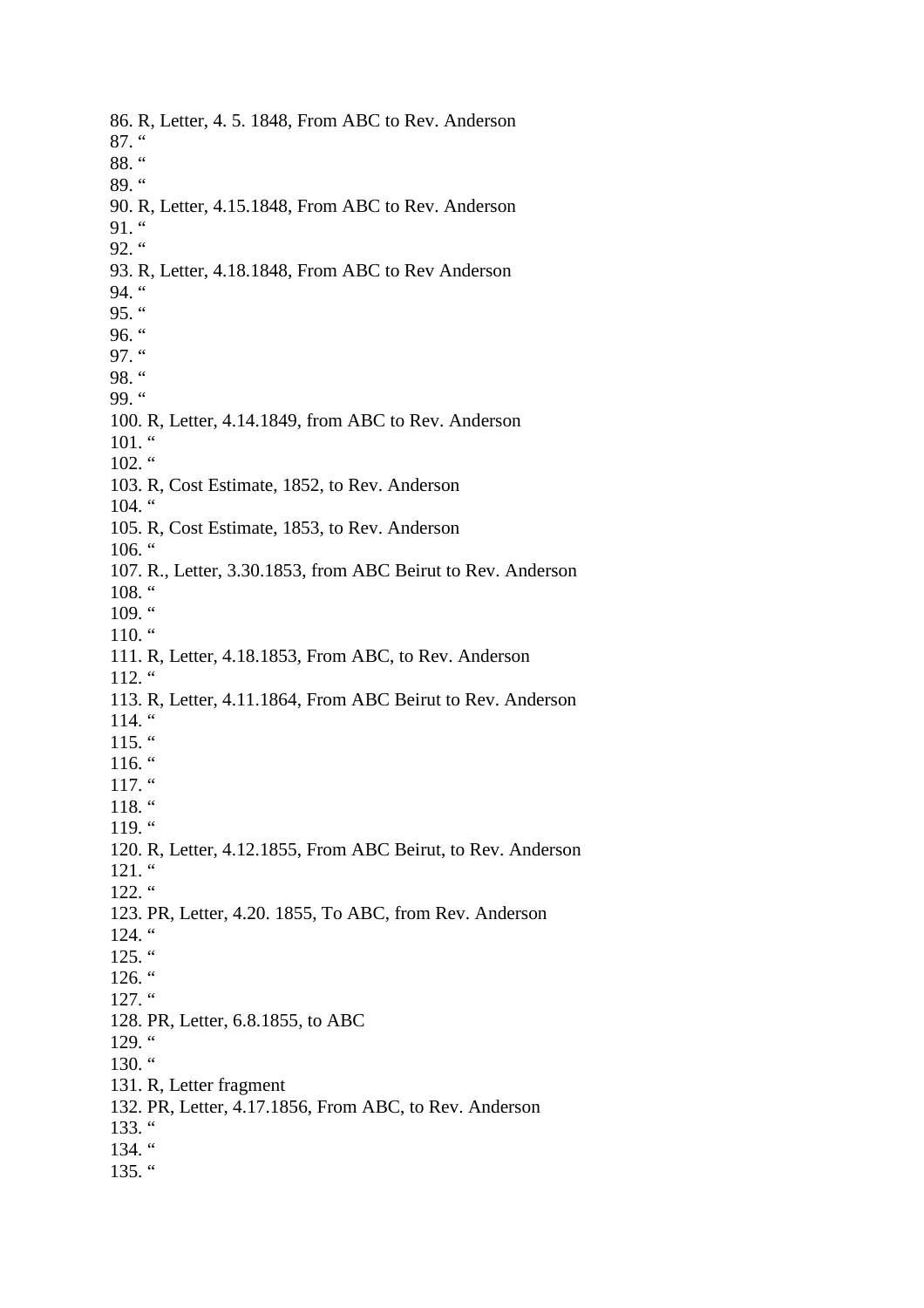86. R, Letter, 4. 5. 1848, From ABC to Rev. Anderson 87. " 88. " 89. " 90. R, Letter, 4.15.1848, From ABC to Rev. Anderson  $91.$  " 92.  $\cdot$ 93. R, Letter, 4.18.1848, From ABC to Rev Anderson 94. " 95.  $\cdot$ 96.  $\degree$ 97. " 98. " 99. " 100. R, Letter, 4.14.1849, from ABC to Rev. Anderson  $101.$  " 102. " 103. R, Cost Estimate, 1852, to Rev. Anderson  $104.$  " 105. R, Cost Estimate, 1853, to Rev. Anderson  $106.$  " 107. R., Letter, 3.30.1853, from ABC Beirut to Rev. Anderson  $108.$  " 109. " 110.  $\lq$ 111. R, Letter, 4.18.1853, From ABC, to Rev. Anderson  $112.$  " 113. R, Letter, 4.11.1864, From ABC Beirut to Rev. Anderson 114. " 115. "  $116.$  " 117. " 118. "  $119.$  " 120. R, Letter, 4.12.1855, From ABC Beirut, to Rev. Anderson 121. "  $122.$  " 123. PR, Letter, 4.20. 1855, To ABC, from Rev. Anderson 124. " 125. "  $126.$  "  $127.$  " 128. PR, Letter, 6.8.1855, to ABC  $129.$  " 130.  $\degree$ 131. R, Letter fragment 132. PR, Letter, 4.17.1856, From ABC, to Rev. Anderson 133. " 134. " 135. "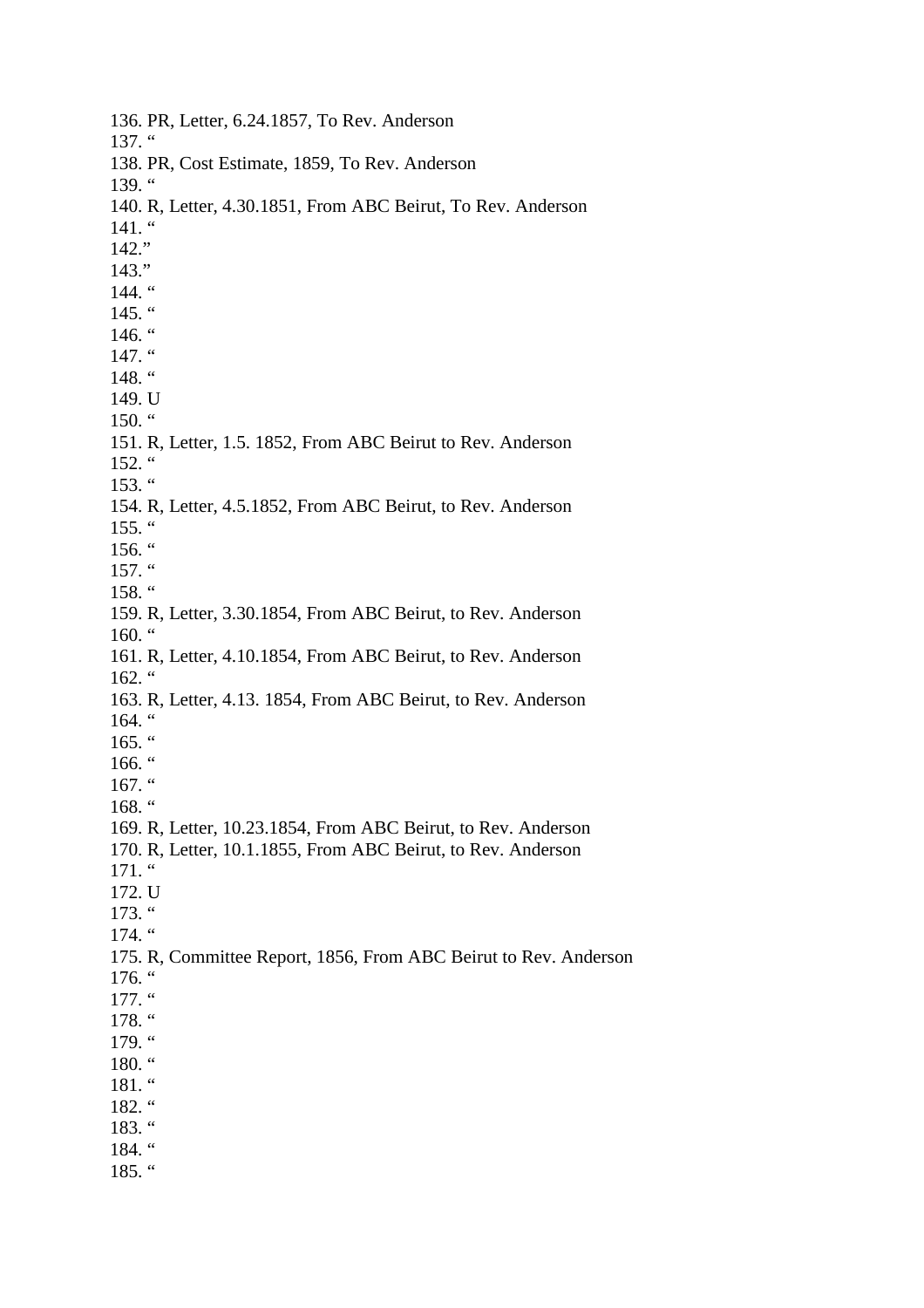136. PR, Letter, 6.24.1857, To Rev. Anderson 137. " 138. PR, Cost Estimate, 1859, To Rev. Anderson 139. " 140. R, Letter, 4.30.1851, From ABC Beirut, To Rev. Anderson  $141.$  " 142." 143."  $144.$  "  $145.$  " 146.  $\degree$ 147. " 148. " 149. U 150.  $\degree$ 151. R, Letter, 1.5. 1852, From ABC Beirut to Rev. Anderson 152. "  $153.$  " 154. R, Letter, 4.5.1852, From ABC Beirut, to Rev. Anderson  $155.$  "  $156.$  "  $157.$  " 158.  $\degree$ 159. R, Letter, 3.30.1854, From ABC Beirut, to Rev. Anderson 160. " 161. R, Letter, 4.10.1854, From ABC Beirut, to Rev. Anderson  $162.$  " 163. R, Letter, 4.13. 1854, From ABC Beirut, to Rev. Anderson 164. " 165. " 166. "  $167.$  " 168. " 169. R, Letter, 10.23.1854, From ABC Beirut, to Rev. Anderson 170. R, Letter, 10.1.1855, From ABC Beirut, to Rev. Anderson 171. " 172. U  $173.$  " 174. " 175. R, Committee Report, 1856, From ABC Beirut to Rev. Anderson  $176.$  "  $177.$  " 178. " 179. " 180. " 181. " 182. " 183. " 184. " 185. "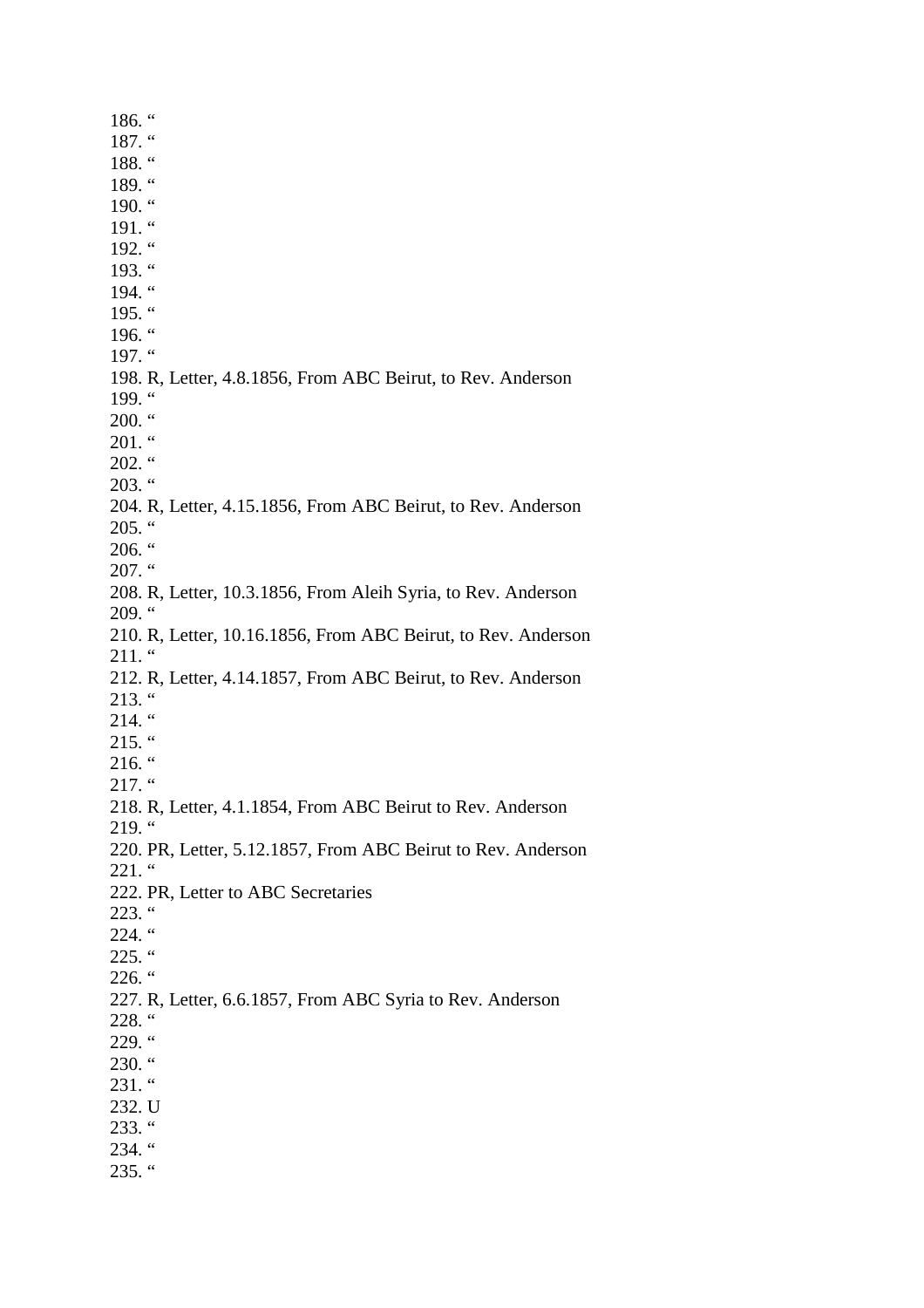186. " 187. " 188. " 189. " 190.  $\lq$ 191. "  $192.$  " 193. " 194. " 195. "  $196.$  " 197. " 198. R, Letter, 4.8.1856, From ABC Beirut, to Rev. Anderson 199. "  $200.$  "  $201.$  "  $202.$  "  $203.$  " 204. R, Letter, 4.15.1856, From ABC Beirut, to Rev. Anderson  $205.$  " 206.  $\cdot\cdot$  $207.$  " 208. R, Letter, 10.3.1856, From Aleih Syria, to Rev. Anderson  $209.$  " 210. R, Letter, 10.16.1856, From ABC Beirut, to Rev. Anderson  $211.$  " 212. R, Letter, 4.14.1857, From ABC Beirut, to Rev. Anderson  $213.$  "  $214.$  "  $215.$  "  $216.$  "  $217.$  " 218. R, Letter, 4.1.1854, From ABC Beirut to Rev. Anderson  $219.$  " 220. PR, Letter, 5.12.1857, From ABC Beirut to Rev. Anderson 221. " 222. PR, Letter to ABC Secretaries  $223.$  " 224. "  $225.$  "  $226.$  " 227. R, Letter, 6.6.1857, From ABC Syria to Rev. Anderson 228. " 229. "  $230.$  "  $231.$  " 232. U 233. "  $234.$  " 235. "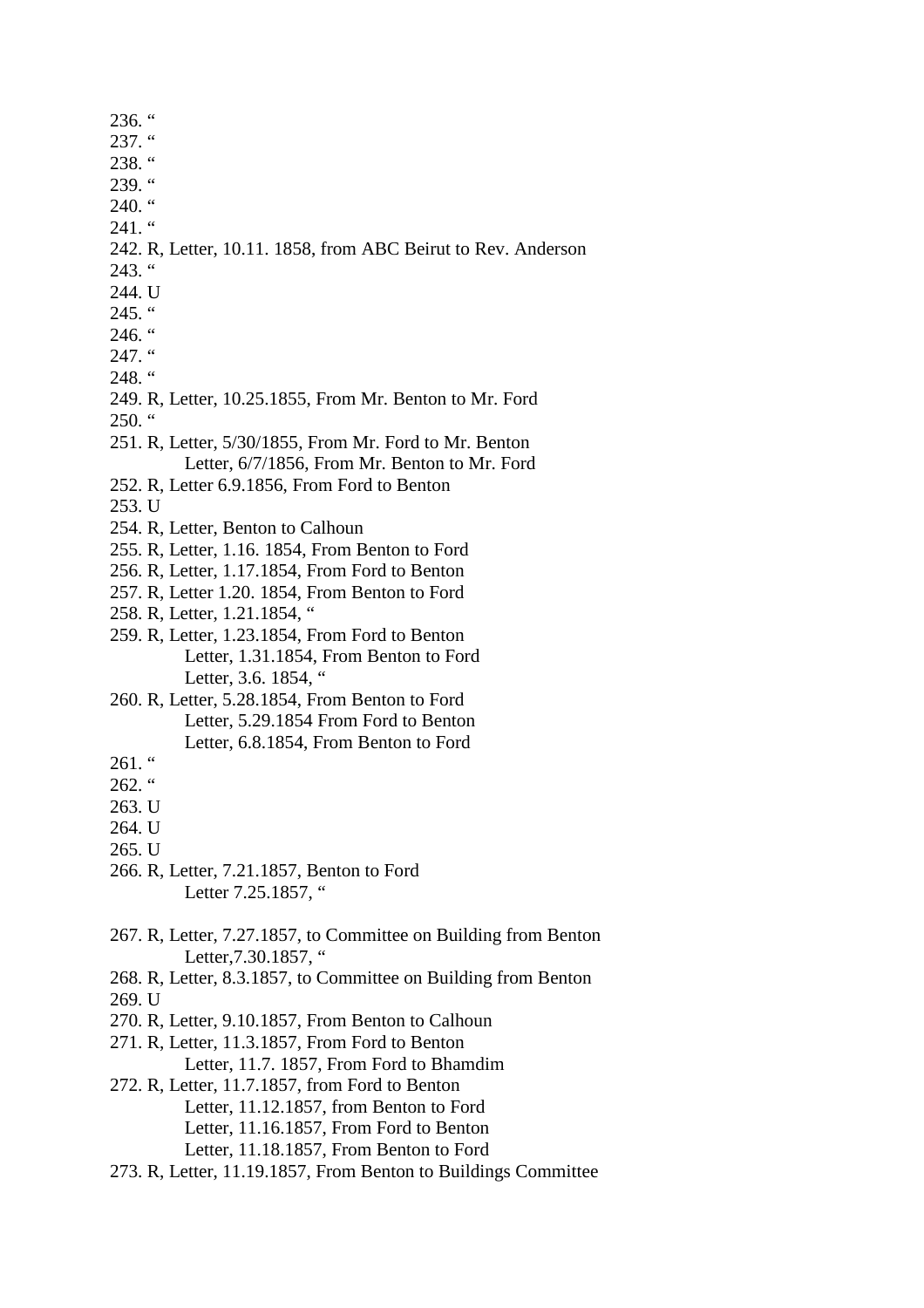236. " 237. " 238. " 239. "  $240.$  " 241. " 242. R, Letter, 10.11. 1858, from ABC Beirut to Rev. Anderson  $243.$  " 244. U  $245.$  "  $246.$  "  $247.$  " 248. " 249. R, Letter, 10.25.1855, From Mr. Benton to Mr. Ford  $250.$  " 251. R, Letter, 5/30/1855, From Mr. Ford to Mr. Benton Letter, 6/7/1856, From Mr. Benton to Mr. Ford 252. R, Letter 6.9.1856, From Ford to Benton 253. U 254. R, Letter, Benton to Calhoun 255. R, Letter, 1.16. 1854, From Benton to Ford 256. R, Letter, 1.17.1854, From Ford to Benton 257. R, Letter 1.20. 1854, From Benton to Ford 258. R, Letter, 1.21.1854, " 259. R, Letter, 1.23.1854, From Ford to Benton Letter, 1.31.1854, From Benton to Ford Letter, 3.6. 1854, " 260. R, Letter, 5.28.1854, From Benton to Ford Letter, 5.29.1854 From Ford to Benton Letter, 6.8.1854, From Benton to Ford 261. " 262. " 263. U 264. U 265. U 266. R, Letter, 7.21.1857, Benton to Ford Letter 7.25.1857, " 267. R, Letter, 7.27.1857, to Committee on Building from Benton Letter, 7.30.1857, " 268. R, Letter, 8.3.1857, to Committee on Building from Benton 269. U 270. R, Letter, 9.10.1857, From Benton to Calhoun 271. R, Letter, 11.3.1857, From Ford to Benton Letter, 11.7. 1857, From Ford to Bhamdim 272. R, Letter, 11.7.1857, from Ford to Benton Letter, 11.12.1857, from Benton to Ford Letter, 11.16.1857, From Ford to Benton Letter, 11.18.1857, From Benton to Ford 273. R, Letter, 11.19.1857, From Benton to Buildings Committee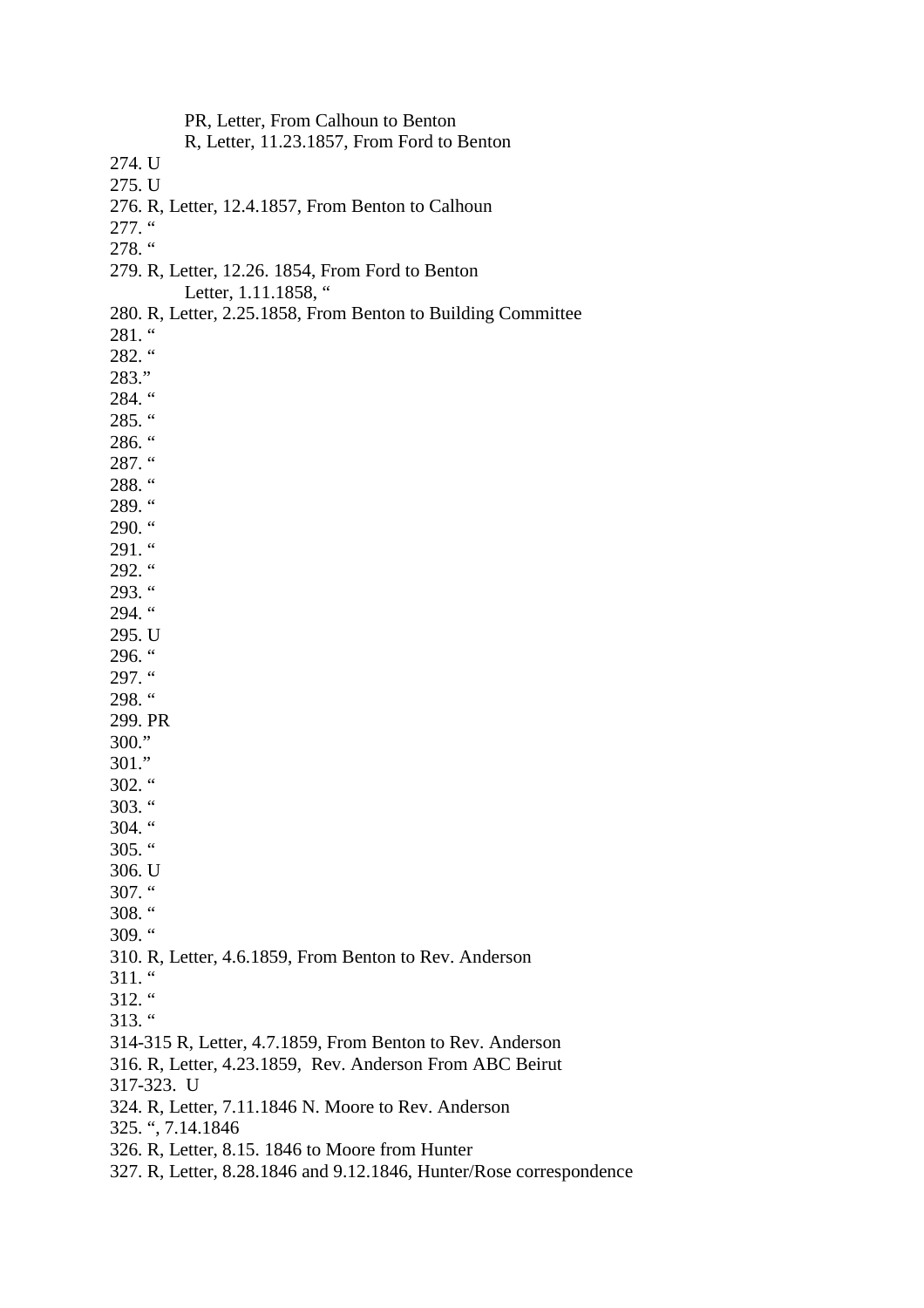PR, Letter, From Calhoun to Benton R, Letter, 11.23.1857, From Ford to Benton 274. U 275. U 276. R, Letter, 12.4.1857, From Benton to Calhoun 277. " 278. " 279. R, Letter, 12.26. 1854, From Ford to Benton Letter, 1.11.1858, " 280. R, Letter, 2.25.1858, From Benton to Building Committee  $281.$  " 282. " 283." 284. " 285. " 286. " 287. " 288. " 289. "  $290.$  "  $291.$  "  $292.$  "  $293.$  " 294. " 295. U 296. " 297. " 298. " 299. PR 300." 301."  $302.$  "  $303.$  "  $304.$  "  $305.$  " 306. U 307. "  $308.$  " 309. " 310. R, Letter, 4.6.1859, From Benton to Rev. Anderson 311. "  $312.$  " 313. " 314-315 R, Letter, 4.7.1859, From Benton to Rev. Anderson 316. R, Letter, 4.23.1859, Rev. Anderson From ABC Beirut 317-323. U 324. R, Letter, 7.11.1846 N. Moore to Rev. Anderson 325. ", 7.14.1846 326. R, Letter, 8.15. 1846 to Moore from Hunter 327. R, Letter, 8.28.1846 and 9.12.1846, Hunter/Rose correspondence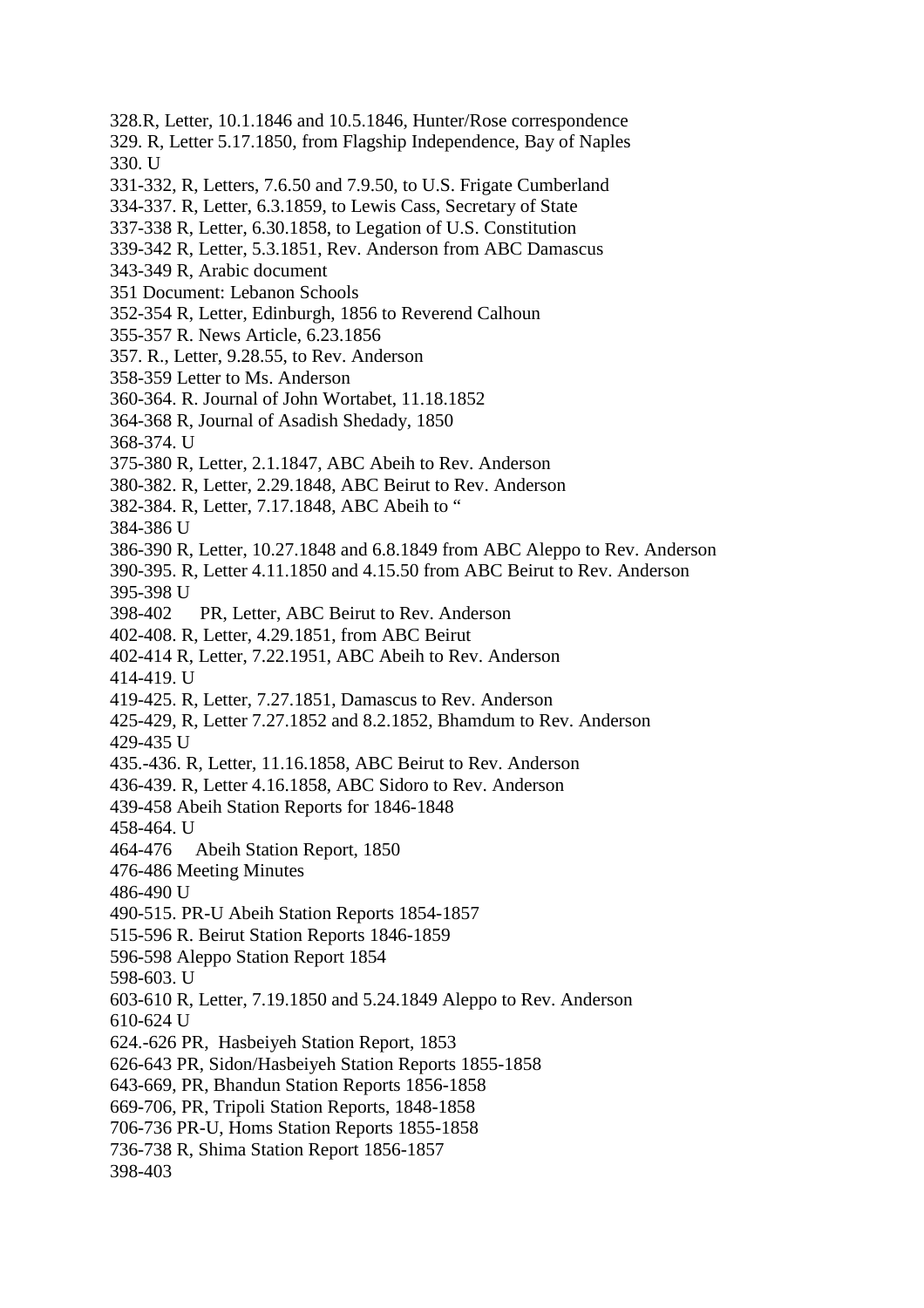- 328.R, Letter, 10.1.1846 and 10.5.1846, Hunter/Rose correspondence
- 329. R, Letter 5.17.1850, from Flagship Independence, Bay of Naples 330. U
- 331-332, R, Letters, 7.6.50 and 7.9.50, to U.S. Frigate Cumberland
- 334-337. R, Letter, 6.3.1859, to Lewis Cass, Secretary of State
- 337-338 R, Letter, 6.30.1858, to Legation of U.S. Constitution
- 339-342 R, Letter, 5.3.1851, Rev. Anderson from ABC Damascus
- 343-349 R, Arabic document
- 351 Document: Lebanon Schools
- 352-354 R, Letter, Edinburgh, 1856 to Reverend Calhoun
- 355-357 R. News Article, 6.23.1856
- 357. R., Letter, 9.28.55, to Rev. Anderson
- 358-359 Letter to Ms. Anderson
- 360-364. R. Journal of John Wortabet, 11.18.1852
- 364-368 R, Journal of Asadish Shedady, 1850
- 368-374. U
- 375-380 R, Letter, 2.1.1847, ABC Abeih to Rev. Anderson
- 380-382. R, Letter, 2.29.1848, ABC Beirut to Rev. Anderson
- 382-384. R, Letter, 7.17.1848, ABC Abeih to "

384-386 U

- 386-390 R, Letter, 10.27.1848 and 6.8.1849 from ABC Aleppo to Rev. Anderson
- 390-395. R, Letter 4.11.1850 and 4.15.50 from ABC Beirut to Rev. Anderson 395-398 U
- 398-402 PR, Letter, ABC Beirut to Rev. Anderson
- 402-408. R, Letter, 4.29.1851, from ABC Beirut
- 402-414 R, Letter, 7.22.1951, ABC Abeih to Rev. Anderson
- 414-419. U
- 419-425. R, Letter, 7.27.1851, Damascus to Rev. Anderson
- 425-429, R, Letter 7.27.1852 and 8.2.1852, Bhamdum to Rev. Anderson 429-435 U
- 435.-436. R, Letter, 11.16.1858, ABC Beirut to Rev. Anderson
- 436-439. R, Letter 4.16.1858, ABC Sidoro to Rev. Anderson
- 439-458 Abeih Station Reports for 1846-1848
- 458-464. U
- 464-476 Abeih Station Report, 1850
- 476-486 Meeting Minutes
- 486-490 U
- 490-515. PR-U Abeih Station Reports 1854-1857
- 515-596 R. Beirut Station Reports 1846-1859
- 596-598 Aleppo Station Report 1854
- 598-603. U
- 603-610 R, Letter, 7.19.1850 and 5.24.1849 Aleppo to Rev. Anderson
- 610-624 U
- 624.-626 PR, Hasbeiyeh Station Report, 1853
- 626-643 PR, Sidon/Hasbeiyeh Station Reports 1855-1858
- 643-669, PR, Bhandun Station Reports 1856-1858
- 669-706, PR, Tripoli Station Reports, 1848-1858
- 706-736 PR-U, Homs Station Reports 1855-1858
- 736-738 R, Shima Station Report 1856-1857
- 398-403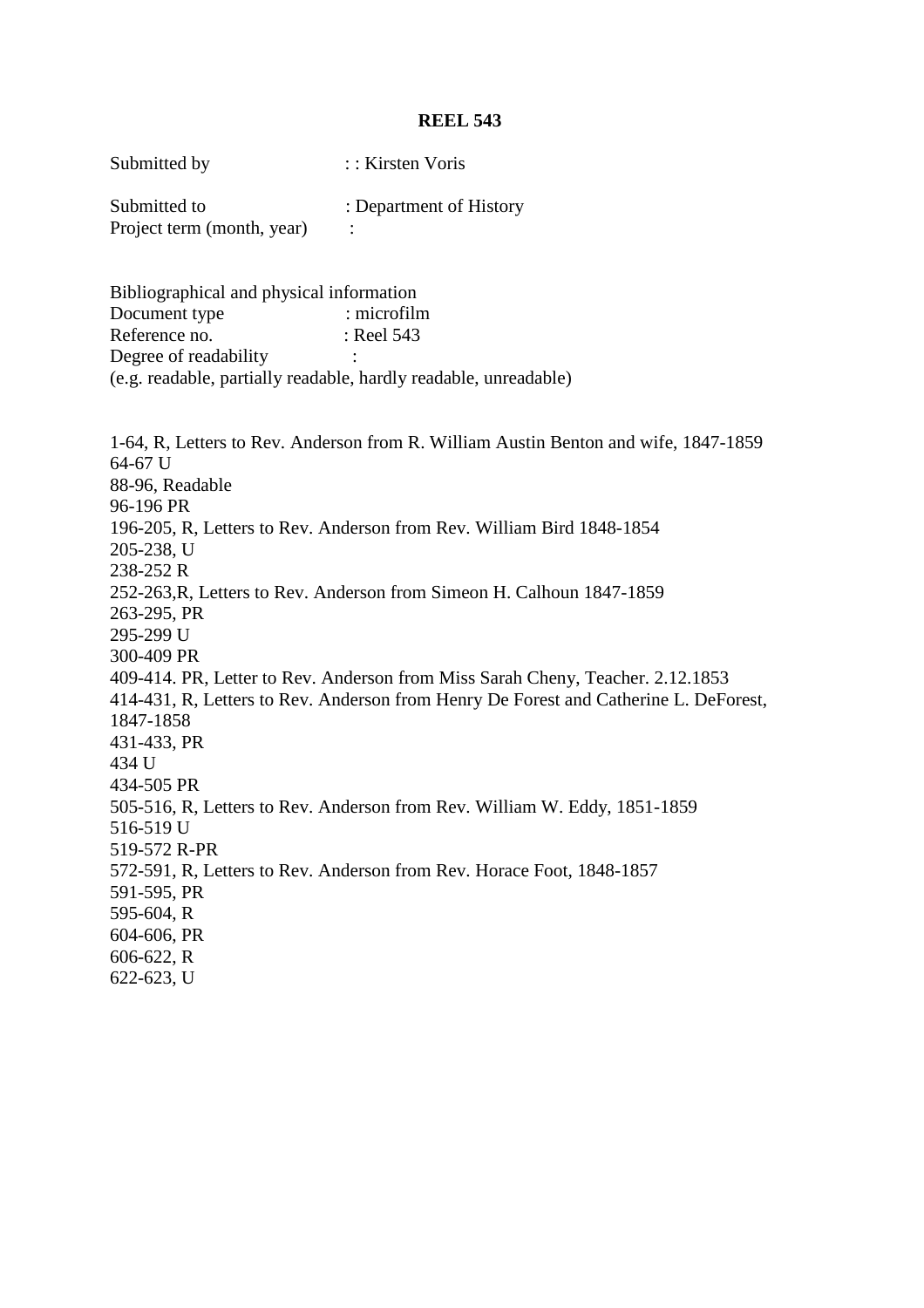| Submitted by                                                                                                                                                                                                                                                                                                                                                                                                                                                                                                                                                                                                                                                                                                                                                                                                                                     | :: Kirsten Voris        |  |
|--------------------------------------------------------------------------------------------------------------------------------------------------------------------------------------------------------------------------------------------------------------------------------------------------------------------------------------------------------------------------------------------------------------------------------------------------------------------------------------------------------------------------------------------------------------------------------------------------------------------------------------------------------------------------------------------------------------------------------------------------------------------------------------------------------------------------------------------------|-------------------------|--|
| Submitted to<br>Project term (month, year)                                                                                                                                                                                                                                                                                                                                                                                                                                                                                                                                                                                                                                                                                                                                                                                                       | : Department of History |  |
| Bibliographical and physical information                                                                                                                                                                                                                                                                                                                                                                                                                                                                                                                                                                                                                                                                                                                                                                                                         |                         |  |
| Document type                                                                                                                                                                                                                                                                                                                                                                                                                                                                                                                                                                                                                                                                                                                                                                                                                                    | : microfilm             |  |
| Reference no.                                                                                                                                                                                                                                                                                                                                                                                                                                                                                                                                                                                                                                                                                                                                                                                                                                    | : Reel 543              |  |
| Degree of readability                                                                                                                                                                                                                                                                                                                                                                                                                                                                                                                                                                                                                                                                                                                                                                                                                            |                         |  |
| (e.g. readable, partially readable, hardly readable, unreadable)                                                                                                                                                                                                                                                                                                                                                                                                                                                                                                                                                                                                                                                                                                                                                                                 |                         |  |
| 1-64, R, Letters to Rev. Anderson from R. William Austin Benton and wife, 1847-1859<br>64-67 U<br>88-96, Readable<br>96-196 PR<br>196-205, R, Letters to Rev. Anderson from Rev. William Bird 1848-1854<br>205-238, U<br>238-252 R<br>252-263, R, Letters to Rev. Anderson from Simeon H. Calhoun 1847-1859<br>263-295, PR<br>295-299 U<br>300-409 PR<br>409-414. PR, Letter to Rev. Anderson from Miss Sarah Cheny, Teacher. 2.12.1853<br>414-431, R, Letters to Rev. Anderson from Henry De Forest and Catherine L. DeForest,<br>1847-1858<br>431-433, PR<br>434 U<br>434-505 PR<br>505-516, R, Letters to Rev. Anderson from Rev. William W. Eddy, 1851-1859<br>516-519 U<br>519-572 R-PR<br>572-591, R, Letters to Rev. Anderson from Rev. Horace Foot, 1848-1857<br>591-595, PR<br>595-604, R<br>604-606, PR<br>$606-622$ , R<br>622-623, U |                         |  |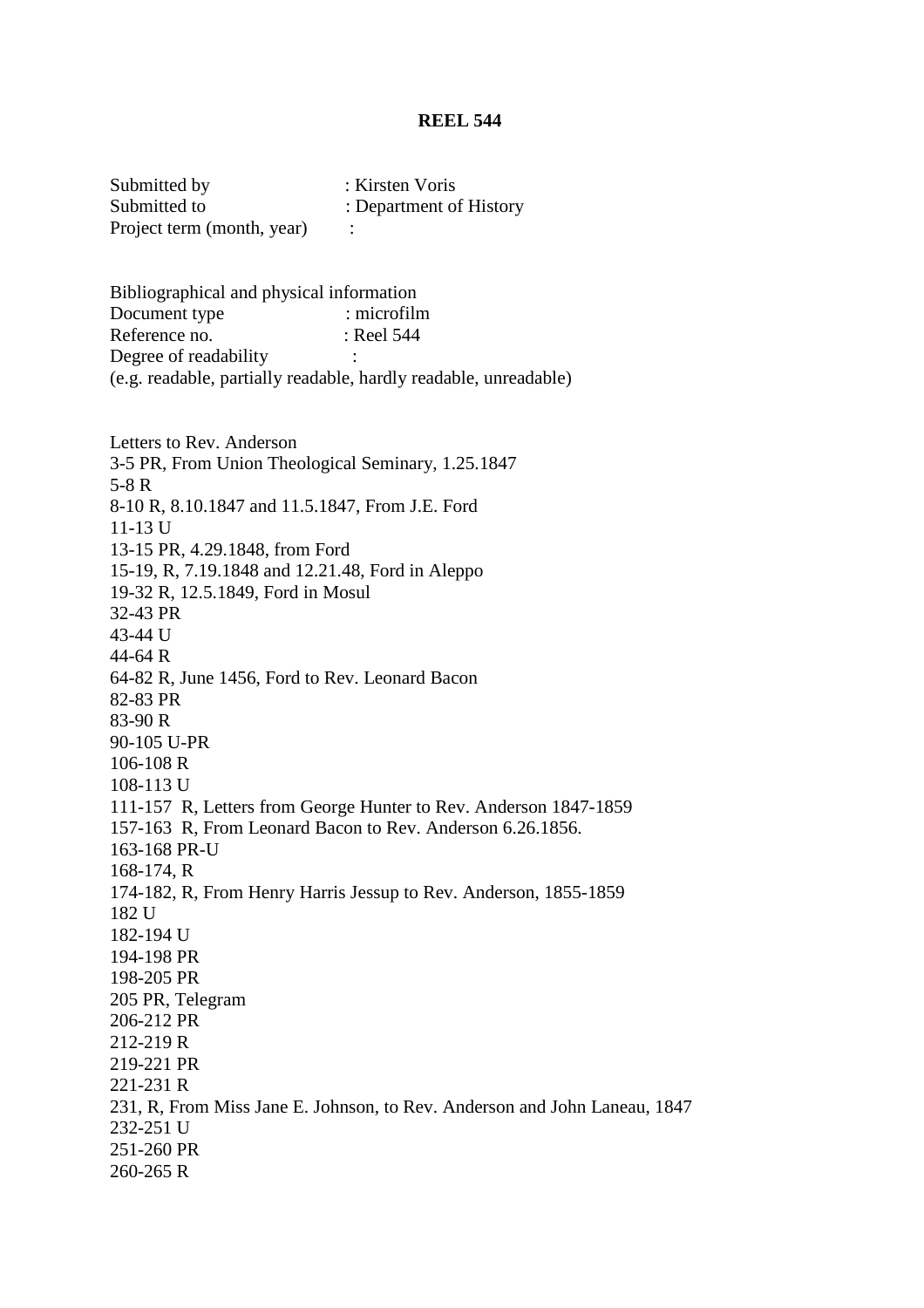Submitted by : Kirsten Voris Submitted to : Department of History Project term (month, year) :

Bibliographical and physical information Document type : microfilm<br>Reference no. : Reel 544 Reference no. Degree of readability : (e.g. readable, partially readable, hardly readable, unreadable)

Letters to Rev. Anderson 3-5 PR, From Union Theological Seminary, 1.25.1847 5-8 R 8-10 R, 8.10.1847 and 11.5.1847, From J.E. Ford 11-13 U 13-15 PR, 4.29.1848, from Ford 15-19, R, 7.19.1848 and 12.21.48, Ford in Aleppo 19-32 R, 12.5.1849, Ford in Mosul 32-43 PR 43-44 U 44-64 R 64-82 R, June 1456, Ford to Rev. Leonard Bacon 82-83 PR 83-90 R 90-105 U-PR 106-108 R 108-113 U 111-157 R, Letters from George Hunter to Rev. Anderson 1847-1859 157-163 R, From Leonard Bacon to Rev. Anderson 6.26.1856. 163-168 PR-U 168-174, R 174-182, R, From Henry Harris Jessup to Rev. Anderson, 1855-1859 182 U 182-194 U 194-198 PR 198-205 PR 205 PR, Telegram 206-212 PR 212-219 R 219-221 PR 221-231 R 231, R, From Miss Jane E. Johnson, to Rev. Anderson and John Laneau, 1847 232-251 U 251-260 PR 260-265 R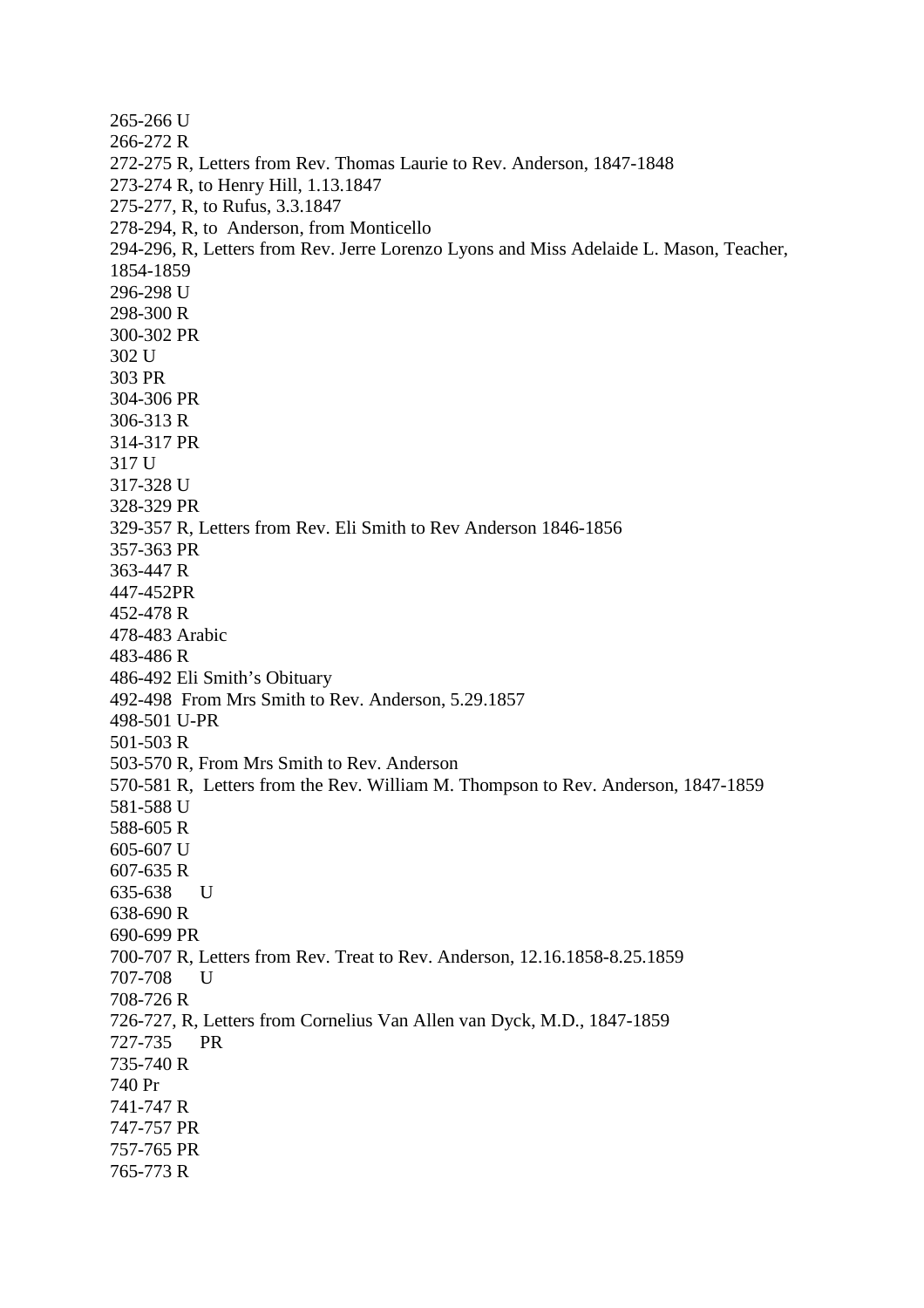265-266 U 266-272 R 272-275 R, Letters from Rev. Thomas Laurie to Rev. Anderson, 1847-1848 273-274 R, to Henry Hill, 1.13.1847 275-277, R, to Rufus, 3.3.1847 278-294, R, to Anderson, from Monticello 294-296, R, Letters from Rev. Jerre Lorenzo Lyons and Miss Adelaide L. Mason, Teacher, 1854-1859 296-298 U 298-300 R 300-302 PR 302 U 303 PR 304-306 PR 306-313 R 314-317 PR 317 U 317-328 U 328-329 PR 329-357 R, Letters from Rev. Eli Smith to Rev Anderson 1846-1856 357-363 PR 363-447 R 447-452PR 452-478 R 478-483 Arabic 483-486 R 486-492 Eli Smith's Obituary 492-498 From Mrs Smith to Rev. Anderson, 5.29.1857 498-501 U-PR 501-503 R 503-570 R, From Mrs Smith to Rev. Anderson 570-581 R, Letters from the Rev. William M. Thompson to Rev. Anderson, 1847-1859 581-588 U 588-605 R 605-607 U 607-635 R 635-638 U 638-690 R 690-699 PR 700-707 R, Letters from Rev. Treat to Rev. Anderson, 12.16.1858-8.25.1859 707-708 U 708-726 R 726-727, R, Letters from Cornelius Van Allen van Dyck, M.D., 1847-1859 727-735 PR 735-740 R 740 Pr 741-747 R 747-757 PR 757-765 PR 765-773 R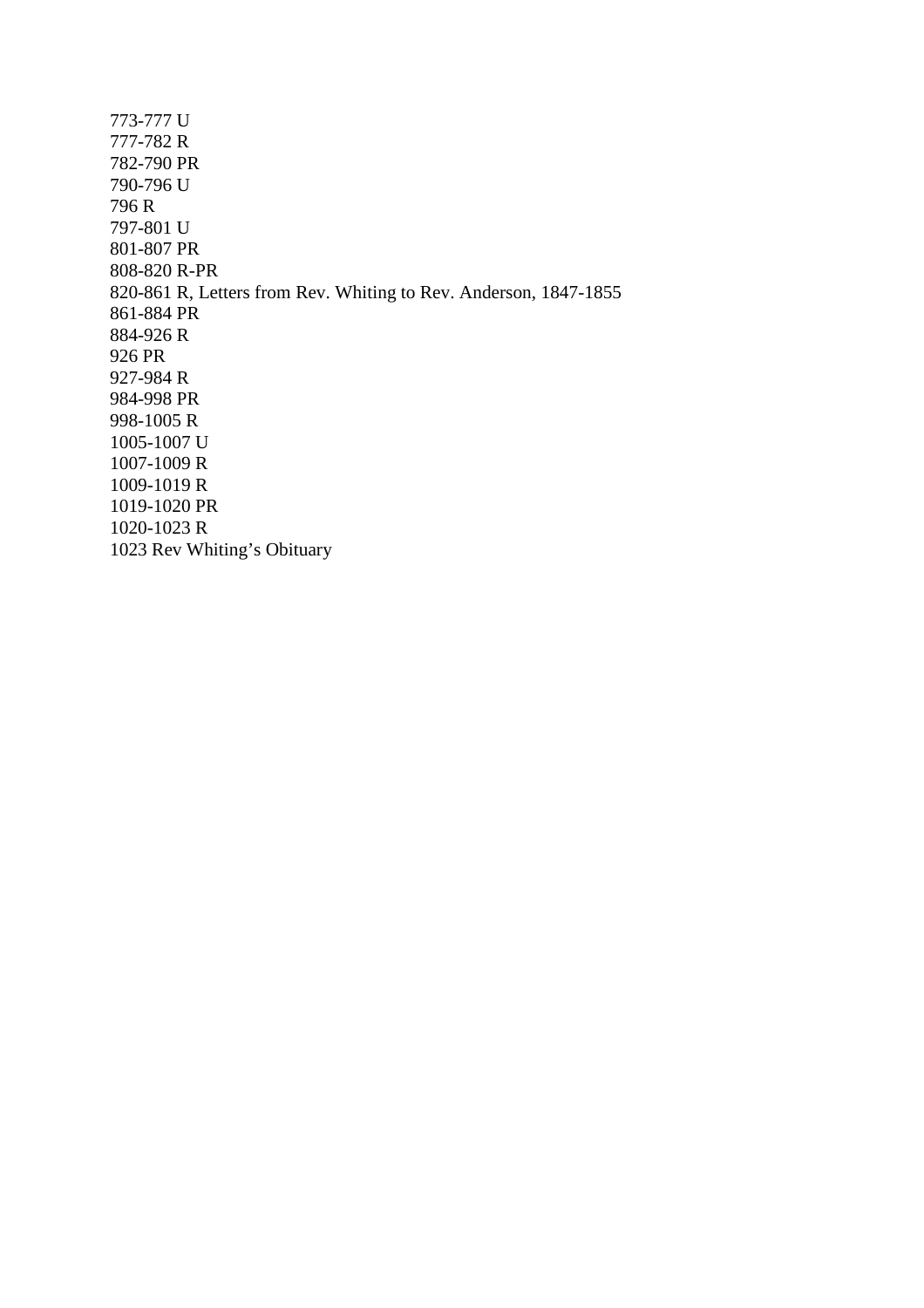| 773-777 U                                                        |
|------------------------------------------------------------------|
| 777-782 R                                                        |
| 782-790 PR                                                       |
| 790-796 U                                                        |
| 796 R                                                            |
| 797-801 U                                                        |
| 801-807 PR                                                       |
| 808-820 R-PR                                                     |
| 820-861 R, Letters from Rev. Whiting to Rev. Anderson, 1847-1855 |
| 861-884 PR                                                       |
| 884-926 R                                                        |
| 926 PR                                                           |
| 927-984 R                                                        |
| 984-998 PR                                                       |
| 998-1005 R                                                       |
| 1005-1007 U                                                      |
| 1007-1009 R                                                      |
| 1009-1019 R                                                      |
| 1019-1020 PR                                                     |
| 1020-1023 R                                                      |
| 1023 Rev Whiting's Obituary                                      |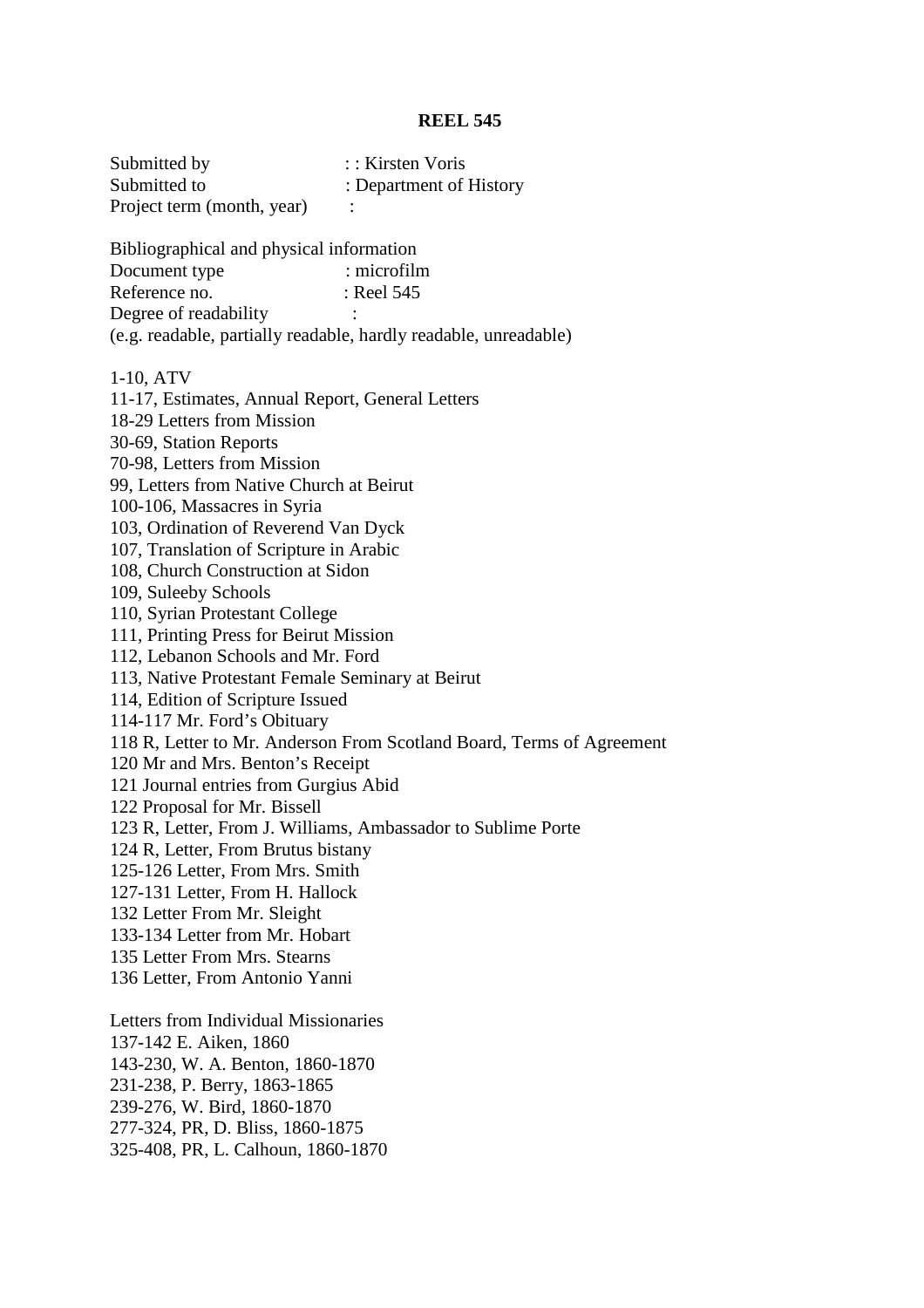| Submitted by               | $\therefore$ Kirsten Voris |
|----------------------------|----------------------------|
| Submitted to               | : Department of History    |
| Project term (month, year) |                            |

Bibliographical and physical information

| Document type         | $:$ microfilm                                                    |
|-----------------------|------------------------------------------------------------------|
| Reference no.         | : Reel 545                                                       |
| Degree of readability |                                                                  |
|                       | (e.g. readable, partially readable, hardly readable, unreadable) |

1-10, ATV

11-17, Estimates, Annual Report, General Letters 18-29 Letters from Mission 30-69, Station Reports 70-98, Letters from Mission 99, Letters from Native Church at Beirut 100-106, Massacres in Syria 103, Ordination of Reverend Van Dyck 107, Translation of Scripture in Arabic 108, Church Construction at Sidon 109, Suleeby Schools 110, Syrian Protestant College 111, Printing Press for Beirut Mission 112, Lebanon Schools and Mr. Ford 113, Native Protestant Female Seminary at Beirut 114, Edition of Scripture Issued 114-117 Mr. Ford's Obituary 118 R, Letter to Mr. Anderson From Scotland Board, Terms of Agreement 120 Mr and Mrs. Benton's Receipt 121 Journal entries from Gurgius Abid 122 Proposal for Mr. Bissell 123 R, Letter, From J. Williams, Ambassador to Sublime Porte 124 R, Letter, From Brutus bistany 125-126 Letter, From Mrs. Smith 127-131 Letter, From H. Hallock 132 Letter From Mr. Sleight 133-134 Letter from Mr. Hobart 135 Letter From Mrs. Stearns 136 Letter, From Antonio Yanni Letters from Individual Missionaries 137-142 E. Aiken, 1860 143-230, W. A. Benton, 1860-1870 231-238, P. Berry, 1863-1865 239-276, W. Bird, 1860-1870

277-324, PR, D. Bliss, 1860-1875

325-408, PR, L. Calhoun, 1860-1870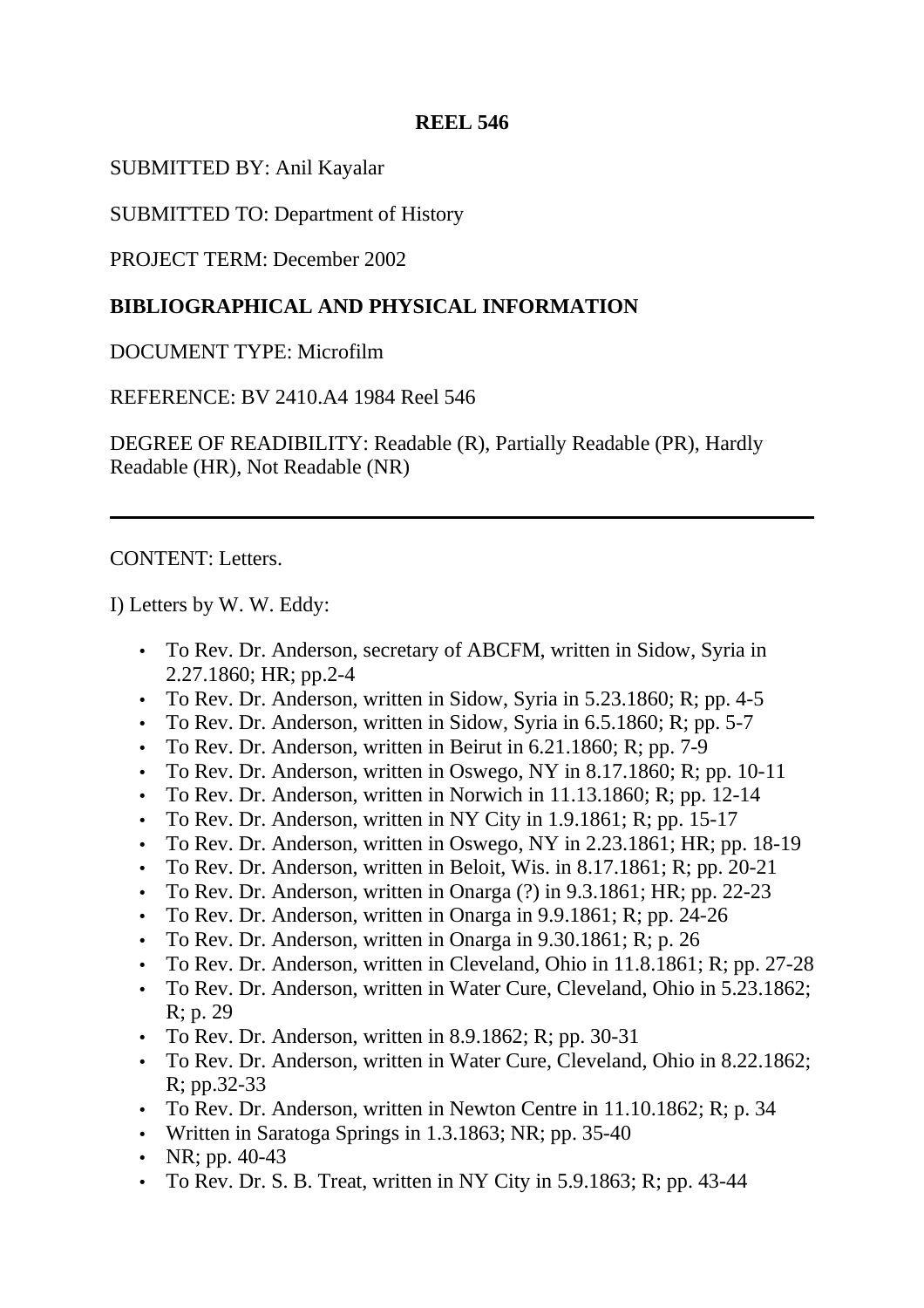SUBMITTED BY: Anil Kayalar

SUBMITTED TO: Department of History

PROJECT TERM: December 2002

# **BIBLIOGRAPHICAL AND PHYSICAL INFORMATION**

DOCUMENT TYPE: Microfilm

REFERENCE: BV 2410.A4 1984 Reel 546

DEGREE OF READIBILITY: Readable (R), Partially Readable (PR), Hardly Readable (HR), Not Readable (NR)

CONTENT: Letters.

I) Letters by W. W. Eddy:

- To Rev. Dr. Anderson, secretary of ABCFM, written in Sidow, Syria in 2.27.1860; HR; pp.2-4
- To Rev. Dr. Anderson, written in Sidow, Syria in 5.23.1860; R; pp. 4-5
- To Rev. Dr. Anderson, written in Sidow, Syria in 6.5.1860; R; pp. 5-7
- To Rev. Dr. Anderson, written in Beirut in 6.21.1860; R; pp. 7-9
- To Rev. Dr. Anderson, written in Oswego, NY in 8.17.1860; R; pp. 10-11
- To Rev. Dr. Anderson, written in Norwich in 11.13.1860; R; pp. 12-14
- To Rev. Dr. Anderson, written in NY City in 1.9.1861; R; pp. 15-17
- To Rev. Dr. Anderson, written in Oswego, NY in 2.23.1861; HR; pp. 18-19
- To Rev. Dr. Anderson, written in Beloit, Wis. in 8.17.1861; R; pp. 20-21
- To Rev. Dr. Anderson, written in Onarga (?) in 9.3.1861; HR; pp. 22-23
- To Rev. Dr. Anderson, written in Onarga in 9.9.1861; R; pp. 24-26
- To Rev. Dr. Anderson, written in Onarga in 9.30.1861; R; p. 26
- To Rev. Dr. Anderson, written in Cleveland, Ohio in 11.8.1861; R; pp. 27-28
- To Rev. Dr. Anderson, written in Water Cure, Cleveland, Ohio in 5.23.1862; R; p. 29
- To Rev. Dr. Anderson, written in  $8.9.1862$ ; R; pp. 30-31
- To Rev. Dr. Anderson, written in Water Cure, Cleveland, Ohio in 8.22.1862; R; pp.32-33
- To Rev. Dr. Anderson, written in Newton Centre in 11.10.1862; R; p. 34
- Written in Saratoga Springs in 1.3.1863; NR; pp. 35-40
- NR; pp.  $40-43$
- To Rev. Dr. S. B. Treat, written in NY City in  $5.9.1863$ ; R; pp. 43-44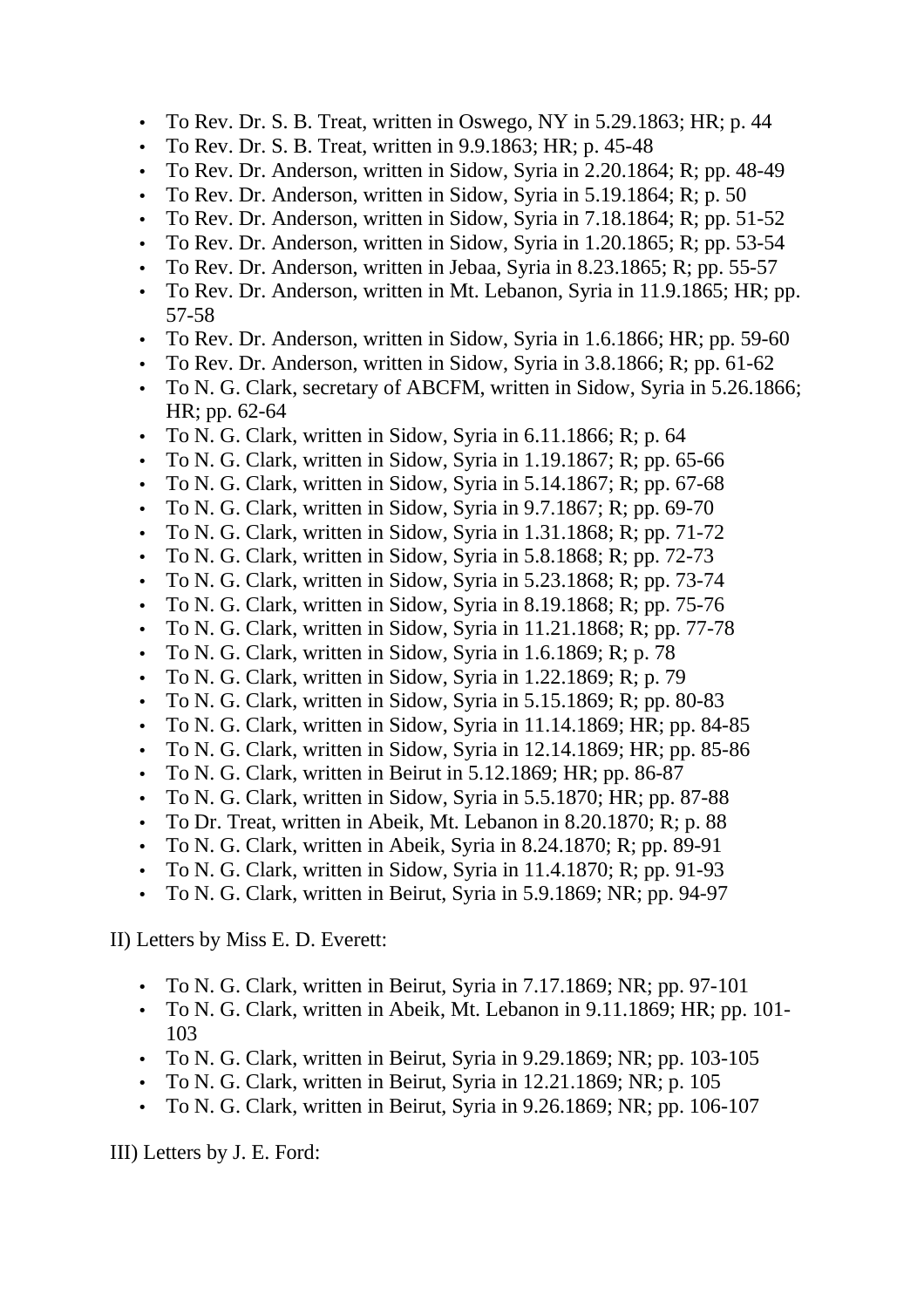- To Rev. Dr. S. B. Treat, written in Oswego, NY in 5.29.1863; HR; p. 44
- To Rev. Dr. S. B. Treat, written in 9.9.1863; HR; p. 45-48
- To Rev. Dr. Anderson, written in Sidow, Syria in 2.20.1864; R; pp. 48-49
- To Rev. Dr. Anderson, written in Sidow, Syria in 5.19.1864; R; p. 50
- To Rev. Dr. Anderson, written in Sidow, Syria in 7.18.1864; R; pp. 51-52
- To Rev. Dr. Anderson, written in Sidow, Syria in 1.20.1865; R; pp. 53-54
- To Rev. Dr. Anderson, written in Jebaa, Syria in 8.23.1865; R; pp. 55-57
- To Rev. Dr. Anderson, written in Mt. Lebanon, Syria in 11.9.1865; HR; pp. 57-58
- To Rev. Dr. Anderson, written in Sidow, Syria in 1.6.1866; HR; pp. 59-60
- To Rev. Dr. Anderson, written in Sidow, Syria in 3.8.1866; R; pp. 61-62
- To N. G. Clark, secretary of ABCFM, written in Sidow, Syria in 5.26.1866; HR; pp. 62-64
- To N. G. Clark, written in Sidow, Syria in 6.11.1866; R; p. 64
- To N. G. Clark, written in Sidow, Syria in  $1.19.1867$ ; R; pp. 65-66
- To N. G. Clark, written in Sidow, Syria in  $5.14.1867$ ; R; pp. 67-68
- To N. G. Clark, written in Sidow, Syria in  $9.7.1867$ ; R; pp. 69-70
- To N. G. Clark, written in Sidow, Syria in 1.31.1868; R; pp. 71-72
- To N. G. Clark, written in Sidow, Syria in 5.8.1868; R; pp. 72-73
- To N. G. Clark, written in Sidow, Syria in 5.23.1868; R; pp. 73-74
- To N. G. Clark, written in Sidow, Syria in  $8.19.1868$ ; R; pp. 75-76
- To N. G. Clark, written in Sidow, Syria in  $11.21.1868$ ; R; pp. 77-78
- To N. G. Clark, written in Sidow, Syria in 1.6.1869; R; p. 78
- To N. G. Clark, written in Sidow, Syria in 1.22.1869; R; p. 79
- To N. G. Clark, written in Sidow, Syria in 5.15.1869; R; pp. 80-83
- To N. G. Clark, written in Sidow, Syria in 11.14.1869; HR; pp. 84-85
- To N. G. Clark, written in Sidow, Syria in 12.14.1869; HR; pp. 85-86
- To N. G. Clark, written in Beirut in 5.12.1869; HR; pp. 86-87
- To N. G. Clark, written in Sidow, Syria in 5.5.1870; HR; pp. 87-88
- To Dr. Treat, written in Abeik, Mt. Lebanon in 8.20.1870; R; p. 88
- To N. G. Clark, written in Abeik, Syria in  $8.24.1870$ ; R; pp.  $89-91$
- To N. G. Clark, written in Sidow, Syria in 11.4.1870; R; pp. 91-93
- To N. G. Clark, written in Beirut, Syria in 5.9.1869; NR; pp. 94-97

II) Letters by Miss E. D. Everett:

- To N. G. Clark, written in Beirut, Syria in 7.17.1869; NR; pp. 97-101
- To N. G. Clark, written in Abeik, Mt. Lebanon in 9.11.1869; HR; pp. 101- 103
- To N. G. Clark, written in Beirut, Syria in 9.29.1869; NR; pp. 103-105
- To N. G. Clark, written in Beirut, Syria in 12.21.1869; NR; p. 105
- To N. G. Clark, written in Beirut, Syria in 9.26.1869; NR; pp. 106-107

III) Letters by J. E. Ford: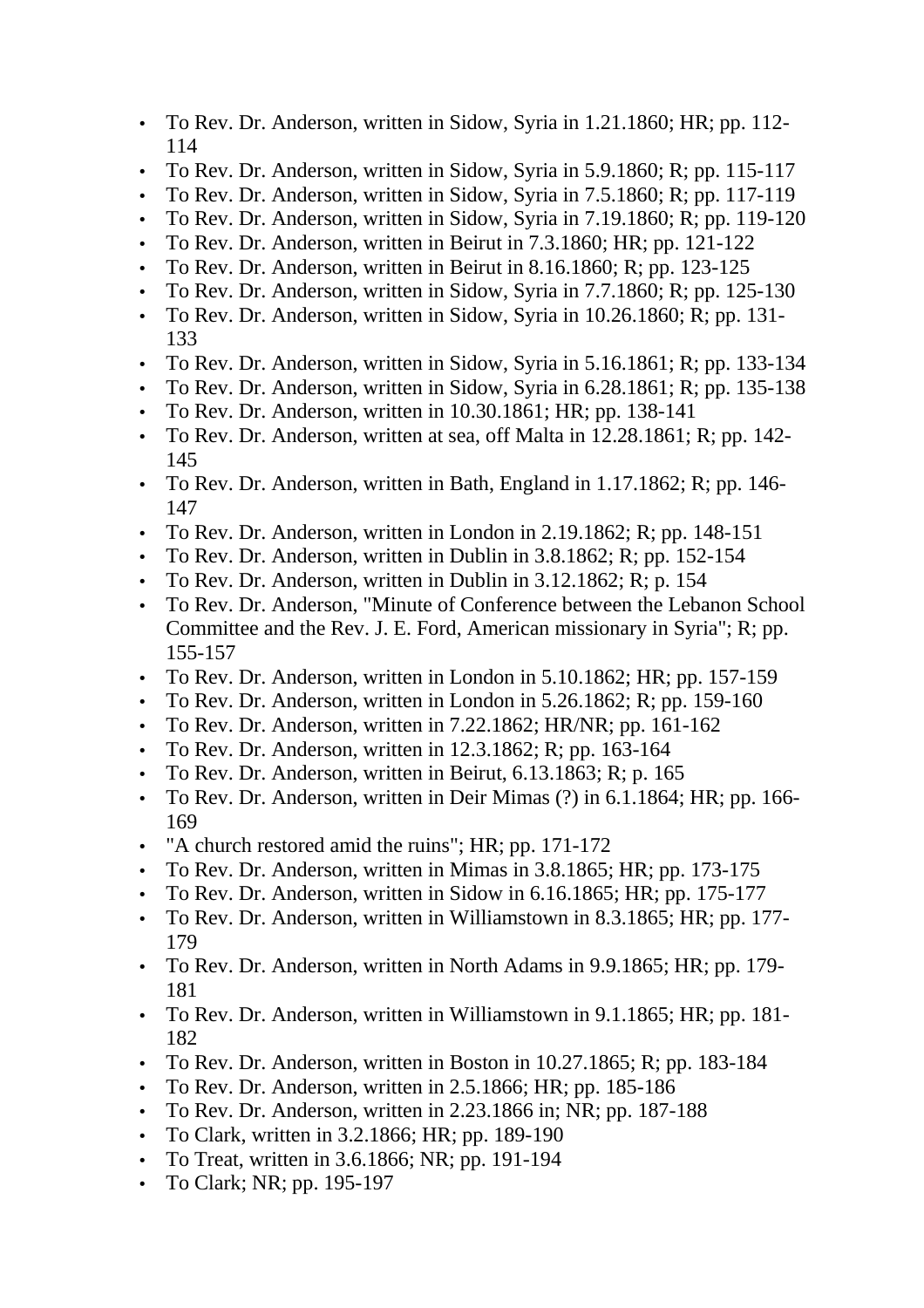- To Rev. Dr. Anderson, written in Sidow, Syria in 1.21.1860; HR; pp. 112- 114
- To Rev. Dr. Anderson, written in Sidow, Syria in 5.9.1860; R; pp. 115-117
- To Rev. Dr. Anderson, written in Sidow, Syria in 7.5.1860; R; pp. 117-119
- To Rev. Dr. Anderson, written in Sidow, Syria in 7.19.1860; R; pp. 119-120
- To Rev. Dr. Anderson, written in Beirut in 7.3.1860; HR; pp. 121-122
- To Rev. Dr. Anderson, written in Beirut in 8.16.1860; R;  $\overline{pp}$ . 123-125
- To Rev. Dr. Anderson, written in Sidow, Syria in 7.7.1860; R; pp. 125-130
- To Rev. Dr. Anderson, written in Sidow, Syria in 10.26.1860; R; pp. 131- 133
- To Rev. Dr. Anderson, written in Sidow, Syria in 5.16.1861; R; pp. 133-134
- To Rev. Dr. Anderson, written in Sidow, Syria in 6.28.1861; R; pp. 135-138
- To Rev. Dr. Anderson, written in 10.30.1861; HR; pp. 138-141
- To Rev. Dr. Anderson, written at sea, off Malta in 12.28.1861; R; pp. 142- 145
- To Rev. Dr. Anderson, written in Bath, England in 1.17.1862; R; pp. 146-147
- To Rev. Dr. Anderson, written in London in 2.19.1862; R; pp. 148-151
- To Rev. Dr. Anderson, written in Dublin in 3.8.1862; R; pp. 152-154
- To Rev. Dr. Anderson, written in Dublin in  $3.12.1862$ ; R; p. 154
- To Rev. Dr. Anderson, "Minute of Conference between the Lebanon School Committee and the Rev. J. E. Ford, American missionary in Syria"; R; pp. 155-157
- To Rev. Dr. Anderson, written in London in 5.10.1862; HR; pp. 157-159
- To Rev. Dr. Anderson, written in London in 5.26.1862; R; pp. 159-160
- To Rev. Dr. Anderson, written in 7.22.1862; HR/NR; pp. 161-162
- To Rev. Dr. Anderson, written in 12.3.1862; R; pp. 163-164
- To Rev. Dr. Anderson, written in Beirut, 6.13.1863; R; p. 165
- To Rev. Dr. Anderson, written in Deir Mimas (?) in 6.1.1864; HR; pp. 166- 169
- "A church restored amid the ruins"; HR; pp. 171-172
- To Rev. Dr. Anderson, written in Mimas in 3.8.1865; HR; pp. 173-175
- To Rev. Dr. Anderson, written in Sidow in 6.16.1865; HR; pp. 175-177
- To Rev. Dr. Anderson, written in Williamstown in 8.3.1865; HR; pp. 177- 179
- To Rev. Dr. Anderson, written in North Adams in 9.9.1865; HR; pp. 179- 181
- To Rev. Dr. Anderson, written in Williamstown in 9.1.1865; HR; pp. 181- 182
- To Rev. Dr. Anderson, written in Boston in 10.27.1865; R; pp. 183-184
- To Rev. Dr. Anderson, written in 2.5.1866; HR; pp. 185-186
- To Rev. Dr. Anderson, written in 2.23.1866 in; NR; pp. 187-188
- To Clark, written in 3.2.1866; HR; pp. 189-190
- To Treat, written in 3.6.1866; NR; pp. 191-194
- To Clark; NR; pp. 195-197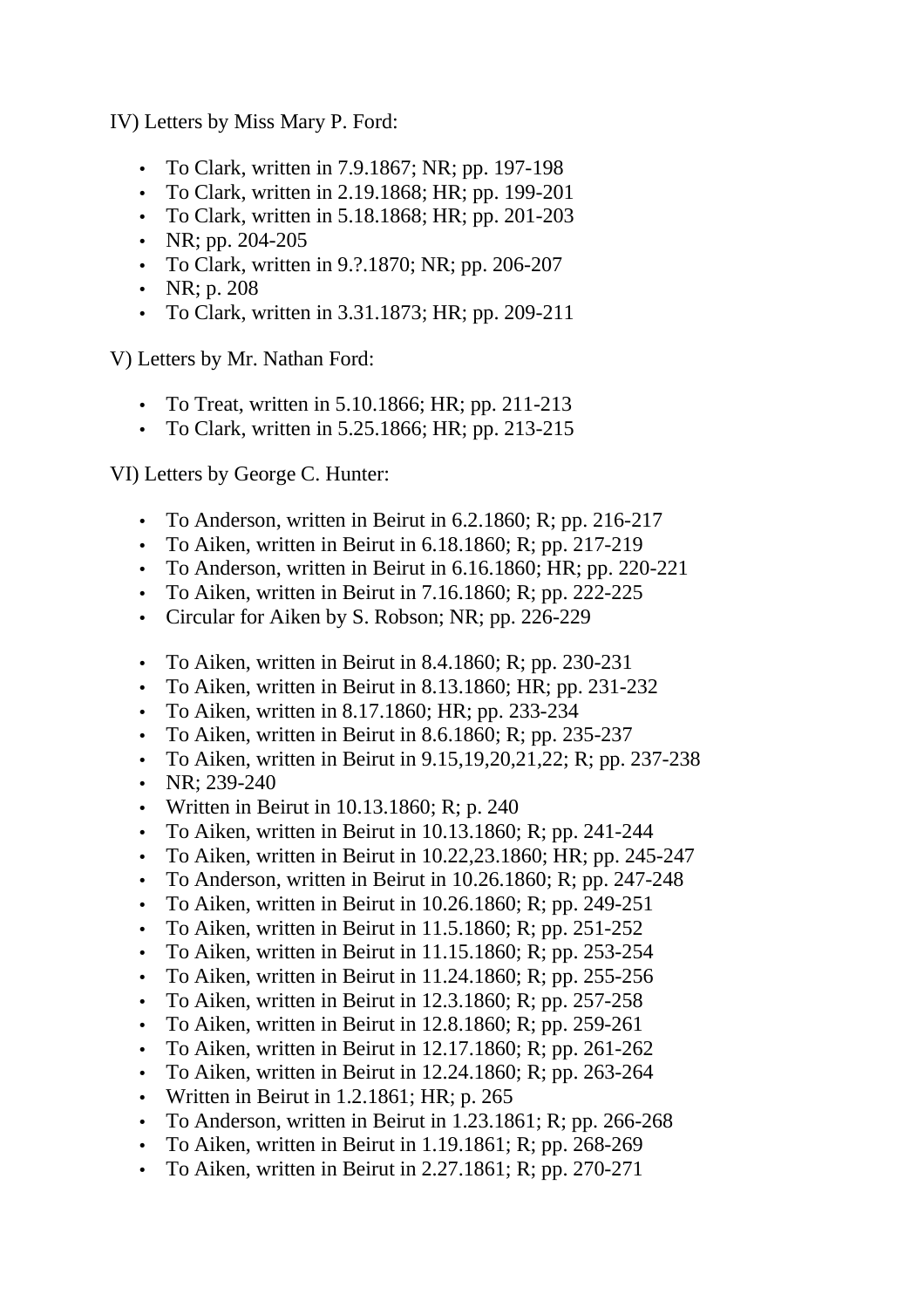IV) Letters by Miss Mary P. Ford:

- To Clark, written in 7.9.1867; NR; pp. 197-198
- To Clark, written in 2.19.1868; HR; pp. 199-201
- To Clark, written in 5.18.1868; HR; pp. 201-203
- NR; pp. 204-205
- To Clark, written in 9.?.1870; NR; pp. 206-207
- NR; p. 208
- To Clark, written in 3.31.1873; HR; pp. 209-211

V) Letters by Mr. Nathan Ford:

- To Treat, written in 5.10.1866; HR; pp. 211-213
- To Clark, written in 5.25.1866; HR; pp. 213-215

VI) Letters by George C. Hunter:

- To Anderson, written in Beirut in 6.2.1860; R; pp. 216-217
- To Aiken, written in Beirut in 6.18.1860; R; pp. 217-219
- To Anderson, written in Beirut in 6.16.1860; HR; pp. 220-221
- To Aiken, written in Beirut in  $7.16.1860$ ; R; pp. 222-225
- Circular for Aiken by S. Robson; NR; pp. 226-229
- To Aiken, written in Beirut in  $8.4.1860$ ; R; pp. 230-231
- To Aiken, written in Beirut in 8.13.1860; HR; pp. 231-232
- To Aiken, written in 8.17.1860; HR; pp. 233-234
- To Aiken, written in Beirut in 8.6.1860; R; pp. 235-237
- To Aiken, written in Beirut in  $9.15,19,20,21,22;$  R; pp. 237-238
- NR:  $239-240$
- Written in Beirut in 10.13.1860; R; p. 240
- To Aiken, written in Beirut in  $10.13.1860$ ; R; pp. 241-244
- To Aiken, written in Beirut in 10.22, 23.1860; HR; pp. 245-247
- To Anderson, written in Beirut in 10.26.1860; R; pp. 247-248
- To Aiken, written in Beirut in  $10.26.1860$ ; R; pp. 249-251
- To Aiken, written in Beirut in  $11.5.1860$ ; R; pp. 251-252
- To Aiken, written in Beirut in  $11.15.1860$ ; R; pp. 253-254
- To Aiken, written in Beirut in  $11.24.1860$ ; R; pp. 255-256
- To Aiken, written in Beirut in  $12.3.1860$ ; R; pp. 257-258
- To Aiken, written in Beirut in  $12.8.1860$ ; R; pp. 259-261
- To Aiken, written in Beirut in  $12.17.1860$ ; R; pp. 261-262
- To Aiken, written in Beirut in  $12.24.1860$ ; R; pp. 263-264
- Written in Beirut in  $1.2.1861$ ; HR; p. 265
- To Anderson, written in Beirut in  $1.23.1861$ ; R; pp. 266-268
- To Aiken, written in Beirut in  $1.19.1861$ ; R; pp. 268-269
- To Aiken, written in Beirut in  $2.27.1861$ ; R; pp. 270-271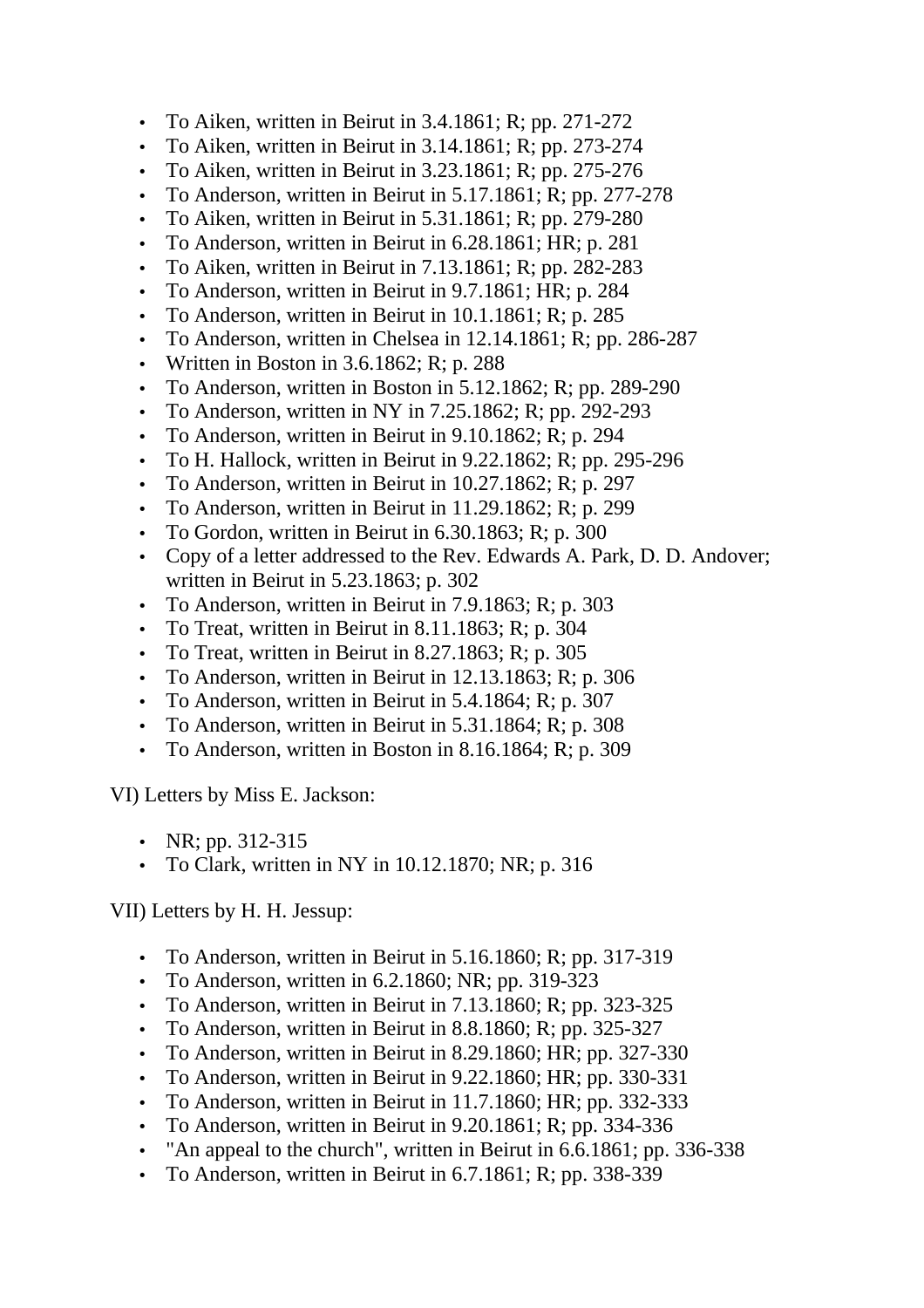- To Aiken, written in Beirut in  $3.4.1861$ ; R; pp. 271-272
- To Aiken, written in Beirut in  $3.14.1861$ ; R; pp. 273-274
- To Aiken, written in Beirut in  $3.23.1861$ ; R; pp. 275-276
- To Anderson, written in Beirut in 5.17.1861; R; pp. 277-278
- To Aiken, written in Beirut in 5.31.1861; R; pp. 279-280
- To Anderson, written in Beirut in 6.28.1861; HR; p. 281
- To Aiken, written in Beirut in  $7.13.1861$ ; R; pp. 282-283
- To Anderson, written in Beirut in 9.7.1861; HR; p. 284
- To Anderson, written in Beirut in 10.1.1861; R; p. 285
- To Anderson, written in Chelsea in 12.14.1861; R; pp. 286-287
- Written in Boston in  $3.6.1862$ ; R; p. 288
- To Anderson, written in Boston in 5.12.1862; R; pp. 289-290
- To Anderson, written in NY in  $7.25.1862$ ; R; pp. 292-293
- To Anderson, written in Beirut in 9.10.1862; R; p. 294
- To H. Hallock, written in Beirut in  $9.22.1862$ ; R; pp. 295-296
- To Anderson, written in Beirut in 10.27.1862; R; p. 297
- To Anderson, written in Beirut in  $11.29.1862$ ; R; p. 299
- To Gordon, written in Beirut in 6.30.1863; R; p. 300
- Copy of a letter addressed to the Rev. Edwards A. Park, D. D. Andover; written in Beirut in 5.23.1863; p. 302
- To Anderson, written in Beirut in 7.9.1863; R; p. 303
- To Treat, written in Beirut in 8.11.1863; R; p. 304
- To Treat, written in Beirut in 8.27.1863; R; p. 305
- To Anderson, written in Beirut in  $12.13.1863$ ; R; p. 306
- To Anderson, written in Beirut in 5.4.1864; R; p. 307
- To Anderson, written in Beirut in 5.31.1864; R; p. 308
- To Anderson, written in Boston in 8.16.1864; R; p. 309

VI) Letters by Miss E. Jackson:

- NR; pp.  $312 315$
- To Clark, written in NY in 10.12.1870; NR; p. 316

VII) Letters by H. H. Jessup:

- To Anderson, written in Beirut in 5.16.1860; R; pp. 317-319
- To Anderson, written in  $6.2.1860$ ; NR; pp. 319-323
- To Anderson, written in Beirut in 7.13.1860; R; pp. 323-325
- To Anderson, written in Beirut in 8.8.1860; R; pp. 325-327
- To Anderson, written in Beirut in 8.29.1860; HR; pp. 327-330
- To Anderson, written in Beirut in 9.22.1860; HR; pp. 330-331
- To Anderson, written in Beirut in 11.7.1860; HR; pp. 332-333
- To Anderson, written in Beirut in 9.20.1861; R; pp. 334-336
- "An appeal to the church", written in Beirut in 6.6.1861; pp. 336-338
- To Anderson, written in Beirut in 6.7.1861; R; pp. 338-339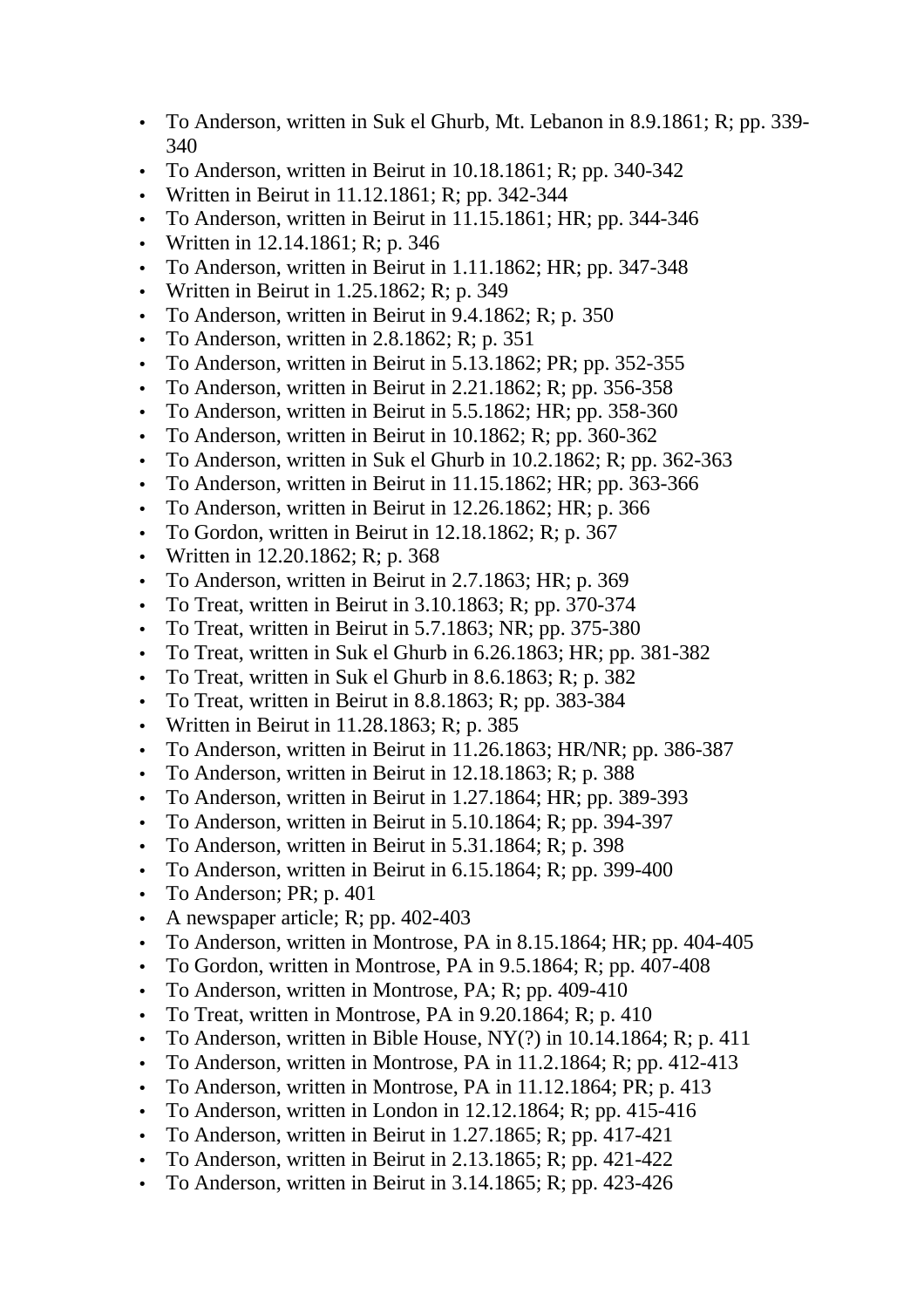- To Anderson, written in Suk el Ghurb, Mt. Lebanon in 8.9.1861; R; pp. 339- 340
- To Anderson, written in Beirut in 10.18.1861; R; pp. 340-342
- Written in Beirut in 11.12.1861; R; pp. 342-344
- To Anderson, written in Beirut in 11.15.1861; HR; pp. 344-346
- Written in 12.14.1861; R; p. 346
- To Anderson, written in Beirut in 1.11.1862; HR; pp. 347-348
- Written in Beirut in  $1.25.1862$ ; R; p. 349
- To Anderson, written in Beirut in 9.4.1862; R; p. 350
- To Anderson, written in  $2.8.1862$ ; R; p. 351
- To Anderson, written in Beirut in 5.13.1862; PR; pp. 352-355
- To Anderson, written in Beirut in  $2.21.1862$ ; R; pp. 356-358
- To Anderson, written in Beirut in 5.5.1862; HR; pp. 358-360
- To Anderson, written in Beirut in 10.1862; R; pp. 360-362
- To Anderson, written in Suk el Ghurb in 10.2.1862; R; pp. 362-363
- To Anderson, written in Beirut in 11.15.1862; HR; pp. 363-366
- To Anderson, written in Beirut in 12.26.1862; HR; p. 366
- To Gordon, written in Beirut in 12.18.1862; R; p. 367
- Written in 12.20.1862; R; p. 368
- To Anderson, written in Beirut in 2.7.1863; HR; p. 369
- To Treat, written in Beirut in  $3.10.1863$ ; R; pp. 370-374
- To Treat, written in Beirut in 5.7.1863; NR; pp. 375-380
- To Treat, written in Suk el Ghurb in 6.26.1863; HR; pp. 381-382
- To Treat, written in Suk el Ghurb in 8.6.1863; R; p. 382
- To Treat, written in Beirut in 8.8.1863; R; pp. 383-384
- Written in Beirut in  $11.28.1863$ ; R; p. 385
- To Anderson, written in Beirut in 11.26.1863; HR/NR; pp. 386-387
- To Anderson, written in Beirut in 12.18.1863; R; p. 388
- To Anderson, written in Beirut in 1.27.1864; HR; pp. 389-393
- To Anderson, written in Beirut in 5.10.1864; R; pp. 394-397
- To Anderson, written in Beirut in 5.31.1864; R; p. 398
- To Anderson, written in Beirut in 6.15.1864; R; pp. 399-400
- To Anderson; PR; p.  $401$
- A newspaper article; R; pp.  $402-403$
- To Anderson, written in Montrose, PA in 8.15.1864; HR; pp. 404-405
- To Gordon, written in Montrose, PA in  $9.5.1864$ ; R; pp.  $407-408$
- To Anderson, written in Montrose, PA; R; pp. 409-410
- To Treat, written in Montrose, PA in 9.20.1864; R; p. 410
- To Anderson, written in Bible House,  $NY(?)$  in 10.14.1864; R; p. 411
- To Anderson, written in Montrose, PA in 11.2.1864; R; pp. 412-413
- To Anderson, written in Montrose, PA in 11.12.1864; PR; p. 413
- To Anderson, written in London in 12.12.1864; R; pp. 415-416
- To Anderson, written in Beirut in  $1.27.1865$ ; R; pp.  $417-421$
- To Anderson, written in Beirut in 2.13.1865; R; pp. 421-422
- To Anderson, written in Beirut in  $3.14.1865$ ; R; pp. 423-426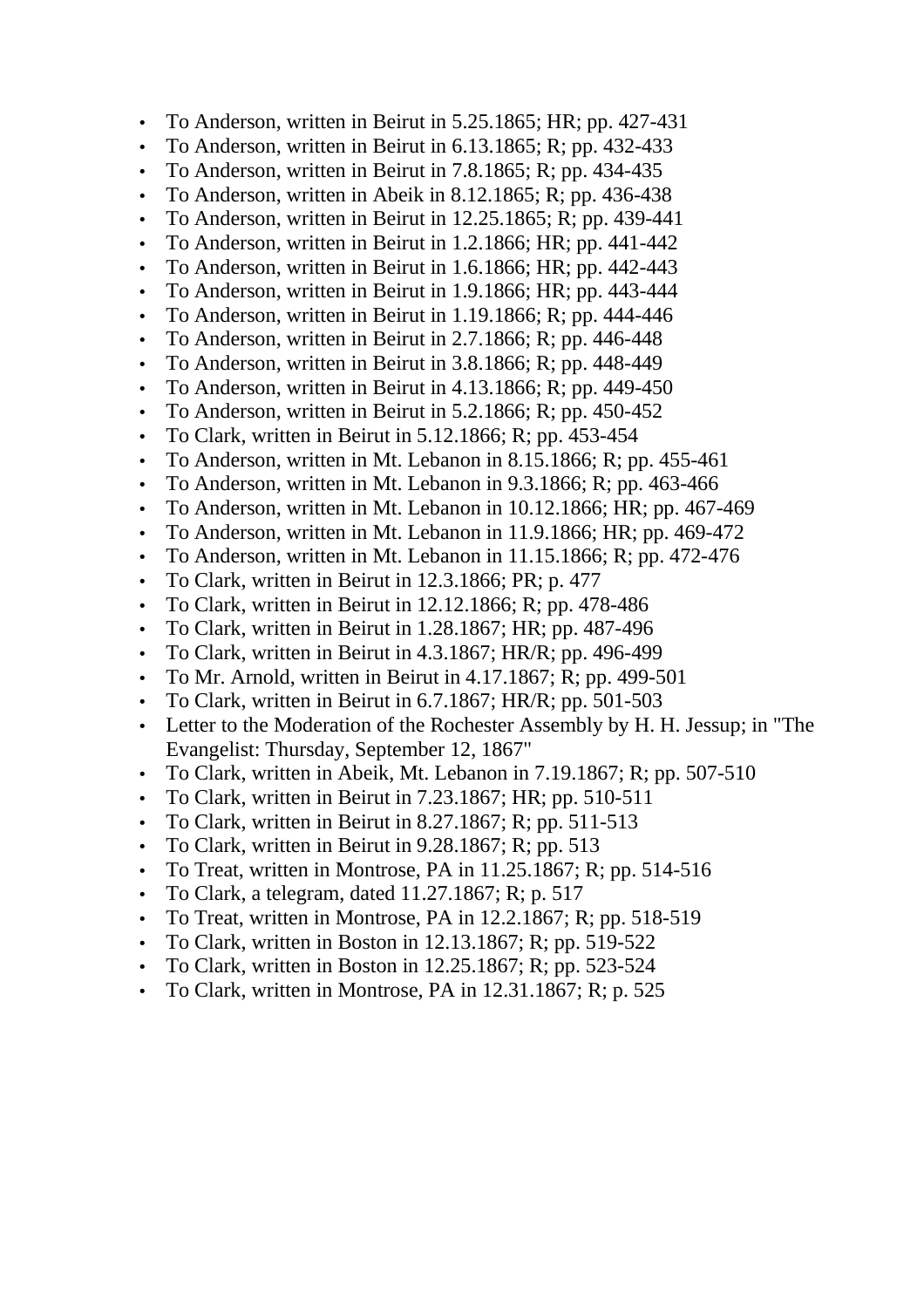- To Anderson, written in Beirut in 5.25.1865; HR; pp. 427-431
- To Anderson, written in Beirut in  $6.13.1865$ ; R; pp. 432-433
- To Anderson, written in Beirut in 7.8.1865; R; pp. 434-435
- To Anderson, written in Abeik in  $8.12.1865$ ; R; pp. 436-438
- To Anderson, written in Beirut in 12.25.1865; R; pp. 439-441
- To Anderson, written in Beirut in 1.2.1866; HR; pp. 441-442
- To Anderson, written in Beirut in 1.6.1866; HR; pp. 442-443
- To Anderson, written in Beirut in 1.9.1866; HR; pp. 443-444
- To Anderson, written in Beirut in  $1.19.1866$ ; R; pp. 444-446
- To Anderson, written in Beirut in 2.7.1866; R; pp. 446-448
- To Anderson, written in Beirut in 3.8.1866; R; pp. 448-449
- To Anderson, written in Beirut in  $4.13.1866$ ; R; pp. 449-450
- To Anderson, written in Beirut in 5.2.1866; R; pp. 450-452
- To Clark, written in Beirut in 5.12.1866; R; pp. 453-454
- To Anderson, written in Mt. Lebanon in 8.15.1866; R; pp. 455-461
- To Anderson, written in Mt. Lebanon in 9.3.1866; R; pp. 463-466
- To Anderson, written in Mt. Lebanon in 10.12.1866; HR; pp. 467-469
- To Anderson, written in Mt. Lebanon in 11.9.1866; HR; pp. 469-472
- To Anderson, written in Mt. Lebanon in 11.15.1866; R; pp. 472-476
- To Clark, written in Beirut in 12.3.1866; PR; p. 477
- To Clark, written in Beirut in  $12.12.1866$ ; R; pp. 478-486
- To Clark, written in Beirut in 1.28.1867; HR; pp. 487-496
- To Clark, written in Beirut in 4.3.1867; HR/R; pp. 496-499
- To Mr. Arnold, written in Beirut in  $4.17.1867$ ; R; pp. 499-501
- To Clark, written in Beirut in 6.7.1867; HR/R; pp. 501-503
- Letter to the Moderation of the Rochester Assembly by H. H. Jessup; in "The Evangelist: Thursday, September 12, 1867"
- To Clark, written in Abeik, Mt. Lebanon in 7.19.1867; R; pp. 507-510
- To Clark, written in Beirut in 7.23.1867; HR; pp. 510-511
- To Clark, written in Beirut in  $8.27.1867$ ; R; pp. 511-513
- To Clark, written in Beirut in  $9.28.1867$ ; R; pp. 513
- To Treat, written in Montrose, PA in 11.25.1867; R; pp. 514-516
- To Clark, a telegram, dated  $11.27.1867$ ; R; p. 517
- To Treat, written in Montrose, PA in 12.2.1867; R; pp. 518-519
- To Clark, written in Boston in  $12.13.1867$ ; R; pp. 519-522
- To Clark, written in Boston in 12.25.1867; R; pp. 523-524
- To Clark, written in Montrose, PA in 12.31.1867; R; p. 525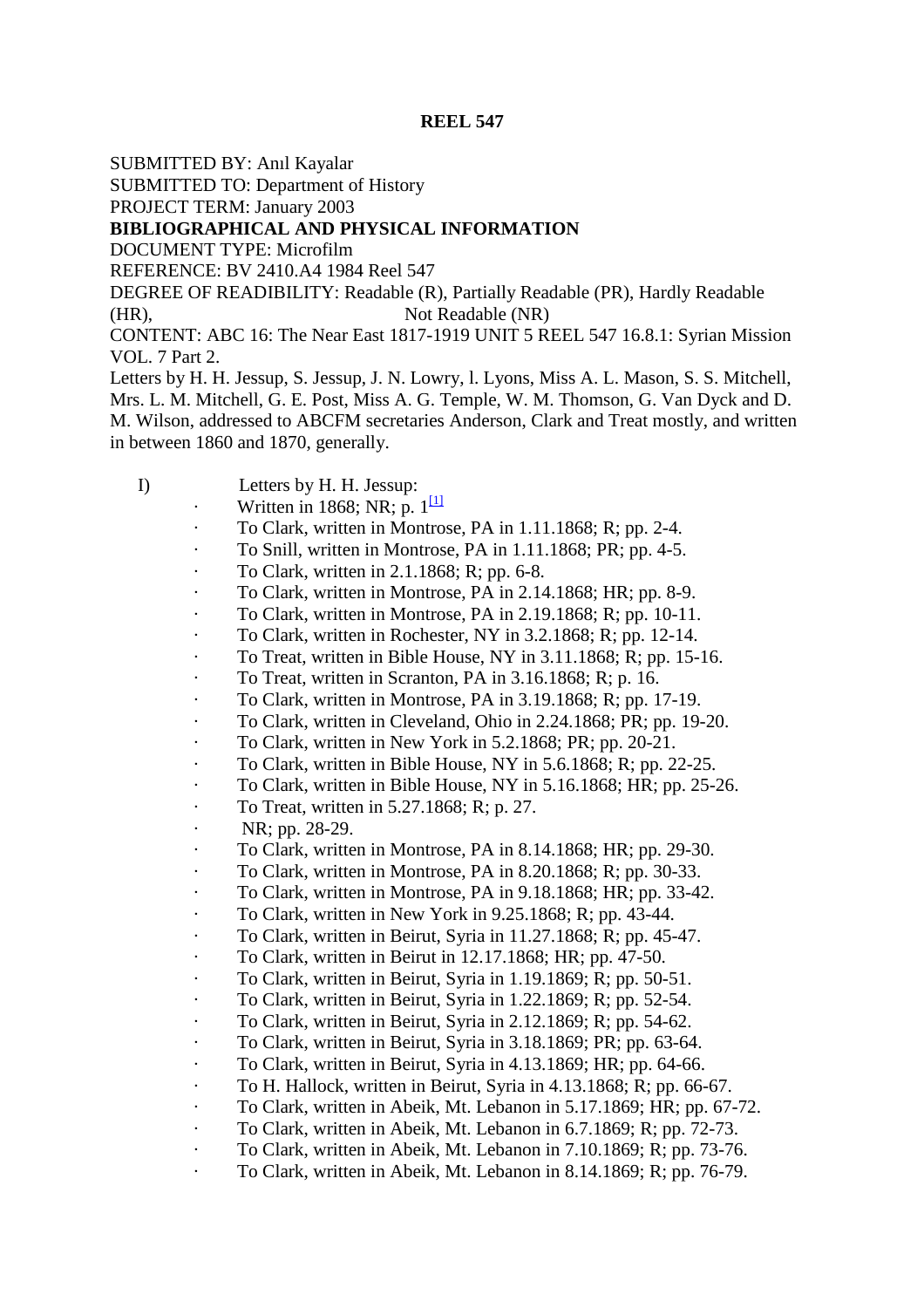SUBMITTED BY: Anıl Kayalar

SUBMITTED TO: Department of History

PROJECT TERM: January 2003

# **BIBLIOGRAPHICAL AND PHYSICAL INFORMATION**

DOCUMENT TYPE: Microfilm

REFERENCE: BV 2410.A4 1984 Reel 547

DEGREE OF READIBILITY: Readable (R), Partially Readable (PR), Hardly Readable (HR), Not Readable (NR)

CONTENT: ABC 16: The Near East 1817-1919 UNIT 5 REEL 547 16.8.1: Syrian Mission VOL. 7 Part 2.

Letters by H. H. Jessup, S. Jessup, J. N. Lowry, l. Lyons, Miss A. L. Mason, S. S. Mitchell, Mrs. L. M. Mitchell, G. E. Post, Miss A. G. Temple, W. M. Thomson, G. Van Dyck and D. M. Wilson, addressed to ABCFM secretaries Anderson, Clark and Treat mostly, and written in between 1860 and 1870, generally.

- I) Letters by H. H. Jessup:
	- Written in 1868; NR; p.  $1^{\text{1}}$
	- To Clark, written in Montrose, PA in 1.11.1868; R; pp. 2-4.
	- To Snill, written in Montrose, PA in 1.11.1868; PR; pp. 4-5.
	- · To Clark, written in 2.1.1868; R; pp. 6-8.
	- · To Clark, written in Montrose, PA in 2.14.1868; HR; pp. 8-9.
	- · To Clark, written in Montrose, PA in 2.19.1868; R; pp. 10-11.
	- · To Clark, written in Rochester, NY in 3.2.1868; R; pp. 12-14.
	- · To Treat, written in Bible House, NY in 3.11.1868; R; pp. 15-16.
	- · To Treat, written in Scranton, PA in 3.16.1868; R; p. 16.
	- · To Clark, written in Montrose, PA in 3.19.1868; R; pp. 17-19.
	- · To Clark, written in Cleveland, Ohio in 2.24.1868; PR; pp. 19-20.
	- · To Clark, written in New York in 5.2.1868; PR; pp. 20-21.
	- · To Clark, written in Bible House, NY in 5.6.1868; R; pp. 22-25.
	- · To Clark, written in Bible House, NY in 5.16.1868; HR; pp. 25-26.
	- · To Treat, written in 5.27.1868; R; p. 27.
	- NR; pp. 28-29.
	- · To Clark, written in Montrose, PA in 8.14.1868; HR; pp. 29-30.
	- · To Clark, written in Montrose, PA in 8.20.1868; R; pp. 30-33.
	- · To Clark, written in Montrose, PA in 9.18.1868; HR; pp. 33-42.
	- · To Clark, written in New York in 9.25.1868; R; pp. 43-44.
	- · To Clark, written in Beirut, Syria in 11.27.1868; R; pp. 45-47.
	- · To Clark, written in Beirut in 12.17.1868; HR; pp. 47-50.
	- · To Clark, written in Beirut, Syria in 1.19.1869; R; pp. 50-51.
	- · To Clark, written in Beirut, Syria in 1.22.1869; R; pp. 52-54.
	- · To Clark, written in Beirut, Syria in 2.12.1869; R; pp. 54-62.
	- · To Clark, written in Beirut, Syria in 3.18.1869; PR; pp. 63-64.
	- · To Clark, written in Beirut, Syria in 4.13.1869; HR; pp. 64-66.
	- · To H. Hallock, written in Beirut, Syria in 4.13.1868; R; pp. 66-67.
	- · To Clark, written in Abeik, Mt. Lebanon in 5.17.1869; HR; pp. 67-72.
	- · To Clark, written in Abeik, Mt. Lebanon in 6.7.1869; R; pp. 72-73.
	- · To Clark, written in Abeik, Mt. Lebanon in 7.10.1869; R; pp. 73-76.
	- · To Clark, written in Abeik, Mt. Lebanon in 8.14.1869; R; pp. 76-79.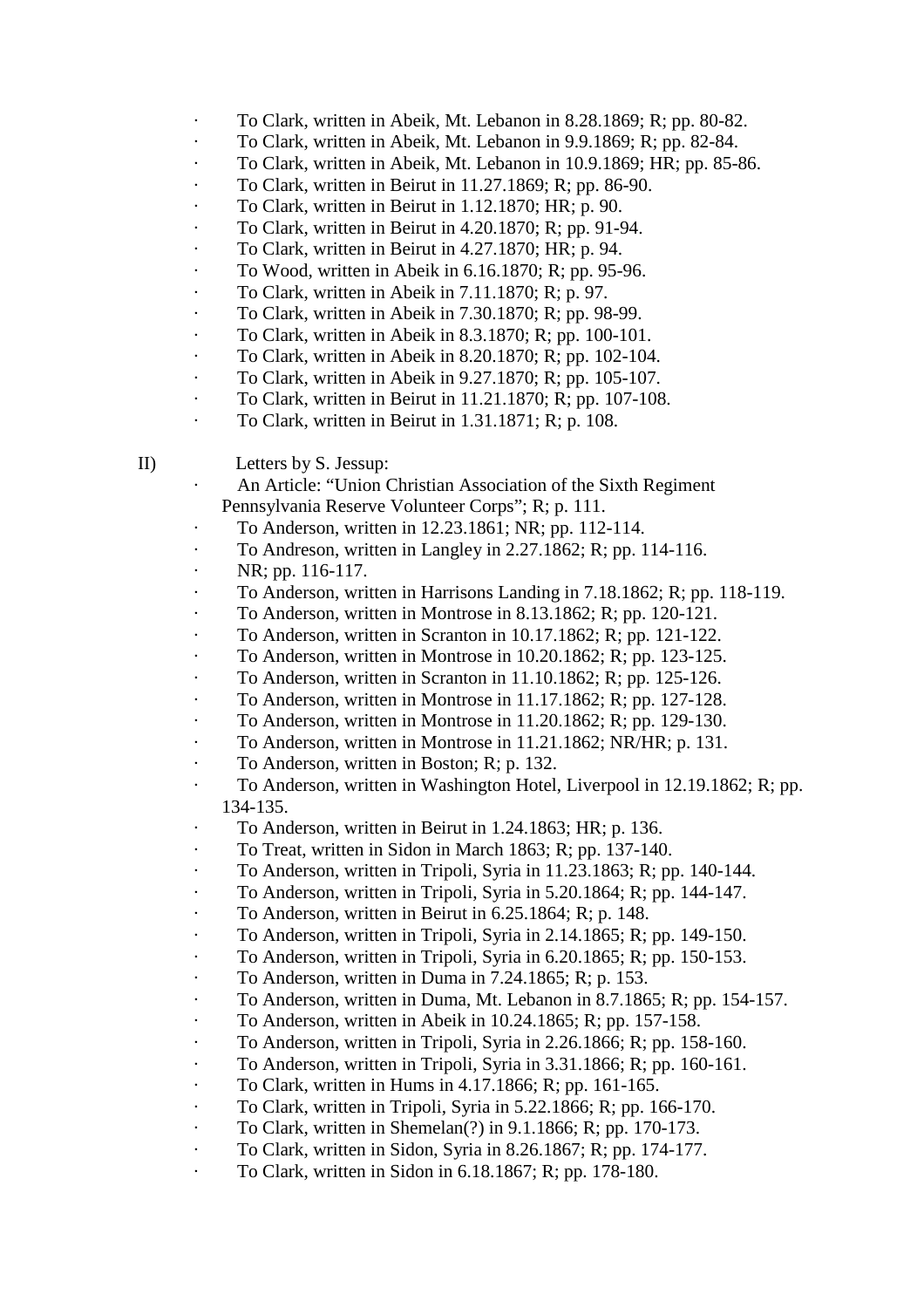- · To Clark, written in Abeik, Mt. Lebanon in 8.28.1869; R; pp. 80-82.
- · To Clark, written in Abeik, Mt. Lebanon in 9.9.1869; R; pp. 82-84.
- · To Clark, written in Abeik, Mt. Lebanon in 10.9.1869; HR; pp. 85-86.
- $\cdot$  To Clark, written in Beirut in 11.27.1869; R; pp. 86-90.
- To Clark, written in Beirut in 1.12.1870; HR; p. 90.
- · To Clark, written in Beirut in 4.20.1870; R; pp. 91-94.
- To Clark, written in Beirut in 4.27.1870; HR; p. 94.
- To Wood, written in Abeik in 6.16.1870; R; pp. 95-96.
- · To Clark, written in Abeik in 7.11.1870; R; p. 97.
- · To Clark, written in Abeik in 7.30.1870; R; pp. 98-99.
- · To Clark, written in Abeik in 8.3.1870; R; pp. 100-101.
- · To Clark, written in Abeik in 8.20.1870; R; pp. 102-104.
- · To Clark, written in Abeik in 9.27.1870; R; pp. 105-107.
- · To Clark, written in Beirut in 11.21.1870; R; pp. 107-108.
- · To Clark, written in Beirut in 1.31.1871; R; p. 108.
- II) Letters by S. Jessup:
	- An Article: "Union Christian Association of the Sixth Regiment Pennsylvania Reserve Volunteer Corps"; R; p. 111.
	- · To Anderson, written in 12.23.1861; NR; pp. 112-114.
	- · To Andreson, written in Langley in 2.27.1862; R; pp. 114-116.
	- $\cdot$  NR; pp. 116-117.
	- · To Anderson, written in Harrisons Landing in 7.18.1862; R; pp. 118-119.
	- · To Anderson, written in Montrose in 8.13.1862; R; pp. 120-121.
	- · To Anderson, written in Scranton in 10.17.1862; R; pp. 121-122.
	- · To Anderson, written in Montrose in 10.20.1862; R; pp. 123-125.
	- · To Anderson, written in Scranton in 11.10.1862; R; pp. 125-126.
	- · To Anderson, written in Montrose in 11.17.1862; R; pp. 127-128.
	- · To Anderson, written in Montrose in 11.20.1862; R; pp. 129-130.
	- · To Anderson, written in Montrose in 11.21.1862; NR/HR; p. 131.
	- To Anderson, written in Boston; R; p. 132.
	- · To Anderson, written in Washington Hotel, Liverpool in 12.19.1862; R; pp. 134-135.
	- To Anderson, written in Beirut in 1.24.1863; HR; p. 136.
	- To Treat, written in Sidon in March 1863; R; pp. 137-140.
	- · To Anderson, written in Tripoli, Syria in 11.23.1863; R; pp. 140-144.
	- · To Anderson, written in Tripoli, Syria in 5.20.1864; R; pp. 144-147.
	- · To Anderson, written in Beirut in 6.25.1864; R; p. 148.
	- · To Anderson, written in Tripoli, Syria in 2.14.1865; R; pp. 149-150.
	- · To Anderson, written in Tripoli, Syria in 6.20.1865; R; pp. 150-153.
	- To Anderson, written in Duma in  $7.24.1865$ ; R; p. 153.
	- · To Anderson, written in Duma, Mt. Lebanon in 8.7.1865; R; pp. 154-157.
	- · To Anderson, written in Abeik in 10.24.1865; R; pp. 157-158.
	- · To Anderson, written in Tripoli, Syria in 2.26.1866; R; pp. 158-160.
	- · To Anderson, written in Tripoli, Syria in 3.31.1866; R; pp. 160-161.
	- · To Clark, written in Hums in 4.17.1866; R; pp. 161-165.
	- · To Clark, written in Tripoli, Syria in 5.22.1866; R; pp. 166-170.
	- · To Clark, written in Shemelan(?) in 9.1.1866; R; pp. 170-173.
	- · To Clark, written in Sidon, Syria in 8.26.1867; R; pp. 174-177.
	- · To Clark, written in Sidon in 6.18.1867; R; pp. 178-180.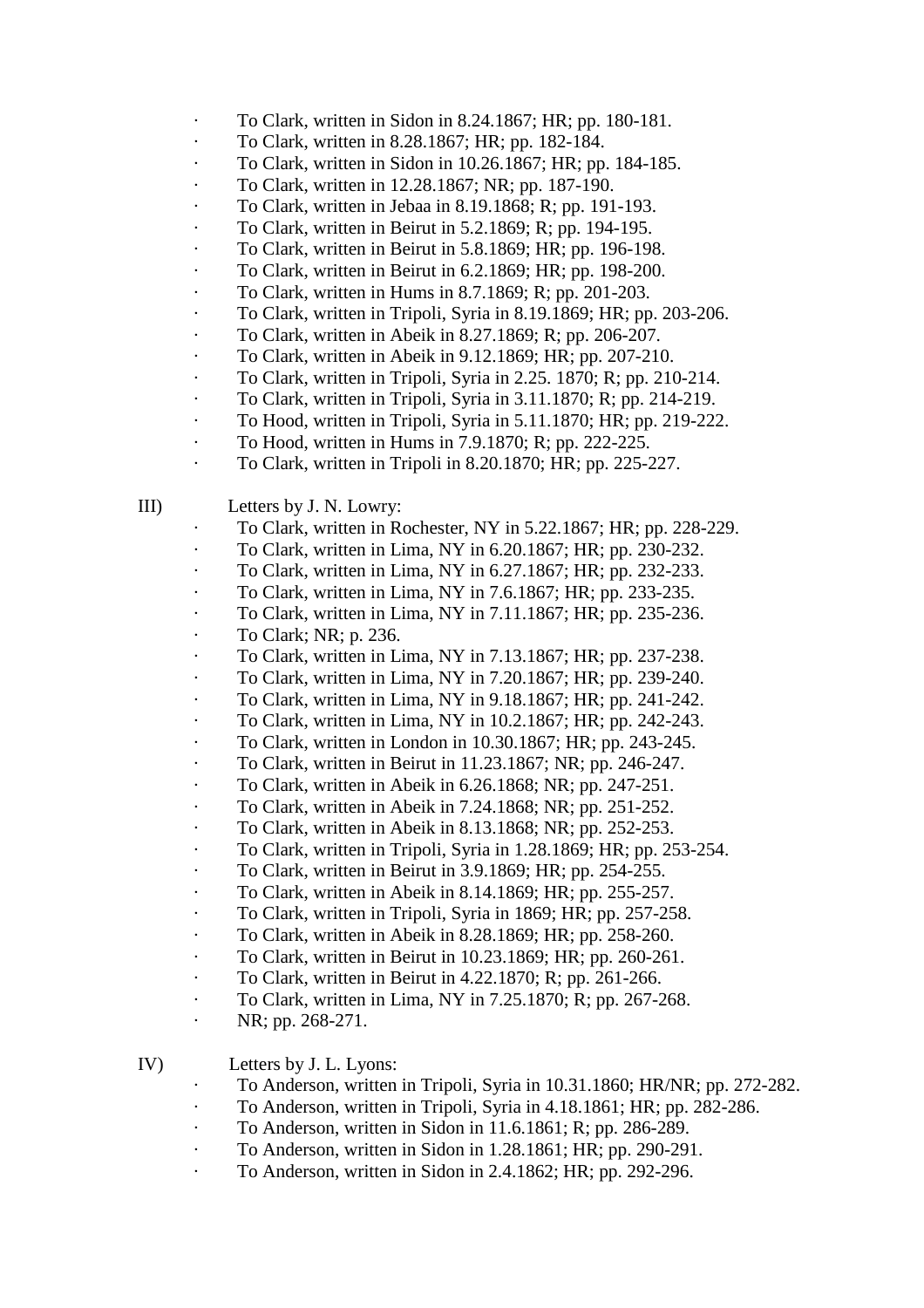- · To Clark, written in Sidon in 8.24.1867; HR; pp. 180-181.
- · To Clark, written in 8.28.1867; HR; pp. 182-184.
- $\cdot$  To Clark, written in Sidon in 10.26.1867; HR; pp. 184-185.
- · To Clark, written in 12.28.1867; NR; pp. 187-190.
- · To Clark, written in Jebaa in 8.19.1868; R; pp. 191-193.
- · To Clark, written in Beirut in 5.2.1869; R; pp. 194-195.
- · To Clark, written in Beirut in 5.8.1869; HR; pp. 196-198.
- · To Clark, written in Beirut in 6.2.1869; HR; pp. 198-200.
- · To Clark, written in Hums in 8.7.1869; R; pp. 201-203.
- · To Clark, written in Tripoli, Syria in 8.19.1869; HR; pp. 203-206.
- $\cdot$  To Clark, written in Abeik in 8.27.1869; R; pp. 206-207.
- · To Clark, written in Abeik in 9.12.1869; HR; pp. 207-210.
- · To Clark, written in Tripoli, Syria in 2.25. 1870; R; pp. 210-214.
- · To Clark, written in Tripoli, Syria in 3.11.1870; R; pp. 214-219.
- · To Hood, written in Tripoli, Syria in 5.11.1870; HR; pp. 219-222.
- · To Hood, written in Hums in 7.9.1870; R; pp. 222-225.
- · To Clark, written in Tripoli in 8.20.1870; HR; pp. 225-227.

III) Letters by J. N. Lowry:

- · To Clark, written in Rochester, NY in 5.22.1867; HR; pp. 228-229.
- · To Clark, written in Lima, NY in 6.20.1867; HR; pp. 230-232.
- · To Clark, written in Lima, NY in 6.27.1867; HR; pp. 232-233.
- · To Clark, written in Lima, NY in 7.6.1867; HR; pp. 233-235.
- · To Clark, written in Lima, NY in 7.11.1867; HR; pp. 235-236.
- $\cdot$  To Clark; NR; p. 236.
- · To Clark, written in Lima, NY in 7.13.1867; HR; pp. 237-238.
- · To Clark, written in Lima, NY in 7.20.1867; HR; pp. 239-240.
- · To Clark, written in Lima, NY in 9.18.1867; HR; pp. 241-242.
- · To Clark, written in Lima, NY in 10.2.1867; HR; pp. 242-243.
- · To Clark, written in London in 10.30.1867; HR; pp. 243-245.
- · To Clark, written in Beirut in 11.23.1867; NR; pp. 246-247.
- · To Clark, written in Abeik in 6.26.1868; NR; pp. 247-251.
- · To Clark, written in Abeik in 7.24.1868; NR; pp. 251-252.
- · To Clark, written in Abeik in 8.13.1868; NR; pp. 252-253.
- · To Clark, written in Tripoli, Syria in 1.28.1869; HR; pp. 253-254.
- · To Clark, written in Beirut in 3.9.1869; HR; pp. 254-255.
- · To Clark, written in Abeik in 8.14.1869; HR; pp. 255-257.
- · To Clark, written in Tripoli, Syria in 1869; HR; pp. 257-258.
- · To Clark, written in Abeik in 8.28.1869; HR; pp. 258-260.
- · To Clark, written in Beirut in 10.23.1869; HR; pp. 260-261.
- · To Clark, written in Beirut in 4.22.1870; R; pp. 261-266.
- · To Clark, written in Lima, NY in 7.25.1870; R; pp. 267-268.
- · NR; pp. 268-271.

IV) Letters by J. L. Lyons:

- · To Anderson, written in Tripoli, Syria in 10.31.1860; HR/NR; pp. 272-282.
- · To Anderson, written in Tripoli, Syria in 4.18.1861; HR; pp. 282-286.
- · To Anderson, written in Sidon in 11.6.1861; R; pp. 286-289.
- · To Anderson, written in Sidon in 1.28.1861; HR; pp. 290-291.
- · To Anderson, written in Sidon in 2.4.1862; HR; pp. 292-296.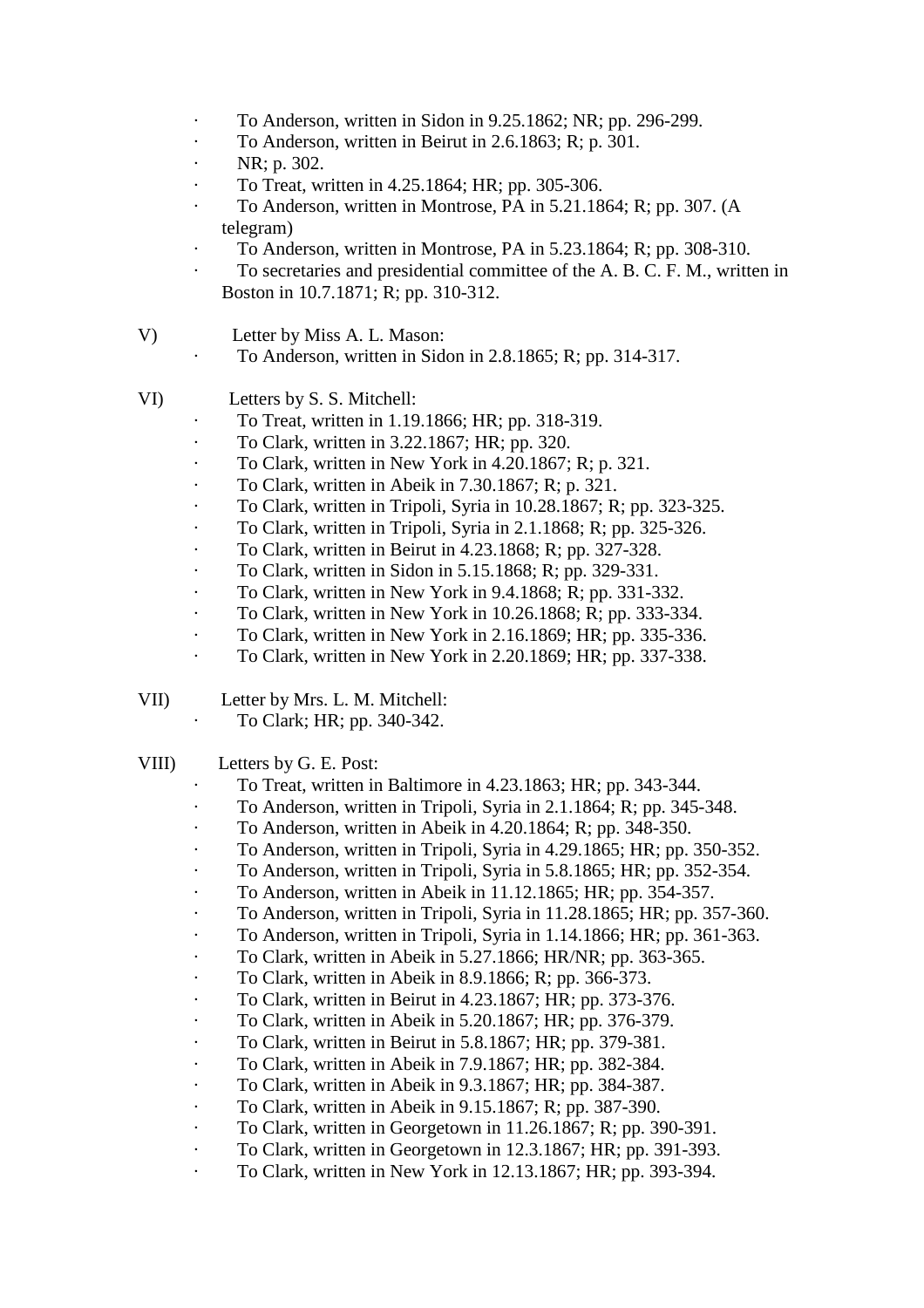- · To Anderson, written in Sidon in 9.25.1862; NR; pp. 296-299.
- · To Anderson, written in Beirut in 2.6.1863; R; p. 301.
- $\cdot$  NR; p. 302.
- · To Treat, written in 4.25.1864; HR; pp. 305-306.
- To Anderson, written in Montrose, PA in 5.21.1864; R; pp. 307. (A telegram)
- · To Anderson, written in Montrose, PA in 5.23.1864; R; pp. 308-310.
- To secretaries and presidential committee of the A. B. C. F. M., written in Boston in 10.7.1871; R; pp. 310-312.
- V) Letter by Miss A. L. Mason:
	- · To Anderson, written in Sidon in 2.8.1865; R; pp. 314-317.
- VI) Letters by S. S. Mitchell:
	- · To Treat, written in 1.19.1866; HR; pp. 318-319.
	- · To Clark, written in 3.22.1867; HR; pp. 320.
	- · To Clark, written in New York in 4.20.1867; R; p. 321.
	- · To Clark, written in Abeik in 7.30.1867; R; p. 321.
	- · To Clark, written in Tripoli, Syria in 10.28.1867; R; pp. 323-325.
	- · To Clark, written in Tripoli, Syria in 2.1.1868; R; pp. 325-326.
	- · To Clark, written in Beirut in 4.23.1868; R; pp. 327-328.
	- · To Clark, written in Sidon in 5.15.1868; R; pp. 329-331.
	- · To Clark, written in New York in 9.4.1868; R; pp. 331-332.
	- · To Clark, written in New York in 10.26.1868; R; pp. 333-334.
	- · To Clark, written in New York in 2.16.1869; HR; pp. 335-336.
		- · To Clark, written in New York in 2.20.1869; HR; pp. 337-338.
- VII) Letter by Mrs. L. M. Mitchell:
	- · To Clark; HR; pp. 340-342.

# VIII) Letters by G. E. Post:

- · To Treat, written in Baltimore in 4.23.1863; HR; pp. 343-344.
- · To Anderson, written in Tripoli, Syria in 2.1.1864; R; pp. 345-348.
- · To Anderson, written in Abeik in 4.20.1864; R; pp. 348-350.
	- · To Anderson, written in Tripoli, Syria in 4.29.1865; HR; pp. 350-352.
	- · To Anderson, written in Tripoli, Syria in 5.8.1865; HR; pp. 352-354.
- · To Anderson, written in Abeik in 11.12.1865; HR; pp. 354-357.
- · To Anderson, written in Tripoli, Syria in 11.28.1865; HR; pp. 357-360.
- · To Anderson, written in Tripoli, Syria in 1.14.1866; HR; pp. 361-363.
- · To Clark, written in Abeik in 5.27.1866; HR/NR; pp. 363-365.
- · To Clark, written in Abeik in 8.9.1866; R; pp. 366-373.
- · To Clark, written in Beirut in 4.23.1867; HR; pp. 373-376.
- · To Clark, written in Abeik in 5.20.1867; HR; pp. 376-379.
- · To Clark, written in Beirut in 5.8.1867; HR; pp. 379-381.
- · To Clark, written in Abeik in 7.9.1867; HR; pp. 382-384.
- · To Clark, written in Abeik in 9.3.1867; HR; pp. 384-387.
- · To Clark, written in Abeik in 9.15.1867; R; pp. 387-390.
- · To Clark, written in Georgetown in 11.26.1867; R; pp. 390-391.
- · To Clark, written in Georgetown in 12.3.1867; HR; pp. 391-393.
- · To Clark, written in New York in 12.13.1867; HR; pp. 393-394.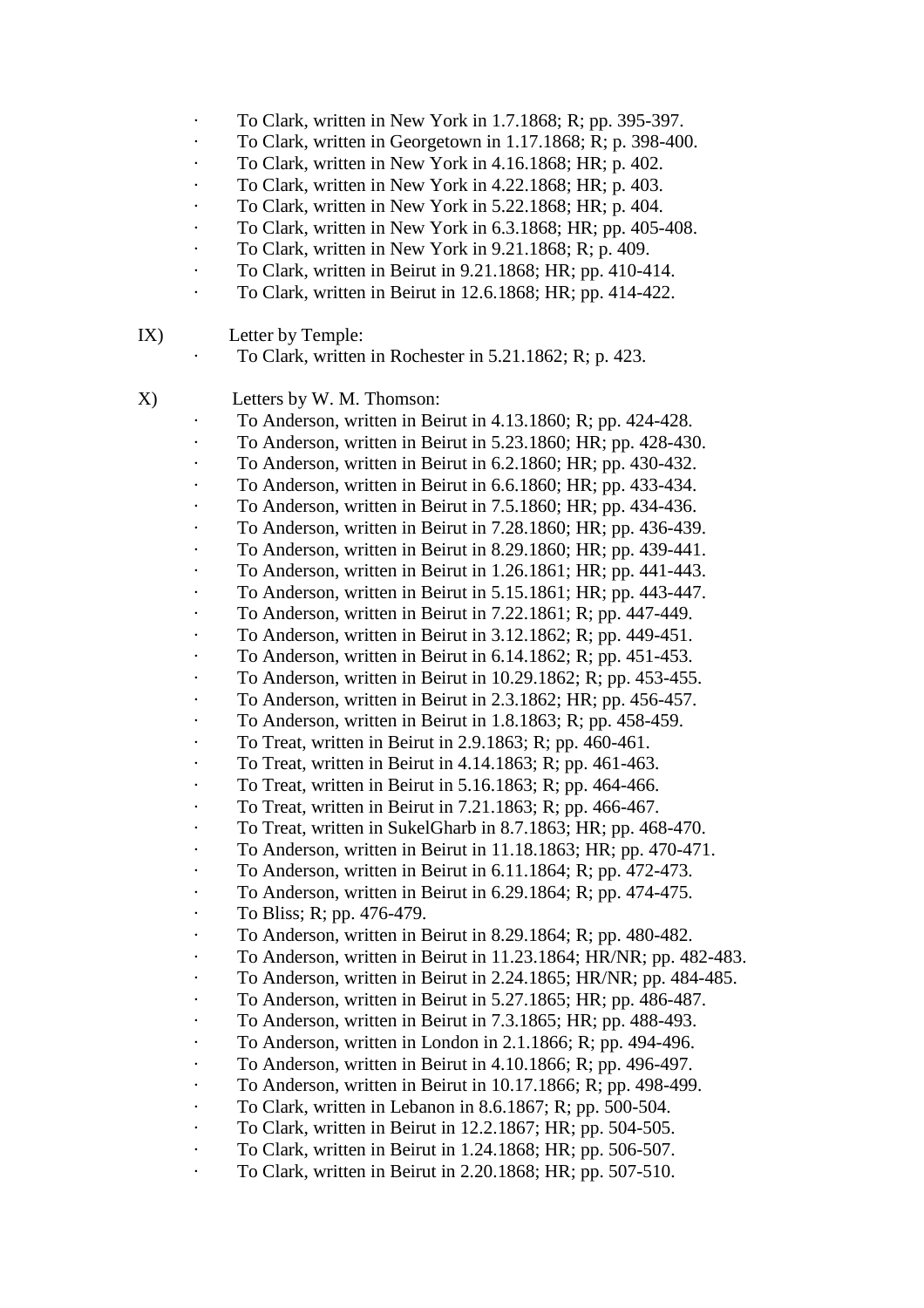- · To Clark, written in New York in 1.7.1868; R; pp. 395-397.
- · To Clark, written in Georgetown in 1.17.1868; R; p. 398-400.
- · To Clark, written in New York in 4.16.1868; HR; p. 402.
- · To Clark, written in New York in 4.22.1868; HR; p. 403.
- To Clark, written in New York in 5.22.1868; HR; p. 404.
- · To Clark, written in New York in 6.3.1868; HR; pp. 405-408.
- · To Clark, written in New York in 9.21.1868; R; p. 409.
- · To Clark, written in Beirut in 9.21.1868; HR; pp. 410-414.
- · To Clark, written in Beirut in 12.6.1868; HR; pp. 414-422.

# IX) Letter by Temple:

· To Clark, written in Rochester in 5.21.1862; R; p. 423.

# X) Letters by W. M. Thomson:

- · To Anderson, written in Beirut in 4.13.1860; R; pp. 424-428.
- · To Anderson, written in Beirut in 5.23.1860; HR; pp. 428-430.
- To Anderson, written in Beirut in 6.2.1860; HR; pp. 430-432.
- To Anderson, written in Beirut in 6.6.1860; HR; pp. 433-434.
- To Anderson, written in Beirut in 7.5.1860; HR; pp. 434-436.
- · To Anderson, written in Beirut in 7.28.1860; HR; pp. 436-439.
- · To Anderson, written in Beirut in 8.29.1860; HR; pp. 439-441.
- · To Anderson, written in Beirut in 1.26.1861; HR; pp. 441-443.
- · To Anderson, written in Beirut in 5.15.1861; HR; pp. 443-447.
- · To Anderson, written in Beirut in 7.22.1861; R; pp. 447-449.
- · To Anderson, written in Beirut in 3.12.1862; R; pp. 449-451.
- · To Anderson, written in Beirut in 6.14.1862; R; pp. 451-453.
- · To Anderson, written in Beirut in 10.29.1862; R; pp. 453-455.
- · To Anderson, written in Beirut in 2.3.1862; HR; pp. 456-457.
- To Anderson, written in Beirut in 1.8.1863; R; pp. 458-459.
- · To Treat, written in Beirut in 2.9.1863; R; pp. 460-461.
- · To Treat, written in Beirut in 4.14.1863; R; pp. 461-463.
- · To Treat, written in Beirut in 5.16.1863; R; pp. 464-466.
- · To Treat, written in Beirut in 7.21.1863; R; pp. 466-467.
- · To Treat, written in SukelGharb in 8.7.1863; HR; pp. 468-470.
- · To Anderson, written in Beirut in 11.18.1863; HR; pp. 470-471.
- · To Anderson, written in Beirut in 6.11.1864; R; pp. 472-473.
- $\cdot$  To Anderson, written in Beirut in 6.29.1864; R; pp. 474-475.
- · To Bliss; R; pp. 476-479.
- · To Anderson, written in Beirut in 8.29.1864; R; pp. 480-482.
- · To Anderson, written in Beirut in 11.23.1864; HR/NR; pp. 482-483.
- · To Anderson, written in Beirut in 2.24.1865; HR/NR; pp. 484-485.
- · To Anderson, written in Beirut in 5.27.1865; HR; pp. 486-487.
- · To Anderson, written in Beirut in 7.3.1865; HR; pp. 488-493.
- To Anderson, written in London in  $2.1.1866$ ; R; pp. 494-496.
- To Anderson, written in Beirut in  $4.10.1866$ ; R; pp. 496-497.
- · To Anderson, written in Beirut in 10.17.1866; R; pp. 498-499.
- · To Clark, written in Lebanon in 8.6.1867; R; pp. 500-504.
- · To Clark, written in Beirut in 12.2.1867; HR; pp. 504-505.
- · To Clark, written in Beirut in 1.24.1868; HR; pp. 506-507.
- · To Clark, written in Beirut in 2.20.1868; HR; pp. 507-510.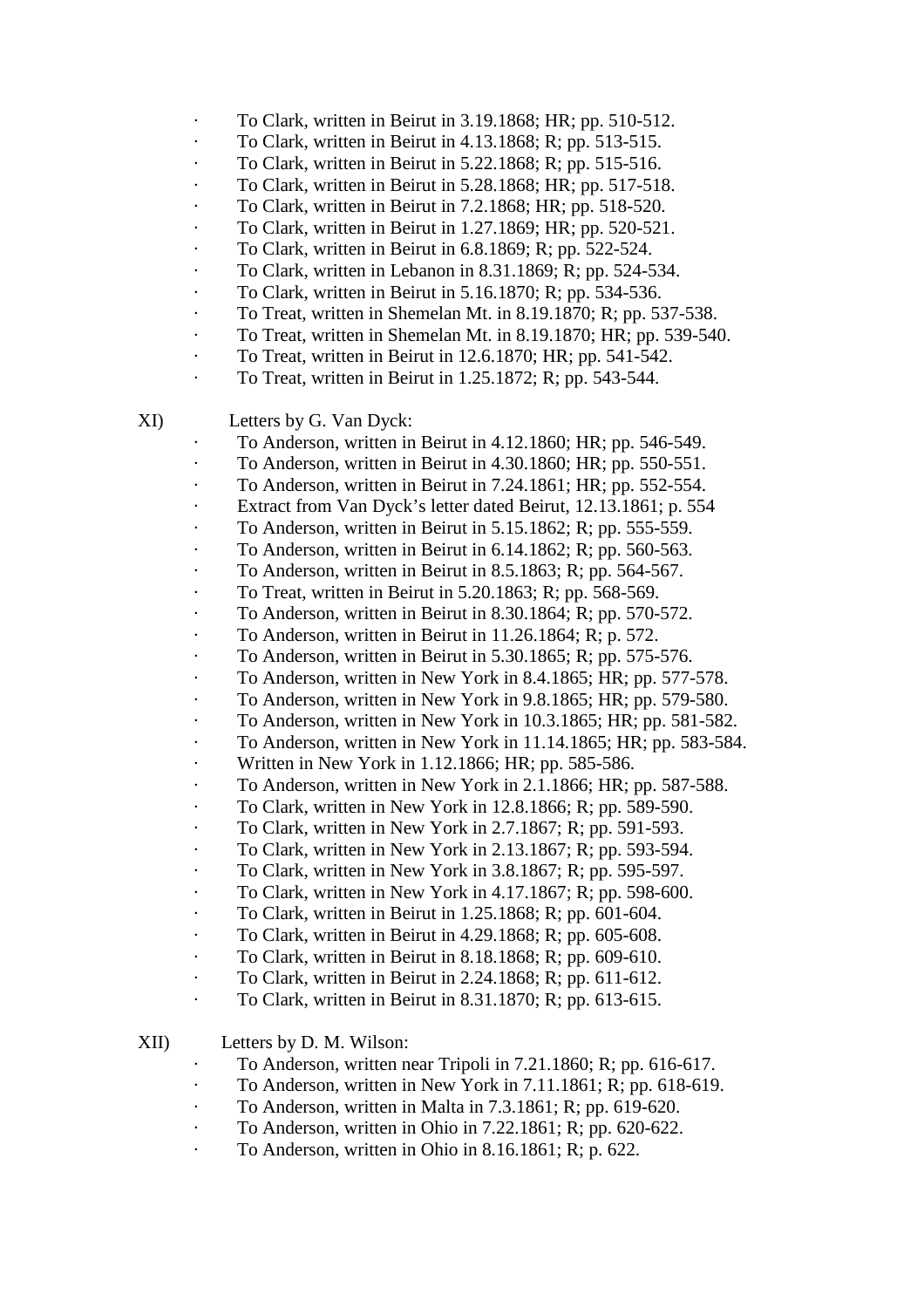- · To Clark, written in Beirut in 3.19.1868; HR; pp. 510-512.
- · To Clark, written in Beirut in 4.13.1868; R; pp. 513-515.
- · To Clark, written in Beirut in 5.22.1868; R; pp. 515-516.
- · To Clark, written in Beirut in 5.28.1868; HR; pp. 517-518.
- · To Clark, written in Beirut in 7.2.1868; HR; pp. 518-520.
- · To Clark, written in Beirut in 1.27.1869; HR; pp. 520-521.
- · To Clark, written in Beirut in 6.8.1869; R; pp. 522-524.
- · To Clark, written in Lebanon in 8.31.1869; R; pp. 524-534.
- · To Clark, written in Beirut in 5.16.1870; R; pp. 534-536.
- · To Treat, written in Shemelan Mt. in 8.19.1870; R; pp. 537-538.
- · To Treat, written in Shemelan Mt. in 8.19.1870; HR; pp. 539-540.
- · To Treat, written in Beirut in 12.6.1870; HR; pp. 541-542.
- · To Treat, written in Beirut in 1.25.1872; R; pp. 543-544.

XI) Letters by G. Van Dyck:

- · To Anderson, written in Beirut in 4.12.1860; HR; pp. 546-549.
- · To Anderson, written in Beirut in 4.30.1860; HR; pp. 550-551.
- · To Anderson, written in Beirut in 7.24.1861; HR; pp. 552-554.
- Extract from Van Dyck's letter dated Beirut, 12.13.1861; p. 554
- · To Anderson, written in Beirut in 5.15.1862; R; pp. 555-559.
- · To Anderson, written in Beirut in 6.14.1862; R; pp. 560-563.
- · To Anderson, written in Beirut in 8.5.1863; R; pp. 564-567.
- · To Treat, written in Beirut in 5.20.1863; R; pp. 568-569.
- · To Anderson, written in Beirut in 8.30.1864; R; pp. 570-572.
- To Anderson, written in Beirut in  $11.26.1864$ ; R; p. 572.
- · To Anderson, written in Beirut in 5.30.1865; R; pp. 575-576.
- · To Anderson, written in New York in 8.4.1865; HR; pp. 577-578.
- · To Anderson, written in New York in 9.8.1865; HR; pp. 579-580.
- · To Anderson, written in New York in 10.3.1865; HR; pp. 581-582.
- · To Anderson, written in New York in 11.14.1865; HR; pp. 583-584.
- Written in New York in 1.12.1866; HR; pp. 585-586.
- · To Anderson, written in New York in 2.1.1866; HR; pp. 587-588.
- · To Clark, written in New York in 12.8.1866; R; pp. 589-590.
- · To Clark, written in New York in 2.7.1867; R; pp. 591-593.
- · To Clark, written in New York in 2.13.1867; R; pp. 593-594.
- · To Clark, written in New York in 3.8.1867; R; pp. 595-597.
- $\cdot$  To Clark, written in New York in 4.17.1867; R; pp. 598-600.
- · To Clark, written in Beirut in 1.25.1868; R; pp. 601-604.
- · To Clark, written in Beirut in 4.29.1868; R; pp. 605-608.
- · To Clark, written in Beirut in 8.18.1868; R; pp. 609-610.
- · To Clark, written in Beirut in 2.24.1868; R; pp. 611-612.
- · To Clark, written in Beirut in 8.31.1870; R; pp. 613-615.
- XII) Letters by D. M. Wilson:
	- · To Anderson, written near Tripoli in 7.21.1860; R; pp. 616-617.
	- · To Anderson, written in New York in 7.11.1861; R; pp. 618-619.
	- · To Anderson, written in Malta in 7.3.1861; R; pp. 619-620.
	- · To Anderson, written in Ohio in 7.22.1861; R; pp. 620-622.
	- To Anderson, written in Ohio in  $8.16.1861$ ; R; p. 622.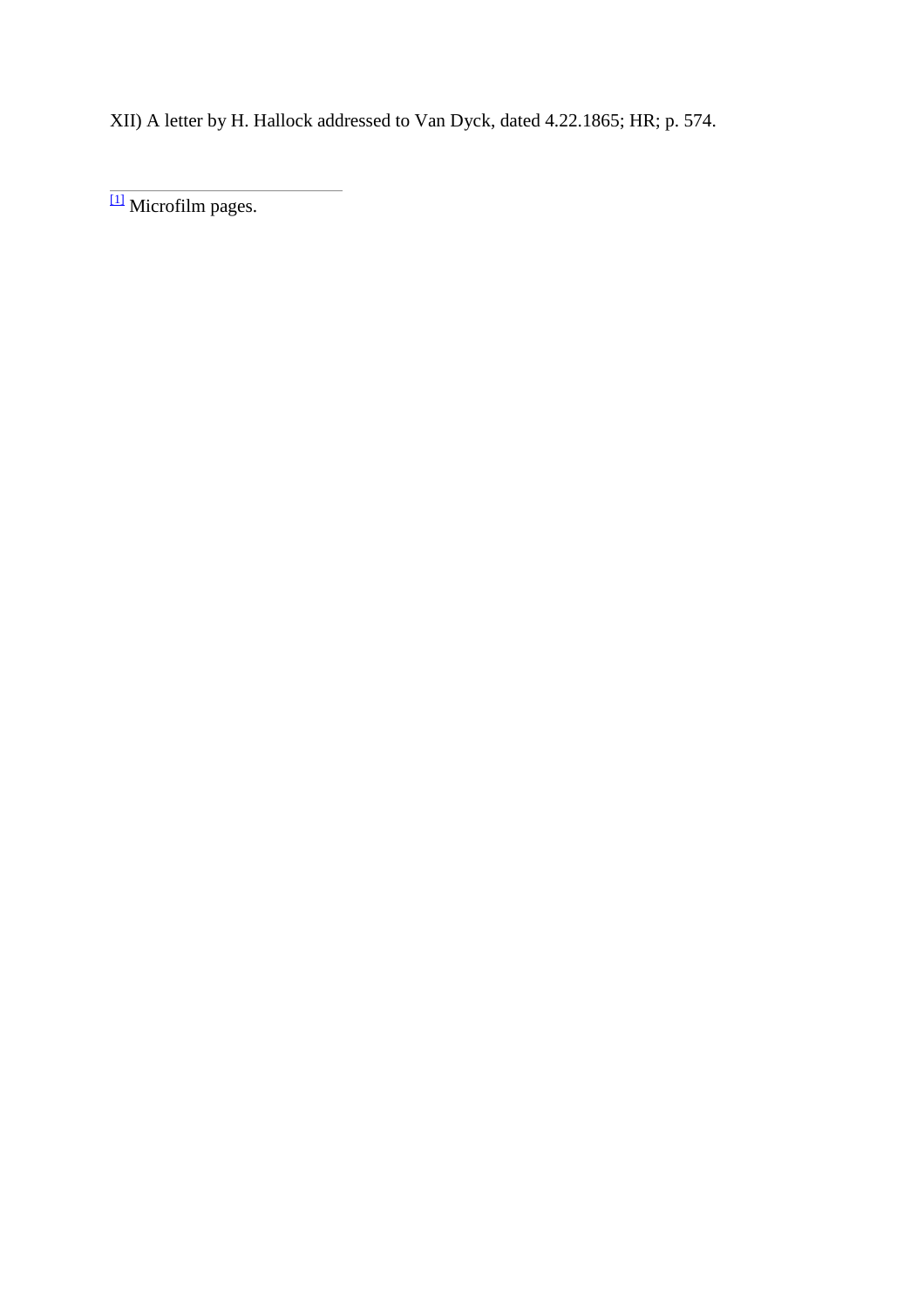XII) A letter by H. Hallock addressed to Van Dyck, dated 4.22.1865; HR; p. 574.

[1] Microfilm pages.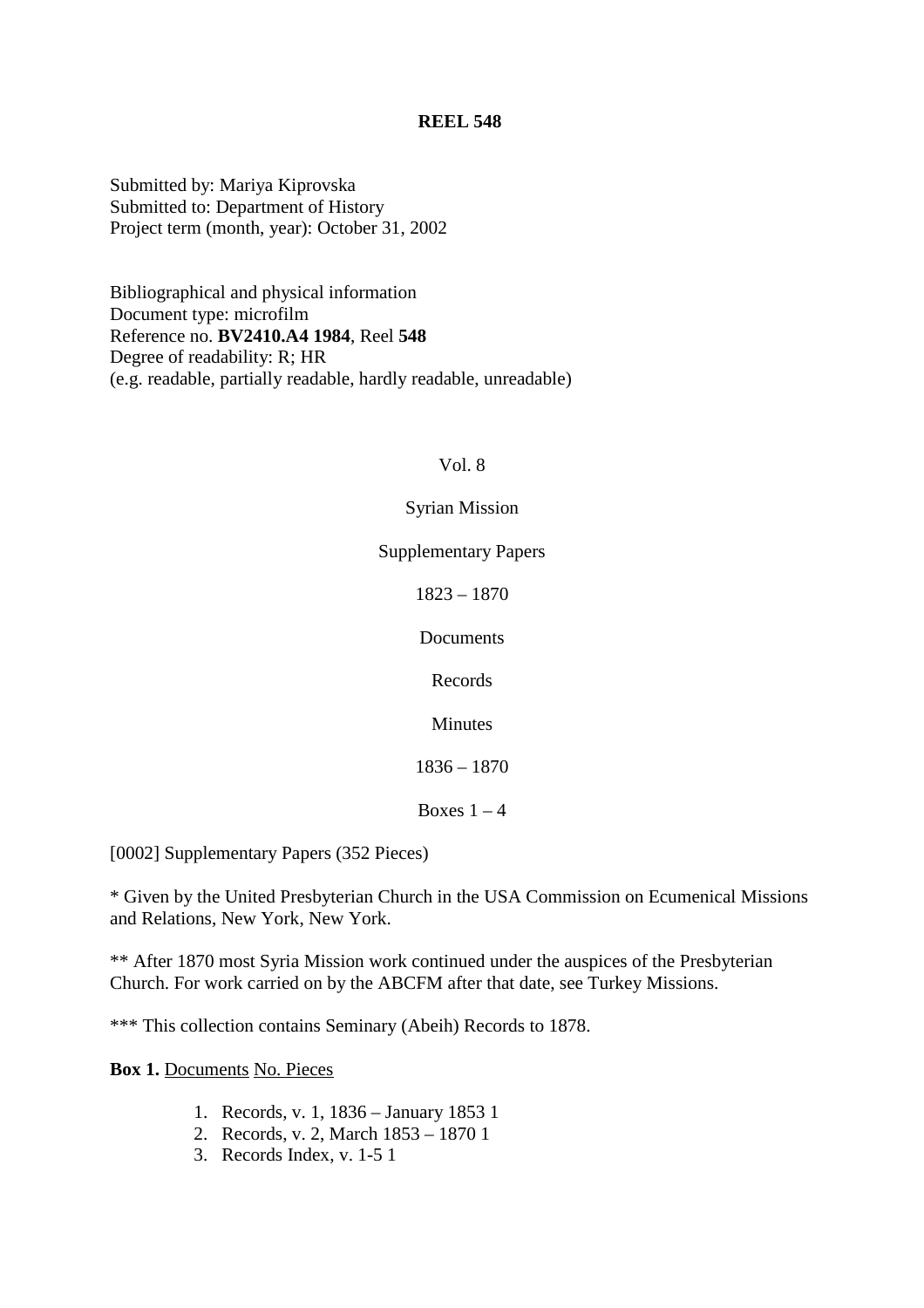Submitted by: Mariya Kiprovska Submitted to: Department of History Project term (month, year): October 31, 2002

Bibliographical and physical information Document type: microfilm Reference no. **BV2410.A4 1984**, Reel **548** Degree of readability: R; HR (e.g. readable, partially readable, hardly readable, unreadable)

#### Vol. 8

#### Syrian Mission

Supplementary Papers

1823 – 1870

Documents

Records

Minutes

1836 – 1870

Boxes  $1 - 4$ 

[0002] Supplementary Papers (352 Pieces)

\* Given by the United Presbyterian Church in the USA Commission on Ecumenical Missions and Relations, New York, New York.

\*\* After 1870 most Syria Mission work continued under the auspices of the Presbyterian Church. For work carried on by the ABCFM after that date, see Turkey Missions.

\*\*\* This collection contains Seminary (Abeih) Records to 1878.

**Box 1.** Documents No. Pieces

- 1. Records, v. 1, 1836 January 1853 1
- 2. Records, v. 2, March 1853 1870 1
- 3. Records Index, v. 1-5 1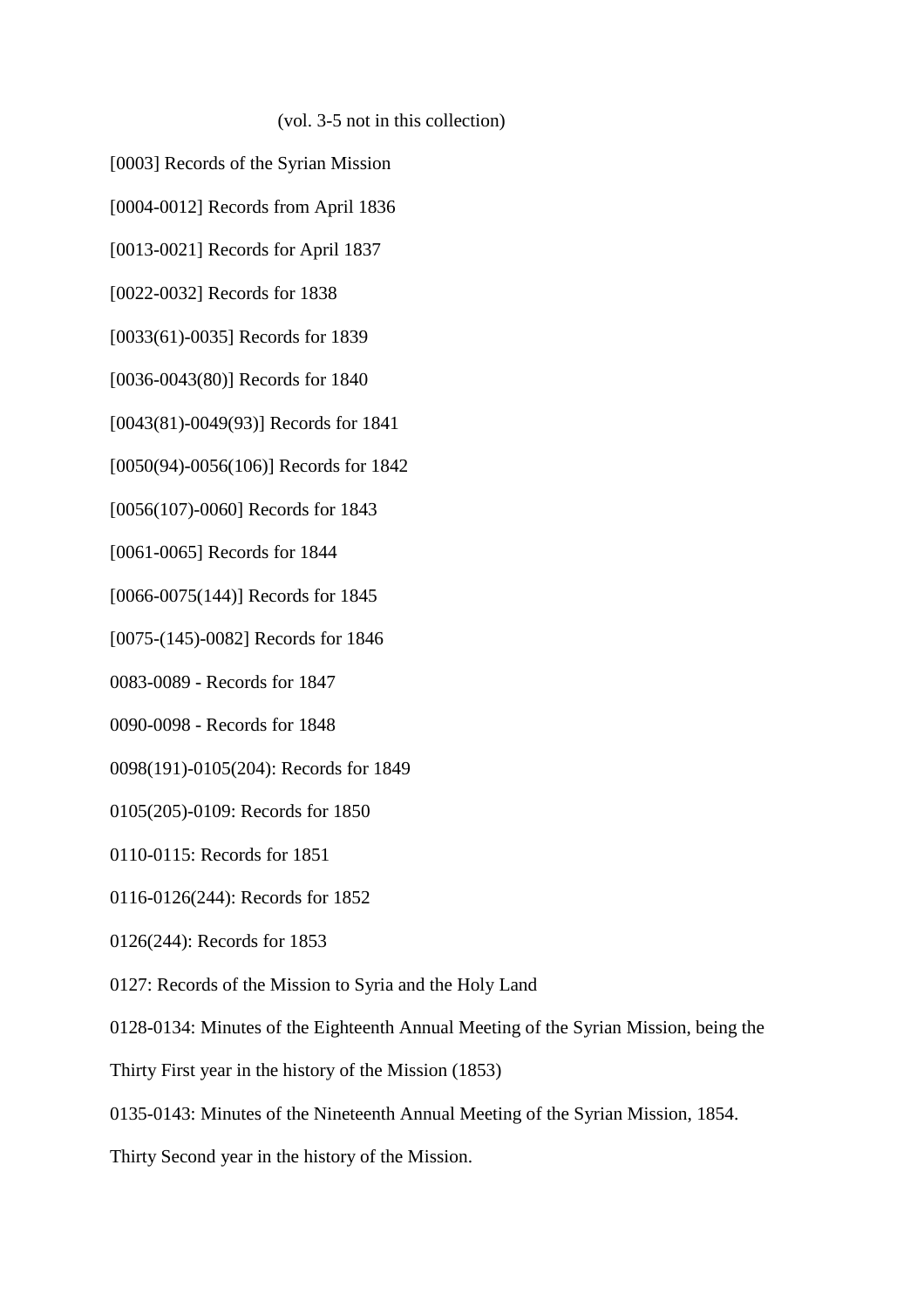(vol. 3-5 not in this collection)

- [0003] Records of the Syrian Mission
- [0004-0012] Records from April 1836
- [0013-0021] Records for April 1837
- [0022-0032] Records for 1838
- [0033(61)-0035] Records for 1839
- [0036-0043(80)] Records for 1840
- [0043(81)-0049(93)] Records for 1841
- [0050(94)-0056(106)] Records for 1842
- [0056(107)-0060] Records for 1843
- [0061-0065] Records for 1844
- [0066-0075(144)] Records for 1845
- [0075-(145)-0082] Records for 1846
- 0083-0089 Records for 1847
- 0090-0098 Records for 1848
- 0098(191)-0105(204): Records for 1849
- 0105(205)-0109: Records for 1850
- 0110-0115: Records for 1851
- 0116-0126(244): Records for 1852
- 0126(244): Records for 1853
- 0127: Records of the Mission to Syria and the Holy Land
- 0128-0134: Minutes of the Eighteenth Annual Meeting of the Syrian Mission, being the
- Thirty First year in the history of the Mission (1853)
- 0135-0143: Minutes of the Nineteenth Annual Meeting of the Syrian Mission, 1854.
- Thirty Second year in the history of the Mission.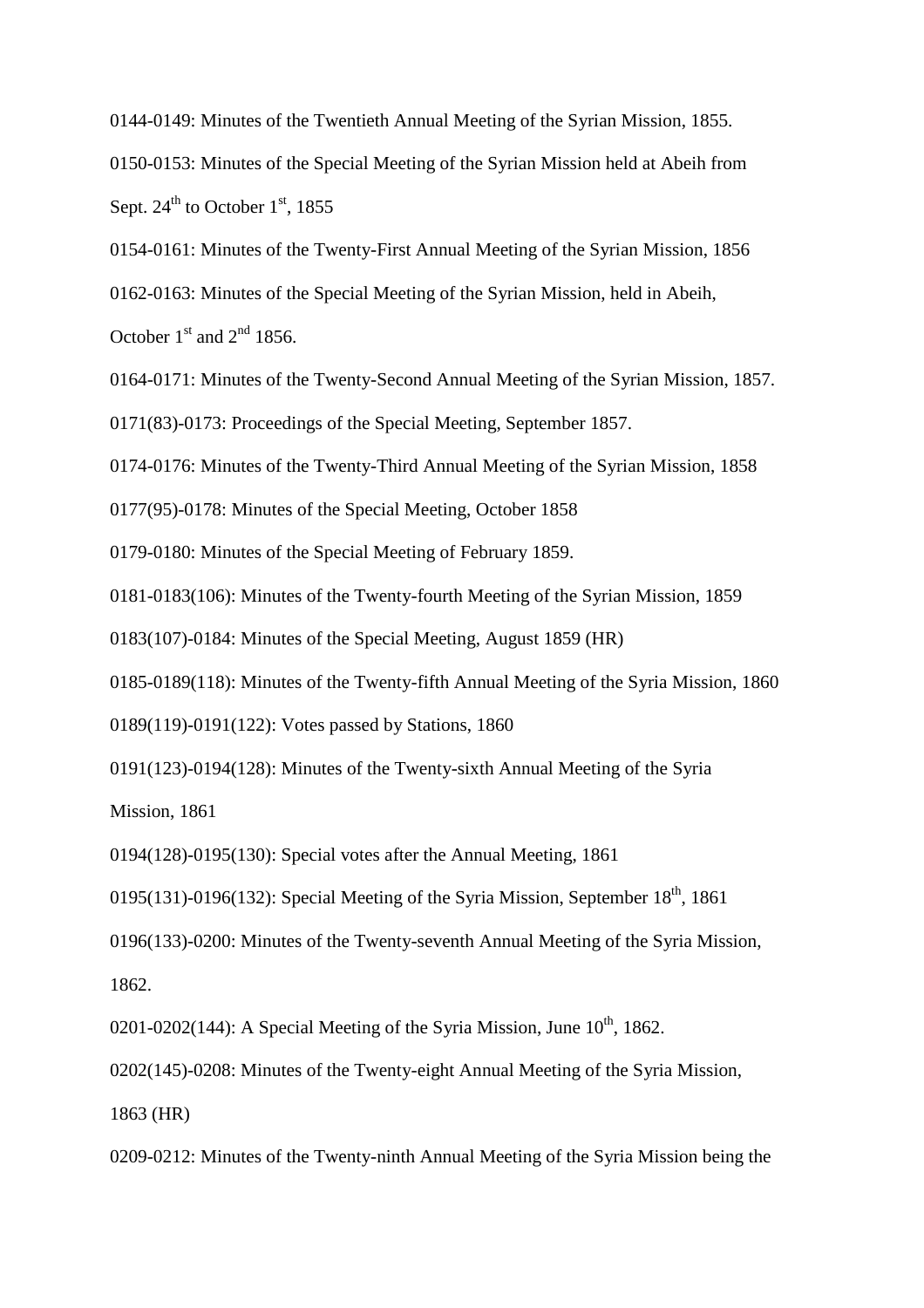0144-0149: Minutes of the Twentieth Annual Meeting of the Syrian Mission, 1855.

0150-0153: Minutes of the Special Meeting of the Syrian Mission held at Abeih from Sept.  $24^{\text{th}}$  to October 1<sup>st</sup>, 1855

0154-0161: Minutes of the Twenty-First Annual Meeting of the Syrian Mission, 1856

0162-0163: Minutes of the Special Meeting of the Syrian Mission, held in Abeih,

October  $1^{\text{st}}$  and  $2^{\text{nd}}$  1856.

0164-0171: Minutes of the Twenty-Second Annual Meeting of the Syrian Mission, 1857.

0171(83)-0173: Proceedings of the Special Meeting, September 1857.

0174-0176: Minutes of the Twenty-Third Annual Meeting of the Syrian Mission, 1858

0177(95)-0178: Minutes of the Special Meeting, October 1858

0179-0180: Minutes of the Special Meeting of February 1859.

0181-0183(106): Minutes of the Twenty-fourth Meeting of the Syrian Mission, 1859

0183(107)-0184: Minutes of the Special Meeting, August 1859 (HR)

0185-0189(118): Minutes of the Twenty-fifth Annual Meeting of the Syria Mission, 1860

0189(119)-0191(122): Votes passed by Stations, 1860

0191(123)-0194(128): Minutes of the Twenty-sixth Annual Meeting of the Syria

Mission, 1861

0194(128)-0195(130): Special votes after the Annual Meeting, 1861

0195(131)-0196(132): Special Meeting of the Syria Mission, September  $18<sup>th</sup>$ , 1861

0196(133)-0200: Minutes of the Twenty-seventh Annual Meeting of the Syria Mission,

1862.

0201-0202(144): A Special Meeting of the Syria Mission, June  $10^{th}$ , 1862.

0202(145)-0208: Minutes of the Twenty-eight Annual Meeting of the Syria Mission,

1863 (HR)

0209-0212: Minutes of the Twenty-ninth Annual Meeting of the Syria Mission being the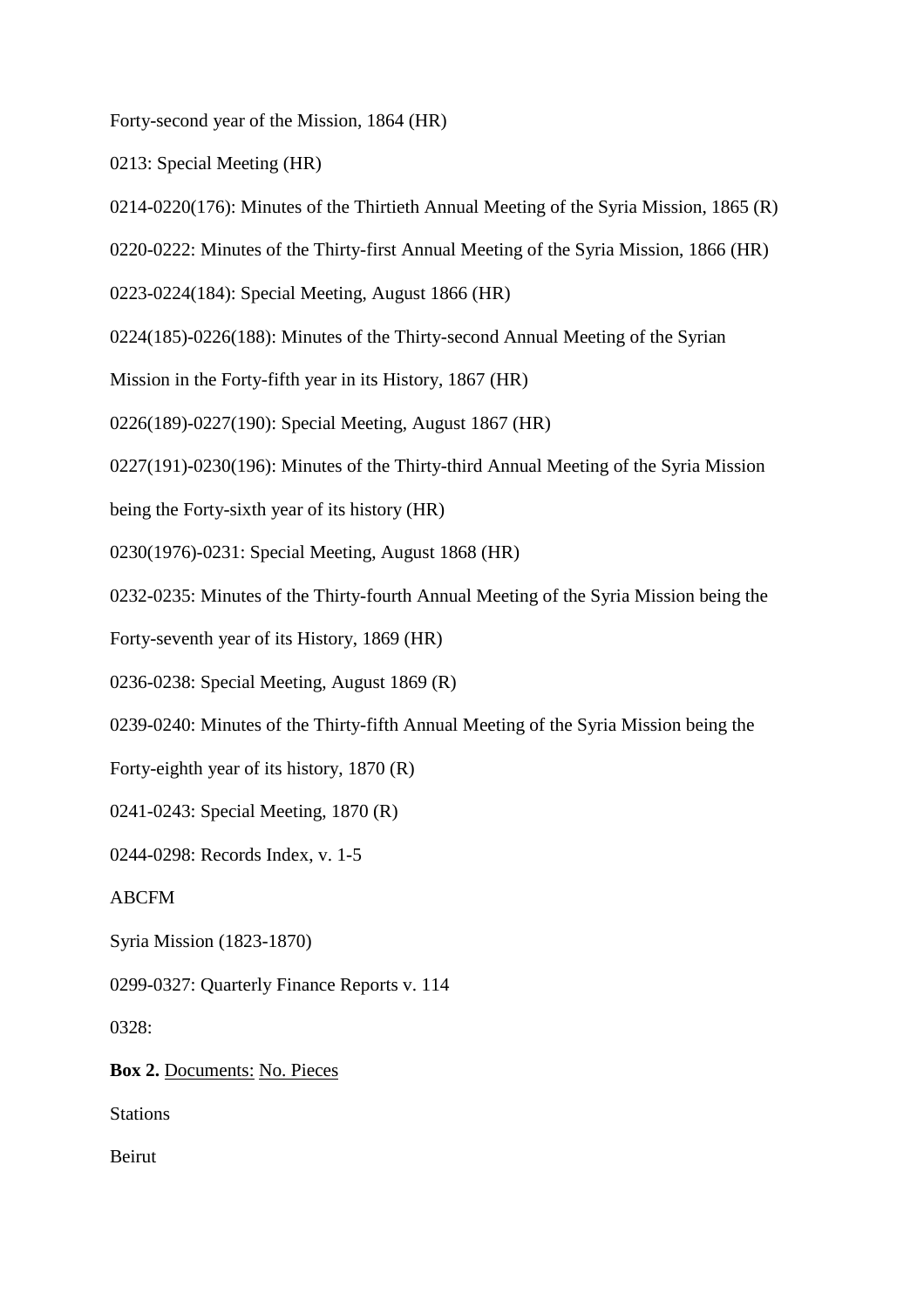Forty-second year of the Mission, 1864 (HR)

0213: Special Meeting (HR)

0214-0220(176): Minutes of the Thirtieth Annual Meeting of the Syria Mission, 1865 (R)

0220-0222: Minutes of the Thirty-first Annual Meeting of the Syria Mission, 1866 (HR)

0223-0224(184): Special Meeting, August 1866 (HR)

0224(185)-0226(188): Minutes of the Thirty-second Annual Meeting of the Syrian

Mission in the Forty-fifth year in its History, 1867 (HR)

0226(189)-0227(190): Special Meeting, August 1867 (HR)

0227(191)-0230(196): Minutes of the Thirty-third Annual Meeting of the Syria Mission

being the Forty-sixth year of its history (HR)

0230(1976)-0231: Special Meeting, August 1868 (HR)

0232-0235: Minutes of the Thirty-fourth Annual Meeting of the Syria Mission being the

Forty-seventh year of its History, 1869 (HR)

0236-0238: Special Meeting, August 1869 (R)

0239-0240: Minutes of the Thirty-fifth Annual Meeting of the Syria Mission being the

Forty-eighth year of its history, 1870 (R)

0241-0243: Special Meeting, 1870 (R)

0244-0298: Records Index, v. 1-5

ABCFM

Syria Mission (1823-1870)

0299-0327: Quarterly Finance Reports v. 114

0328:

**Box 2.** Documents: No. Pieces

Stations

Beirut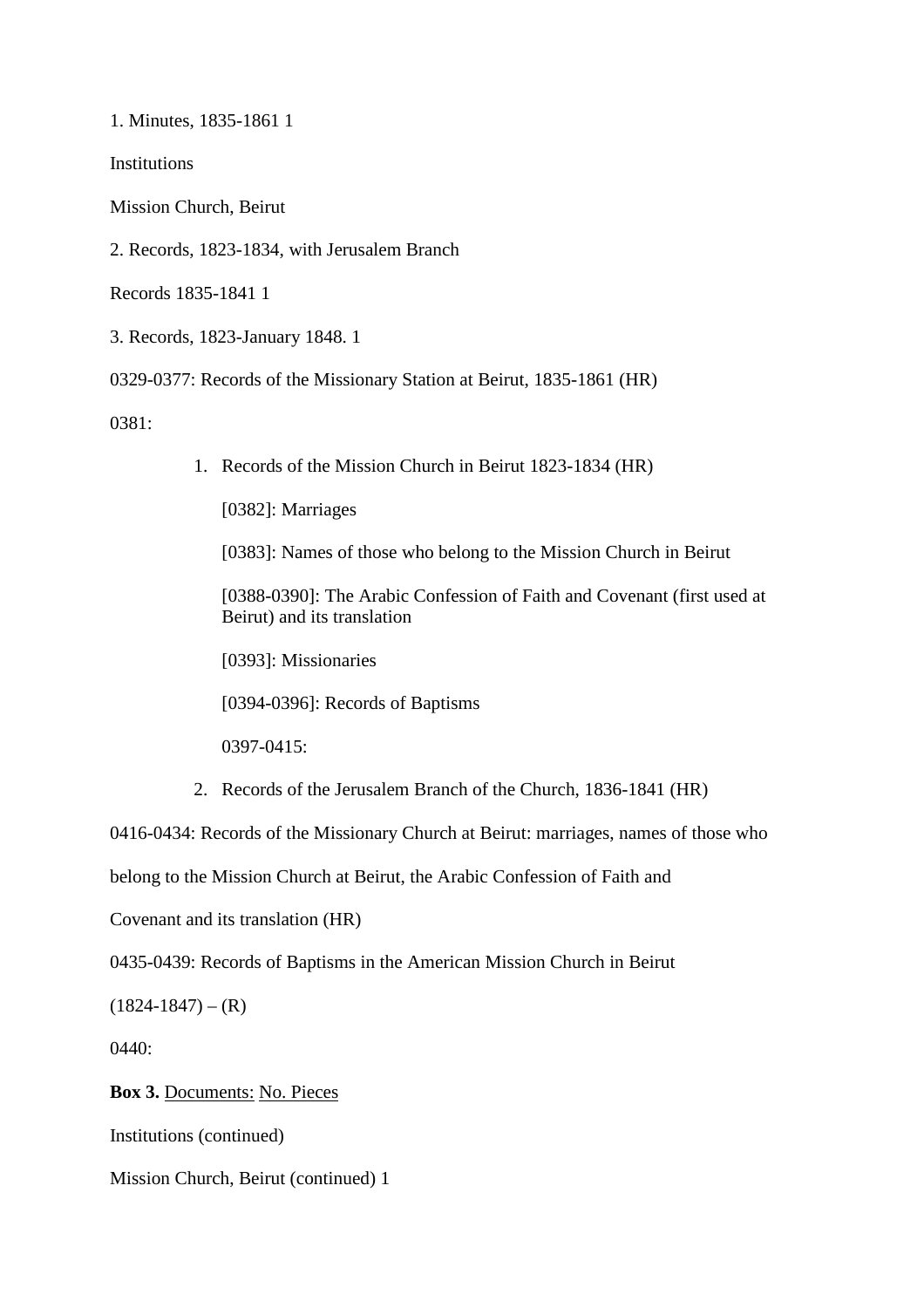1. Minutes, 1835-1861 1

**Institutions** 

Mission Church, Beirut

2. Records, 1823-1834, with Jerusalem Branch

Records 1835-1841 1

3. Records, 1823-January 1848. 1

0329-0377: Records of the Missionary Station at Beirut, 1835-1861 (HR)

0381:

1. Records of the Mission Church in Beirut 1823-1834 (HR)

[0382]: Marriages

[0383]: Names of those who belong to the Mission Church in Beirut

[0388-0390]: The Arabic Confession of Faith and Covenant (first used at Beirut) and its translation

[0393]: Missionaries

[0394-0396]: Records of Baptisms

0397-0415:

2. Records of the Jerusalem Branch of the Church, 1836-1841 (HR)

0416-0434: Records of the Missionary Church at Beirut: marriages, names of those who

belong to the Mission Church at Beirut, the Arabic Confession of Faith and

Covenant and its translation (HR)

0435-0439: Records of Baptisms in the American Mission Church in Beirut

 $(1824-1847) - (R)$ 

0440:

**Box 3.** Documents: No. Pieces

Institutions (continued)

Mission Church, Beirut (continued) 1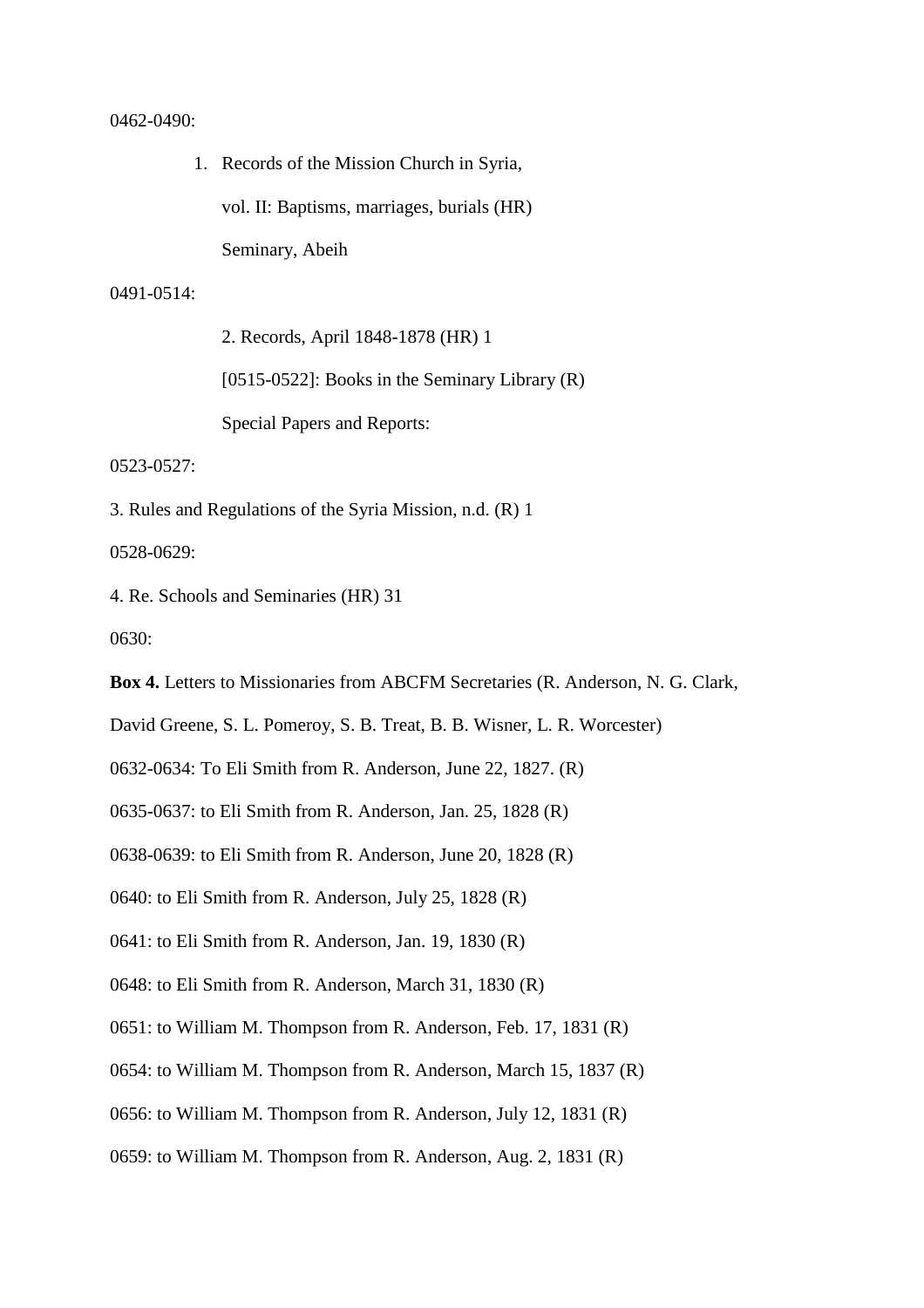#### 0462-0490:

1. Records of the Mission Church in Syria, vol. II: Baptisms, marriages, burials (HR) Seminary, Abeih

#### 0491-0514:

2. Records, April 1848-1878 (HR) 1 [0515-0522]: Books in the Seminary Library (R)

Special Papers and Reports:

0523-0527:

3. Rules and Regulations of the Syria Mission, n.d. (R) 1

0528-0629:

4. Re. Schools and Seminaries (HR) 31

0630:

**Box 4.** Letters to Missionaries from ABCFM Secretaries (R. Anderson, N. G. Clark,

David Greene, S. L. Pomeroy, S. B. Treat, B. B. Wisner, L. R. Worcester)

0632-0634: To Eli Smith from R. Anderson, June 22, 1827. (R)

0635-0637: to Eli Smith from R. Anderson, Jan. 25, 1828 (R)

0638-0639: to Eli Smith from R. Anderson, June 20, 1828 (R)

0640: to Eli Smith from R. Anderson, July 25, 1828 (R)

0641: to Eli Smith from R. Anderson, Jan. 19, 1830 (R)

0648: to Eli Smith from R. Anderson, March 31, 1830 (R)

0651: to William M. Thompson from R. Anderson, Feb. 17, 1831 (R)

0654: to William M. Thompson from R. Anderson, March 15, 1837 (R)

0656: to William M. Thompson from R. Anderson, July 12, 1831 (R)

0659: to William M. Thompson from R. Anderson, Aug. 2, 1831 (R)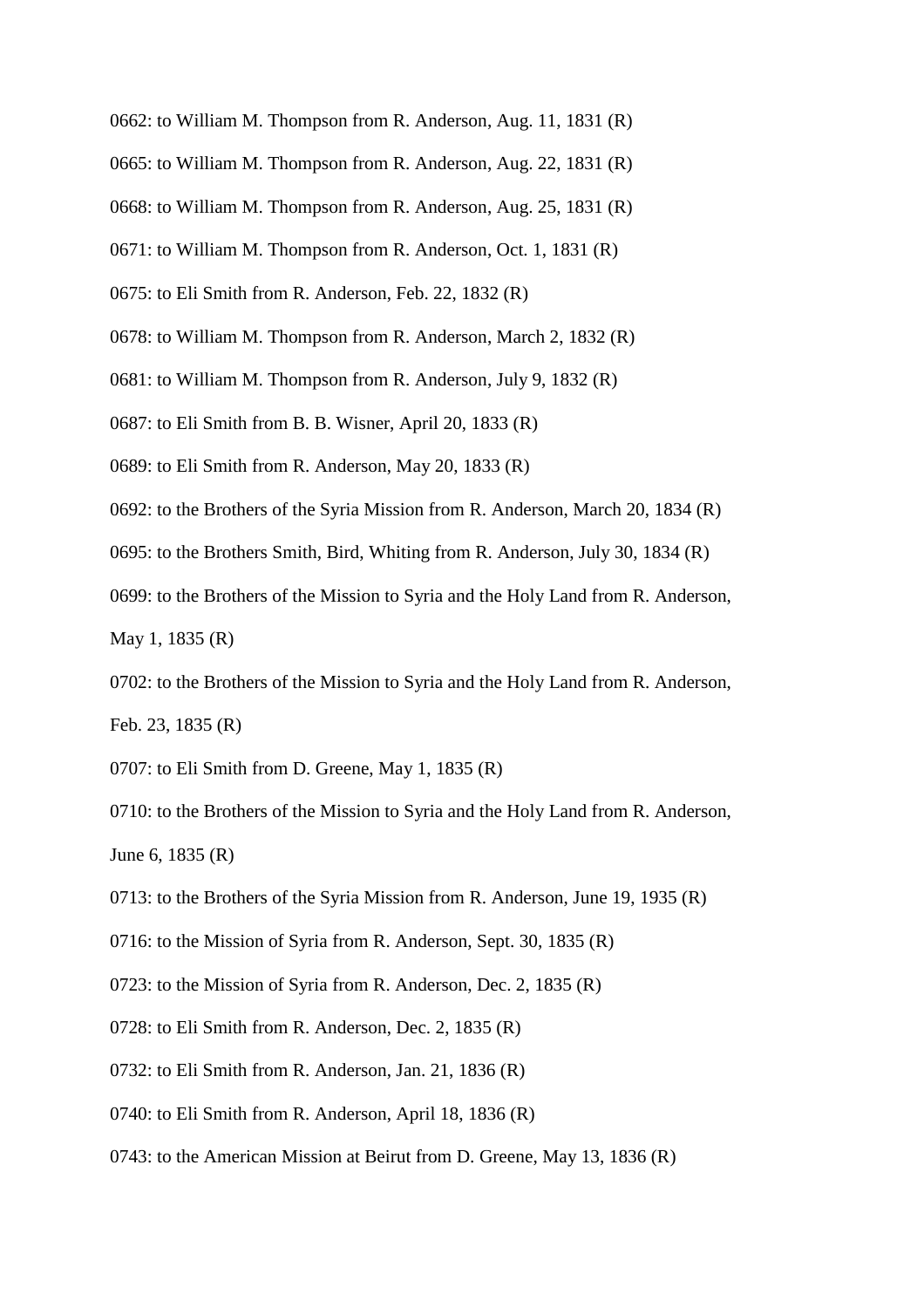- 0662: to William M. Thompson from R. Anderson, Aug. 11, 1831 (R)
- 0665: to William M. Thompson from R. Anderson, Aug. 22, 1831 (R)
- 0668: to William M. Thompson from R. Anderson, Aug. 25, 1831 (R)
- 0671: to William M. Thompson from R. Anderson, Oct. 1, 1831 (R)
- 0675: to Eli Smith from R. Anderson, Feb. 22, 1832 (R)
- 0678: to William M. Thompson from R. Anderson, March 2, 1832 (R)
- 0681: to William M. Thompson from R. Anderson, July 9, 1832 (R)
- 0687: to Eli Smith from B. B. Wisner, April 20, 1833 (R)
- 0689: to Eli Smith from R. Anderson, May 20, 1833 (R)
- 0692: to the Brothers of the Syria Mission from R. Anderson, March 20, 1834 (R)
- 0695: to the Brothers Smith, Bird, Whiting from R. Anderson, July 30, 1834 (R)
- 0699: to the Brothers of the Mission to Syria and the Holy Land from R. Anderson,
- May 1, 1835 (R)
- 0702: to the Brothers of the Mission to Syria and the Holy Land from R. Anderson,
- Feb. 23, 1835 (R)
- 0707: to Eli Smith from D. Greene, May 1, 1835 (R)
- 0710: to the Brothers of the Mission to Syria and the Holy Land from R. Anderson, June 6, 1835 (R)
- 0713: to the Brothers of the Syria Mission from R. Anderson, June 19, 1935 (R)
- 0716: to the Mission of Syria from R. Anderson, Sept. 30, 1835 (R)
- 0723: to the Mission of Syria from R. Anderson, Dec. 2, 1835 (R)
- 0728: to Eli Smith from R. Anderson, Dec. 2, 1835 (R)
- 0732: to Eli Smith from R. Anderson, Jan. 21, 1836 (R)
- 0740: to Eli Smith from R. Anderson, April 18, 1836 (R)
- 0743: to the American Mission at Beirut from D. Greene, May 13, 1836 (R)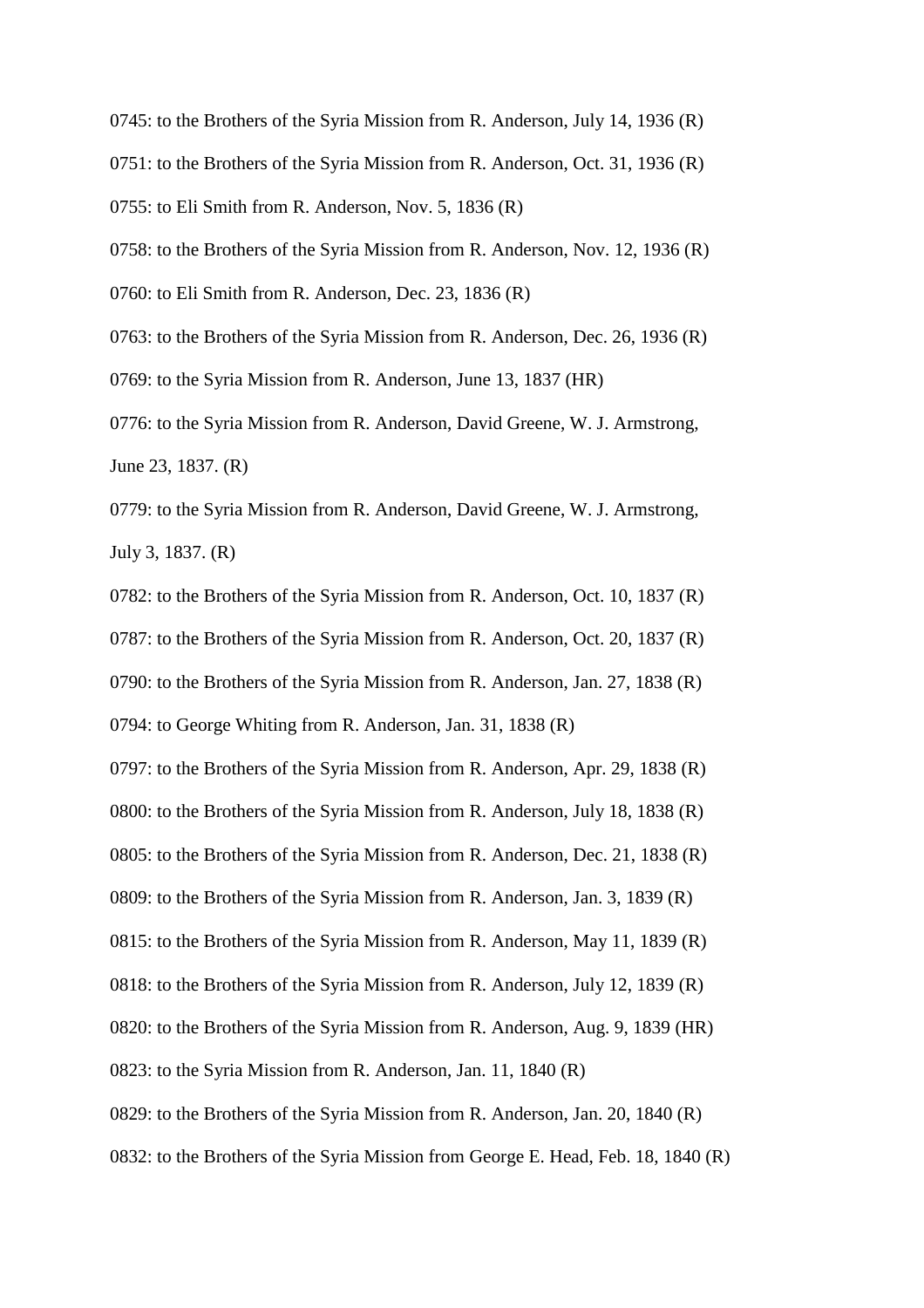0745: to the Brothers of the Syria Mission from R. Anderson, July 14, 1936 (R) 0751: to the Brothers of the Syria Mission from R. Anderson, Oct. 31, 1936 (R) 0755: to Eli Smith from R. Anderson, Nov. 5, 1836 (R) 0758: to the Brothers of the Syria Mission from R. Anderson, Nov. 12, 1936 (R) 0760: to Eli Smith from R. Anderson, Dec. 23, 1836 (R) 0763: to the Brothers of the Syria Mission from R. Anderson, Dec. 26, 1936 (R) 0769: to the Syria Mission from R. Anderson, June 13, 1837 (HR)

0776: to the Syria Mission from R. Anderson, David Greene, W. J. Armstrong, June 23, 1837. (R)

0779: to the Syria Mission from R. Anderson, David Greene, W. J. Armstrong, July 3, 1837. (R)

0782: to the Brothers of the Syria Mission from R. Anderson, Oct. 10, 1837 (R) 0787: to the Brothers of the Syria Mission from R. Anderson, Oct. 20, 1837 (R) 0790: to the Brothers of the Syria Mission from R. Anderson, Jan. 27, 1838 (R) 0794: to George Whiting from R. Anderson, Jan. 31, 1838 (R)

0797: to the Brothers of the Syria Mission from R. Anderson, Apr. 29, 1838 (R) 0800: to the Brothers of the Syria Mission from R. Anderson, July 18, 1838 (R) 0805: to the Brothers of the Syria Mission from R. Anderson, Dec. 21, 1838 (R) 0809: to the Brothers of the Syria Mission from R. Anderson, Jan. 3, 1839 (R) 0815: to the Brothers of the Syria Mission from R. Anderson, May 11, 1839 (R) 0818: to the Brothers of the Syria Mission from R. Anderson, July 12, 1839 (R) 0820: to the Brothers of the Syria Mission from R. Anderson, Aug. 9, 1839 (HR) 0823: to the Syria Mission from R. Anderson, Jan. 11, 1840 (R) 0829: to the Brothers of the Syria Mission from R. Anderson, Jan. 20, 1840 (R)

0832: to the Brothers of the Syria Mission from George E. Head, Feb. 18, 1840 (R)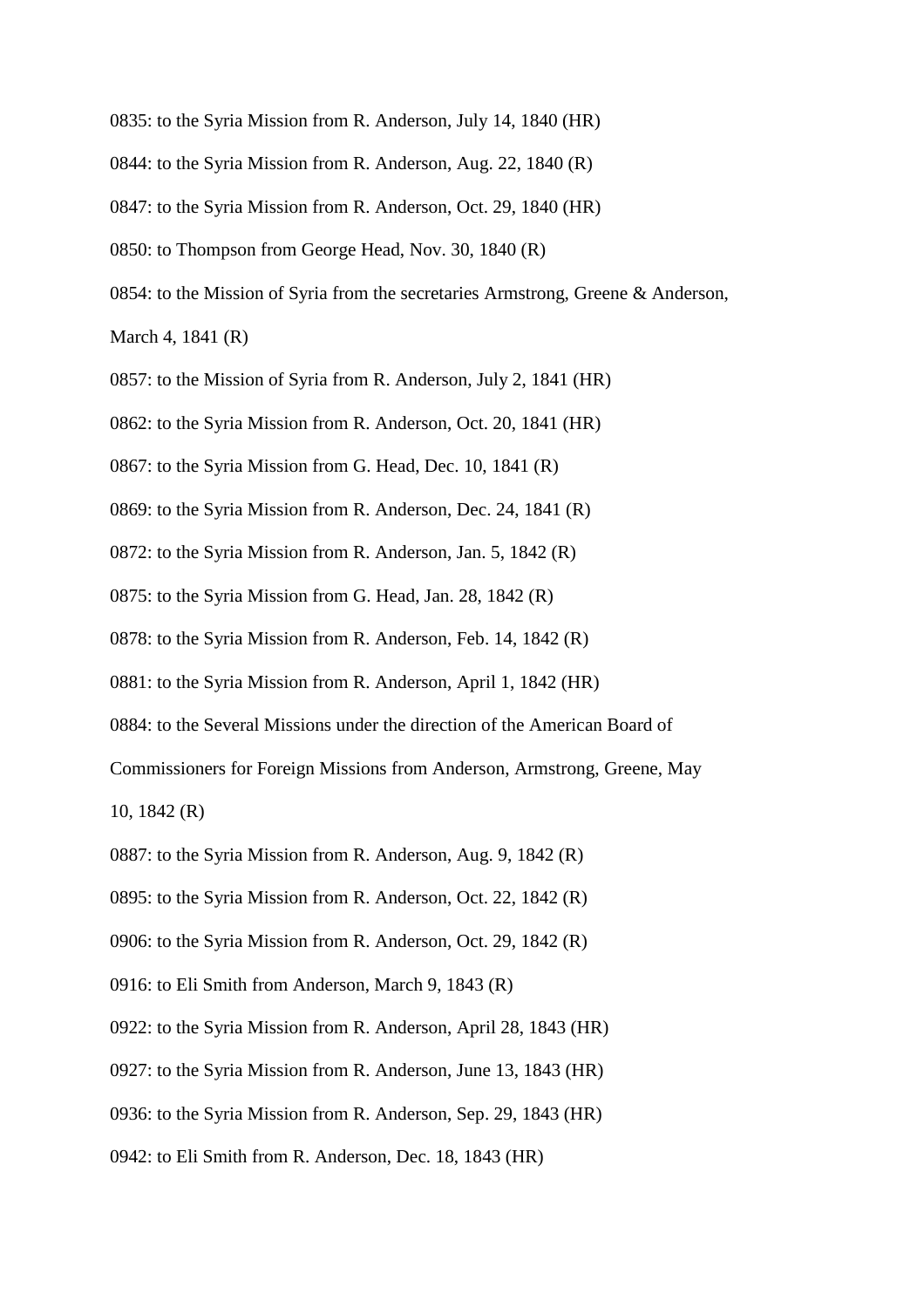0835: to the Syria Mission from R. Anderson, July 14, 1840 (HR) 0844: to the Syria Mission from R. Anderson, Aug. 22, 1840 (R) 0847: to the Syria Mission from R. Anderson, Oct. 29, 1840 (HR) 0850: to Thompson from George Head, Nov. 30, 1840 (R) 0854: to the Mission of Syria from the secretaries Armstrong, Greene & Anderson, March 4, 1841 (R)

0857: to the Mission of Syria from R. Anderson, July 2, 1841 (HR)

0862: to the Syria Mission from R. Anderson, Oct. 20, 1841 (HR)

0867: to the Syria Mission from G. Head, Dec. 10, 1841 (R)

0869: to the Syria Mission from R. Anderson, Dec. 24, 1841 (R)

0872: to the Syria Mission from R. Anderson, Jan. 5, 1842 (R)

0875: to the Syria Mission from G. Head, Jan. 28, 1842 (R)

0878: to the Syria Mission from R. Anderson, Feb. 14, 1842 (R)

0881: to the Syria Mission from R. Anderson, April 1, 1842 (HR)

0884: to the Several Missions under the direction of the American Board of

Commissioners for Foreign Missions from Anderson, Armstrong, Greene, May

10, 1842 (R)

0887: to the Syria Mission from R. Anderson, Aug. 9, 1842 (R)

0895: to the Syria Mission from R. Anderson, Oct. 22, 1842 (R)

0906: to the Syria Mission from R. Anderson, Oct. 29, 1842 (R)

0916: to Eli Smith from Anderson, March 9, 1843 (R)

0922: to the Syria Mission from R. Anderson, April 28, 1843 (HR)

0927: to the Syria Mission from R. Anderson, June 13, 1843 (HR)

0936: to the Syria Mission from R. Anderson, Sep. 29, 1843 (HR)

0942: to Eli Smith from R. Anderson, Dec. 18, 1843 (HR)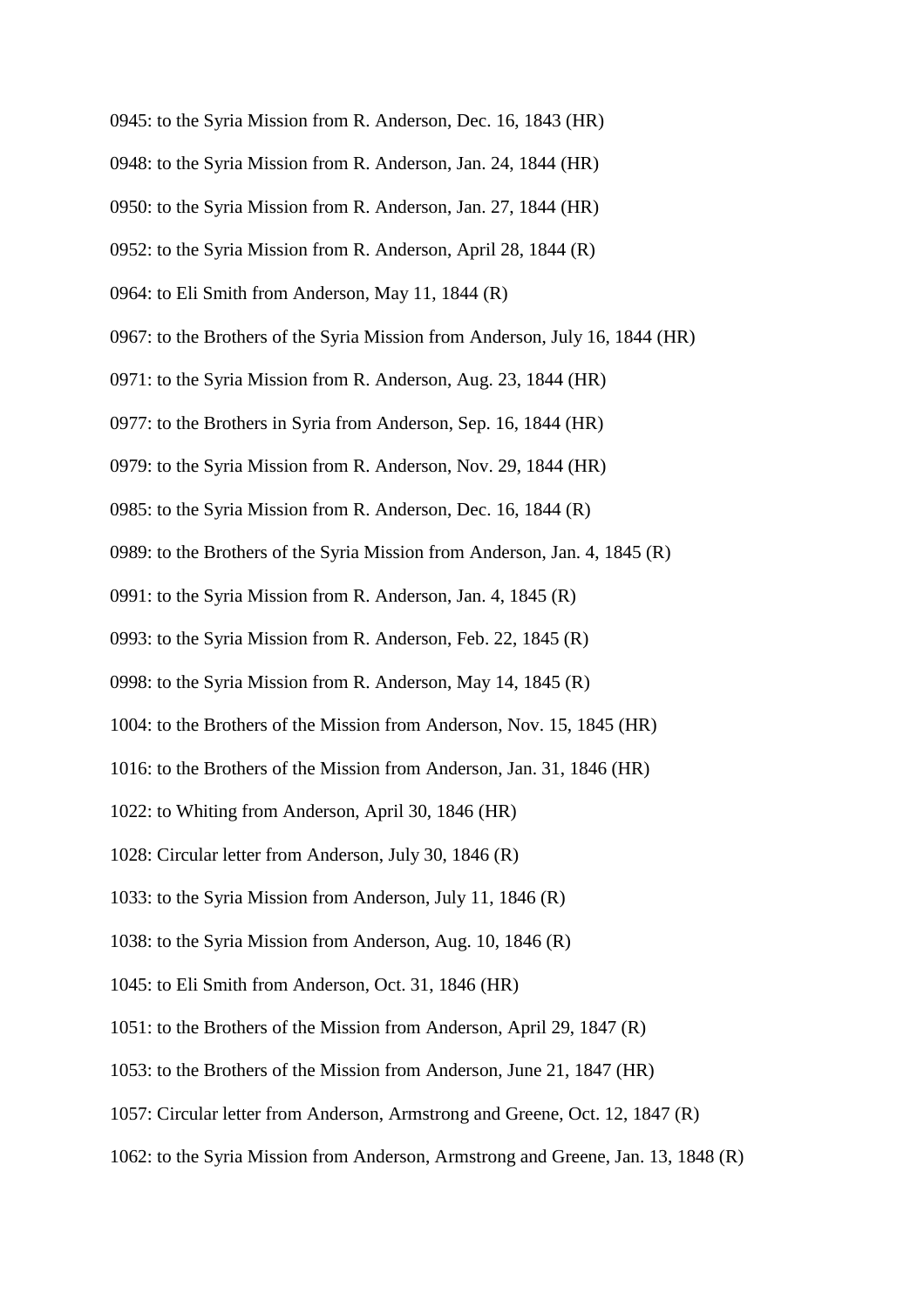- 0945: to the Syria Mission from R. Anderson, Dec. 16, 1843 (HR)
- 0948: to the Syria Mission from R. Anderson, Jan. 24, 1844 (HR)
- 0950: to the Syria Mission from R. Anderson, Jan. 27, 1844 (HR)
- 0952: to the Syria Mission from R. Anderson, April 28, 1844 (R)
- 0964: to Eli Smith from Anderson, May 11, 1844 (R)
- 0967: to the Brothers of the Syria Mission from Anderson, July 16, 1844 (HR)
- 0971: to the Syria Mission from R. Anderson, Aug. 23, 1844 (HR)
- 0977: to the Brothers in Syria from Anderson, Sep. 16, 1844 (HR)
- 0979: to the Syria Mission from R. Anderson, Nov. 29, 1844 (HR)
- 0985: to the Syria Mission from R. Anderson, Dec. 16, 1844 (R)
- 0989: to the Brothers of the Syria Mission from Anderson, Jan. 4, 1845 (R)
- 0991: to the Syria Mission from R. Anderson, Jan. 4, 1845 (R)
- 0993: to the Syria Mission from R. Anderson, Feb. 22, 1845 (R)
- 0998: to the Syria Mission from R. Anderson, May 14, 1845 (R)
- 1004: to the Brothers of the Mission from Anderson, Nov. 15, 1845 (HR)
- 1016: to the Brothers of the Mission from Anderson, Jan. 31, 1846 (HR)
- 1022: to Whiting from Anderson, April 30, 1846 (HR)
- 1028: Circular letter from Anderson, July 30, 1846 (R)
- 1033: to the Syria Mission from Anderson, July 11, 1846 (R)
- 1038: to the Syria Mission from Anderson, Aug. 10, 1846 (R)
- 1045: to Eli Smith from Anderson, Oct. 31, 1846 (HR)
- 1051: to the Brothers of the Mission from Anderson, April 29, 1847 (R)
- 1053: to the Brothers of the Mission from Anderson, June 21, 1847 (HR)
- 1057: Circular letter from Anderson, Armstrong and Greene, Oct. 12, 1847 (R)
- 1062: to the Syria Mission from Anderson, Armstrong and Greene, Jan. 13, 1848 (R)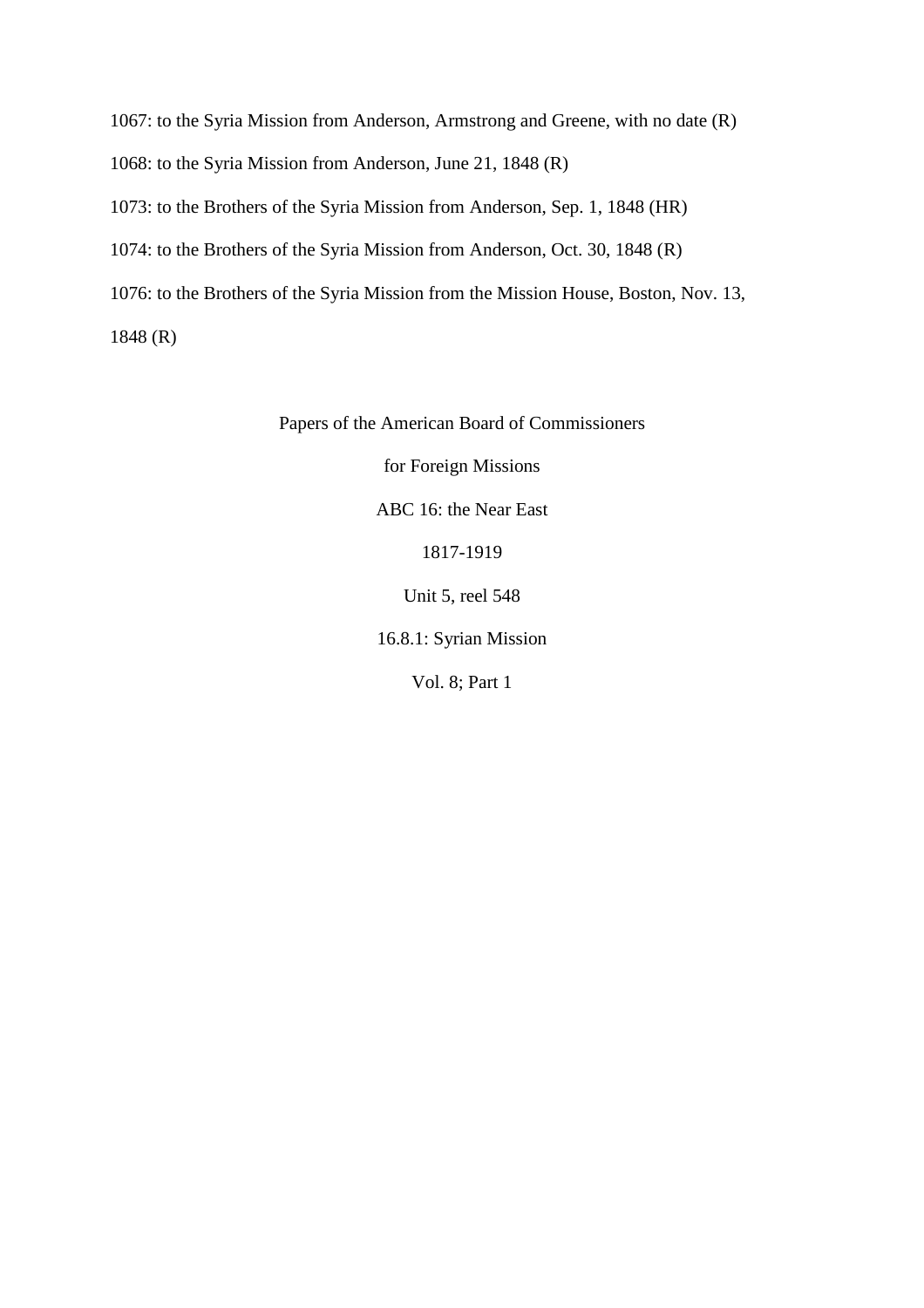1067: to the Syria Mission from Anderson, Armstrong and Greene, with no date (R) 1068: to the Syria Mission from Anderson, June 21, 1848 (R) 1073: to the Brothers of the Syria Mission from Anderson, Sep. 1, 1848 (HR) 1074: to the Brothers of the Syria Mission from Anderson, Oct. 30, 1848 (R) 1076: to the Brothers of the Syria Mission from the Mission House, Boston, Nov. 13, 1848 (R)

Papers of the American Board of Commissioners

for Foreign Missions

ABC 16: the Near East

1817-1919

Unit 5, reel 548

16.8.1: Syrian Mission

Vol. 8; Part 1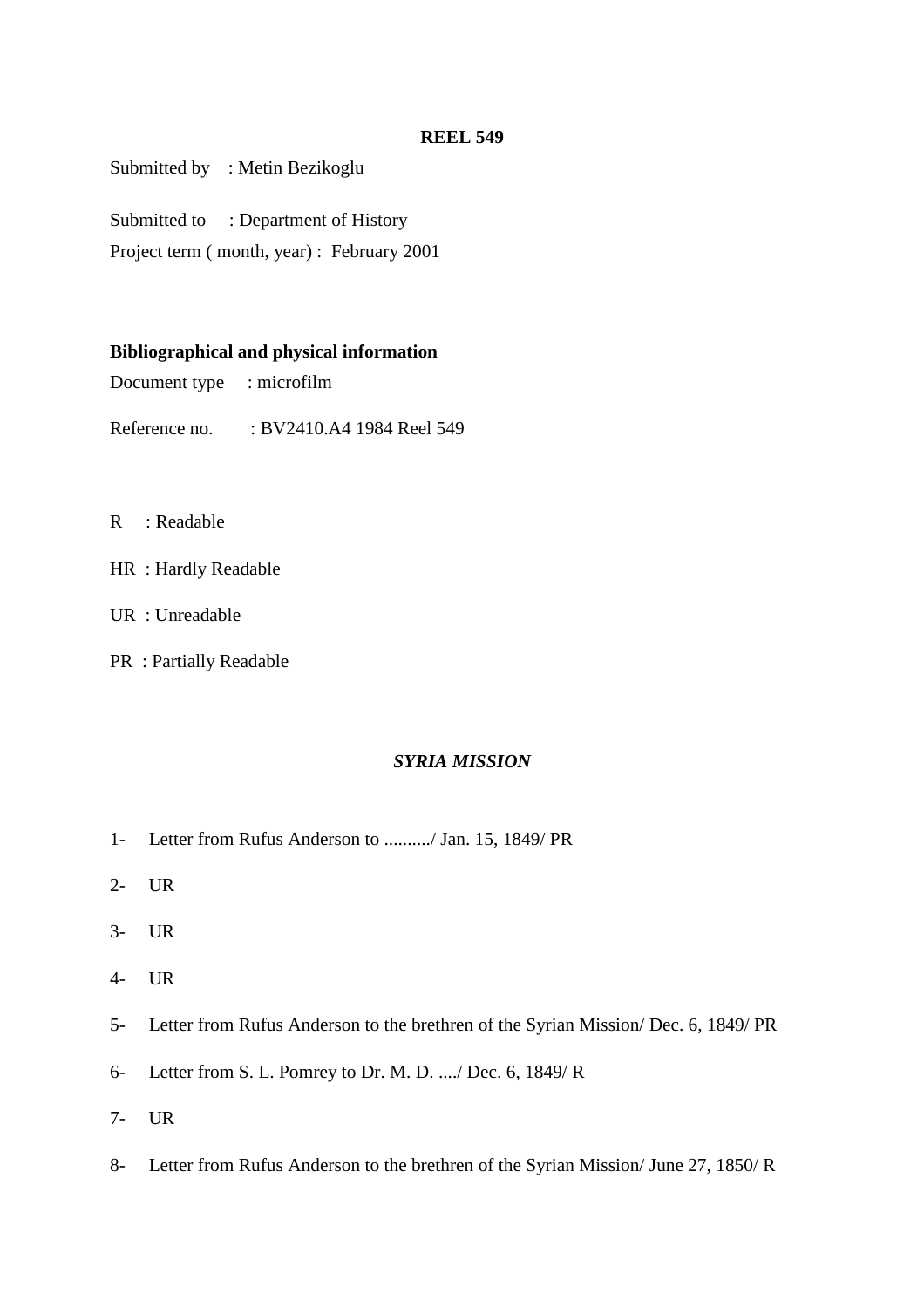Submitted by : Metin Bezikoglu

Submitted to : Department of History

Project term ( month, year) : February 2001

# **Bibliographical and physical information**

Document type : microfilm

Reference no. : BV2410.A4 1984 Reel 549

- R : Readable
- HR : Hardly Readable
- UR : Unreadable
- PR : Partially Readable

# *SYRIA MISSION*

- 1- Letter from Rufus Anderson to ........../ Jan. 15, 1849/ PR
- 2- UR
- 3- UR
- 4- UR
- 5- Letter from Rufus Anderson to the brethren of the Syrian Mission/ Dec. 6, 1849/ PR
- 6- Letter from S. L. Pomrey to Dr. M. D. ..../ Dec. 6, 1849/ R
- 7- UR
- 8- Letter from Rufus Anderson to the brethren of the Syrian Mission/ June 27, 1850/ R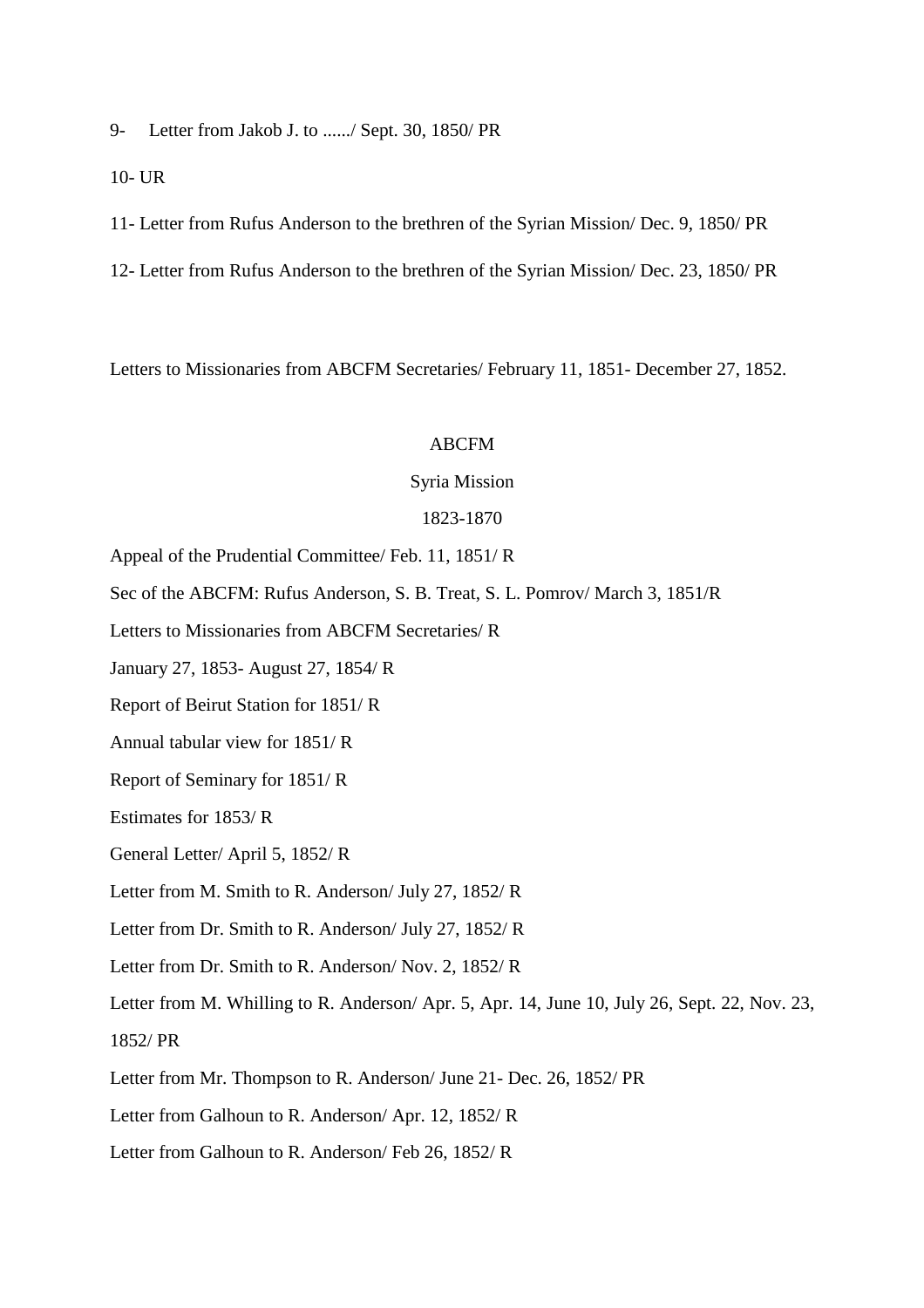9- Letter from Jakob J. to ....../ Sept. 30, 1850/ PR

10- UR

11- Letter from Rufus Anderson to the brethren of the Syrian Mission/ Dec. 9, 1850/ PR

12- Letter from Rufus Anderson to the brethren of the Syrian Mission/ Dec. 23, 1850/ PR

Letters to Missionaries from ABCFM Secretaries/ February 11, 1851- December 27, 1852.

#### ABCFM

#### Syria Mission

#### 1823-1870

Appeal of the Prudential Committee/ Feb. 11, 1851/ R

Sec of the ABCFM: Rufus Anderson, S. B. Treat, S. L. Pomrov/ March 3, 1851/R

Letters to Missionaries from ABCFM Secretaries/ R

January 27, 1853- August 27, 1854/ R

Report of Beirut Station for 1851/ R

Annual tabular view for 1851/ R

Report of Seminary for 1851/ R

Estimates for 1853/ R

General Letter/ April 5, 1852/ R

Letter from M. Smith to R. Anderson/ July 27, 1852/ R

Letter from Dr. Smith to R. Anderson/ July 27, 1852/ R

Letter from Dr. Smith to R. Anderson/ Nov. 2, 1852/ R

Letter from M. Whilling to R. Anderson/ Apr. 5, Apr. 14, June 10, July 26, Sept. 22, Nov. 23, 1852/ PR

Letter from Mr. Thompson to R. Anderson/ June 21- Dec. 26, 1852/ PR

Letter from Galhoun to R. Anderson/ Apr. 12, 1852/ R

Letter from Galhoun to R. Anderson/ Feb 26, 1852/ R